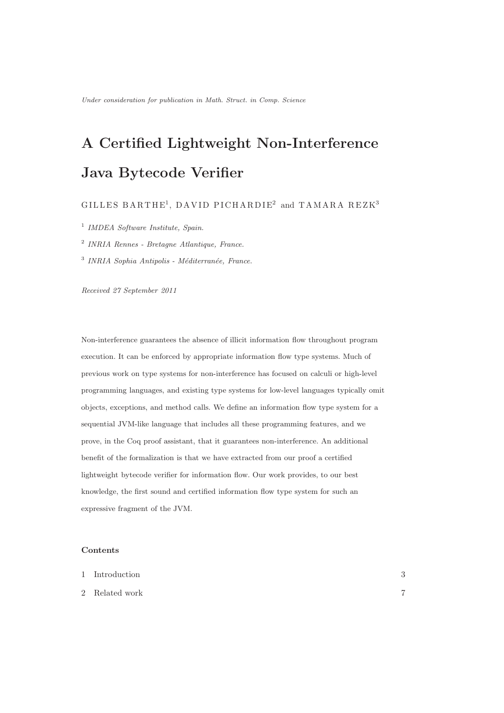# A Certified Lightweight Non-Interference Java Bytecode Verifier

# $\rm GILLES~BARTHE^{1},~DAVID~PICHARDIE^{2}~and~TAMARA~REZK^{3}$

1 *IMDEA Software Institute, Spain.*

2 *INRIA Rennes - Bretagne Atlantique, France.*

<sup>3</sup> INRIA Sophia Antipolis - Méditerranée, France.

*Received 27 September 2011*

Non-interference guarantees the absence of illicit information flow throughout program execution. It can be enforced by appropriate information flow type systems. Much of previous work on type systems for non-interference has focused on calculi or high-level programming languages, and existing type systems for low-level languages typically omit objects, exceptions, and method calls. We define an information flow type system for a sequential JVM-like language that includes all these programming features, and we prove, in the Coq proof assistant, that it guarantees non-interference. An additional benefit of the formalization is that we have extracted from our proof a certified lightweight bytecode verifier for information flow. Our work provides, to our best knowledge, the first sound and certified information flow type system for such an expressive fragment of the JVM.

# **Contents**

| 1 Introduction | ົ<br>IJ |
|----------------|---------|
| 2 Related work | −       |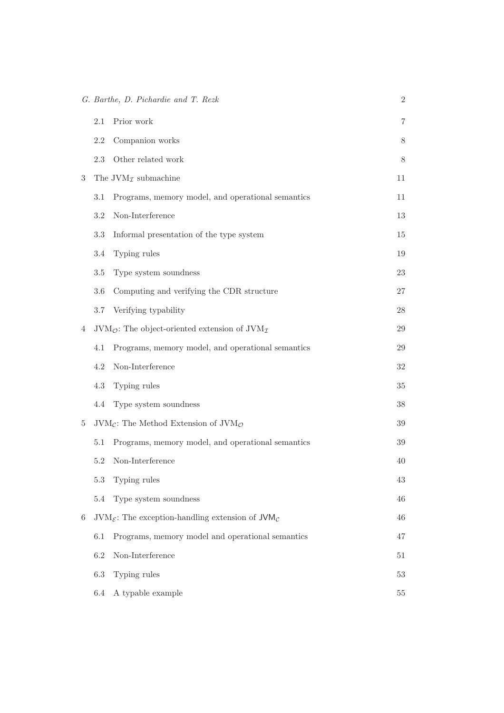|   |         | G. Barthe, D. Pichardie and T. Rezk                                           | $\overline{2}$ |
|---|---------|-------------------------------------------------------------------------------|----------------|
|   | 2.1     | Prior work                                                                    | 7              |
|   | $2.2\,$ | Companion works                                                               | $8\,$          |
|   | 2.3     | Other related work                                                            | $8\,$          |
| 3 |         | The JVM <sub><math>I</math></sub> submachine                                  | 11             |
|   | 3.1     | Programs, memory model, and operational semantics                             | 11             |
|   | $3.2\,$ | Non-Interference                                                              | 13             |
|   | 3.3     | Informal presentation of the type system                                      | 15             |
|   | 3.4     | Typing rules                                                                  | 19             |
|   | $3.5\,$ | Type system soundness                                                         | $23\,$         |
|   | $3.6\,$ | Computing and verifying the CDR structure                                     | 27             |
|   | 3.7     | Verifying typability                                                          | $28\,$         |
| 4 |         | $JVM_{\mathcal{O}}$ : The object-oriented extension of $JVM_{\mathcal{I}}$    | 29             |
|   | 4.1     | Programs, memory model, and operational semantics                             | 29             |
|   | 4.2     | Non-Interference                                                              | $32\,$         |
|   | 4.3     | Typing rules                                                                  | $35\,$         |
|   | 4.4     | Type system soundness                                                         | $38\,$         |
| 5 |         | $JVM_{\mathcal{C}}$ : The Method Extension of $JVM_{\mathcal{O}}$             | $39\,$         |
|   | 5.1     | Programs, memory model, and operational semantics                             | $39\,$         |
|   | 5.2     | Non-Interference                                                              | 40             |
|   | $5.3\,$ | Typing rules                                                                  | $43\,$         |
|   | $5.4\,$ | Type system soundness                                                         | 46             |
| 6 |         | $JVM_{\mathcal{E}}$ : The exception-handling extension of $JVM_{\mathcal{C}}$ | 46             |
|   | 6.1     | Programs, memory model and operational semantics                              | 47             |
|   | 6.2     | Non-Interference                                                              | $51\,$         |
|   | $6.3\,$ | Typing rules                                                                  | $53\,$         |
|   | 6.4     | A typable example                                                             | $55\,$         |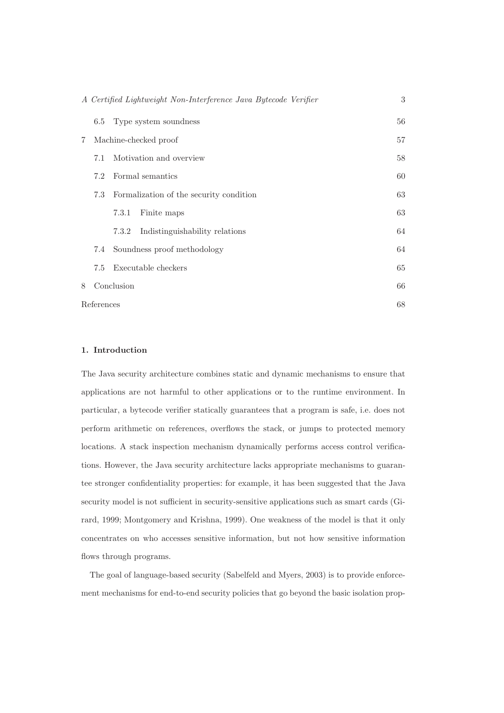|   |                       | A Certified Lightweight Non-Interference Java Bytecode Verifier | 3  |  |  |  |  |
|---|-----------------------|-----------------------------------------------------------------|----|--|--|--|--|
|   | 6.5                   | Type system soundness                                           | 56 |  |  |  |  |
| 7 | Machine-checked proof |                                                                 |    |  |  |  |  |
|   | 7.1                   | Motivation and overview                                         |    |  |  |  |  |
|   | 7.2                   | Formal semantics                                                | 60 |  |  |  |  |
|   | 7.3                   | Formalization of the security condition                         | 63 |  |  |  |  |
|   |                       | Finite maps<br>7.3.1                                            | 63 |  |  |  |  |
|   |                       | Indistinguishability relations<br>7.3.2                         | 64 |  |  |  |  |
|   | 7.4                   | Soundness proof methodology                                     | 64 |  |  |  |  |
|   | 7.5                   | Executable checkers                                             | 65 |  |  |  |  |
| 8 |                       | Conclusion                                                      | 66 |  |  |  |  |
|   | References            |                                                                 | 68 |  |  |  |  |

# 1. Introduction

The Java security architecture combines static and dynamic mechanisms to ensure that applications are not harmful to other applications or to the runtime environment. In particular, a bytecode verifier statically guarantees that a program is safe, i.e. does not perform arithmetic on references, overflows the stack, or jumps to protected memory locations. A stack inspection mechanism dynamically performs access control verifications. However, the Java security architecture lacks appropriate mechanisms to guarantee stronger confidentiality properties: for example, it has been suggested that the Java security model is not sufficient in security-sensitive applications such as smart cards (Girard, 1999; Montgomery and Krishna, 1999). One weakness of the model is that it only concentrates on who accesses sensitive information, but not how sensitive information flows through programs.

The goal of language-based security (Sabelfeld and Myers, 2003) is to provide enforcement mechanisms for end-to-end security policies that go beyond the basic isolation prop-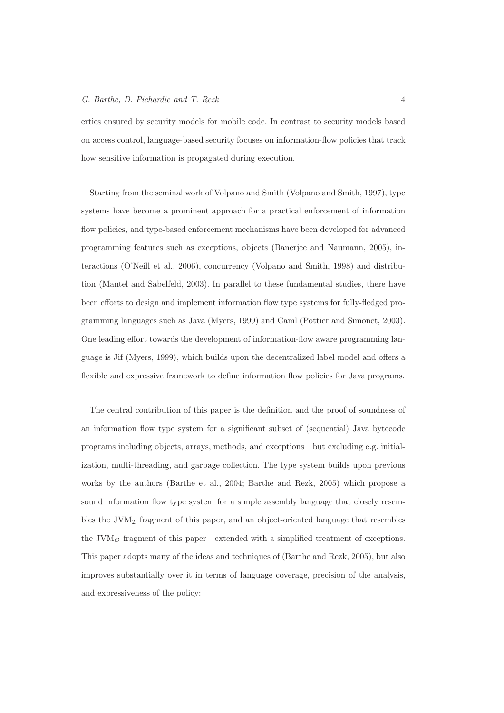erties ensured by security models for mobile code. In contrast to security models based on access control, language-based security focuses on information-flow policies that track how sensitive information is propagated during execution.

Starting from the seminal work of Volpano and Smith (Volpano and Smith, 1997), type systems have become a prominent approach for a practical enforcement of information flow policies, and type-based enforcement mechanisms have been developed for advanced programming features such as exceptions, objects (Banerjee and Naumann, 2005), interactions (O'Neill et al., 2006), concurrency (Volpano and Smith, 1998) and distribution (Mantel and Sabelfeld, 2003). In parallel to these fundamental studies, there have been efforts to design and implement information flow type systems for fully-fledged programming languages such as Java (Myers, 1999) and Caml (Pottier and Simonet, 2003). One leading effort towards the development of information-flow aware programming language is Jif (Myers, 1999), which builds upon the decentralized label model and offers a flexible and expressive framework to define information flow policies for Java programs.

The central contribution of this paper is the definition and the proof of soundness of an information flow type system for a significant subset of (sequential) Java bytecode programs including objects, arrays, methods, and exceptions—but excluding e.g. initialization, multi-threading, and garbage collection. The type system builds upon previous works by the authors (Barthe et al., 2004; Barthe and Rezk, 2005) which propose a sound information flow type system for a simple assembly language that closely resembles the JVM $<sub>I</sub>$  fragment of this paper, and an object-oriented language that resembles</sub> the  $JVM<sub>°</sub>$  fragment of this paper—extended with a simplified treatment of exceptions. This paper adopts many of the ideas and techniques of (Barthe and Rezk, 2005), but also improves substantially over it in terms of language coverage, precision of the analysis, and expressiveness of the policy: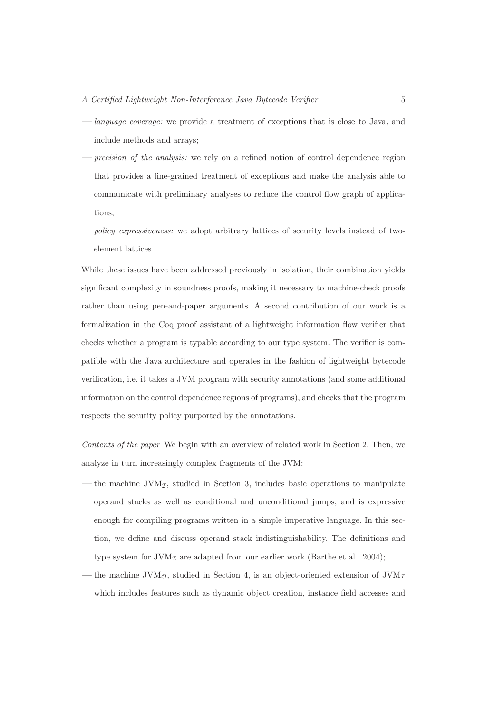#### A Certified Lightweight Non-Interference Java Butecode Verifier 5

- language coverage: we provide a treatment of exceptions that is close to Java, and include methods and arrays;
- precision of the analysis: we rely on a refined notion of control dependence region that provides a fine-grained treatment of exceptions and make the analysis able to communicate with preliminary analyses to reduce the control flow graph of applications,
- policy expressiveness: we adopt arbitrary lattices of security levels instead of twoelement lattices.

While these issues have been addressed previously in isolation, their combination yields significant complexity in soundness proofs, making it necessary to machine-check proofs rather than using pen-and-paper arguments. A second contribution of our work is a formalization in the Coq proof assistant of a lightweight information flow verifier that checks whether a program is typable according to our type system. The verifier is compatible with the Java architecture and operates in the fashion of lightweight bytecode verification, i.e. it takes a JVM program with security annotations (and some additional information on the control dependence regions of programs), and checks that the program respects the security policy purported by the annotations.

Contents of the paper We begin with an overview of related work in Section 2. Then, we analyze in turn increasingly complex fragments of the JVM:

- the machine  $JVM_{\mathcal{I}}$ , studied in Section 3, includes basic operations to manipulate operand stacks as well as conditional and unconditional jumps, and is expressive enough for compiling programs written in a simple imperative language. In this section, we define and discuss operand stack indistinguishability. The definitions and type system for  $JVM<sub>\mathcal{I}</sub>$  are adapted from our earlier work (Barthe et al., 2004);
- the machine JVM<sub>O</sub>, studied in Section 4, is an object-oriented extension of JVM<sub>I</sub> which includes features such as dynamic object creation, instance field accesses and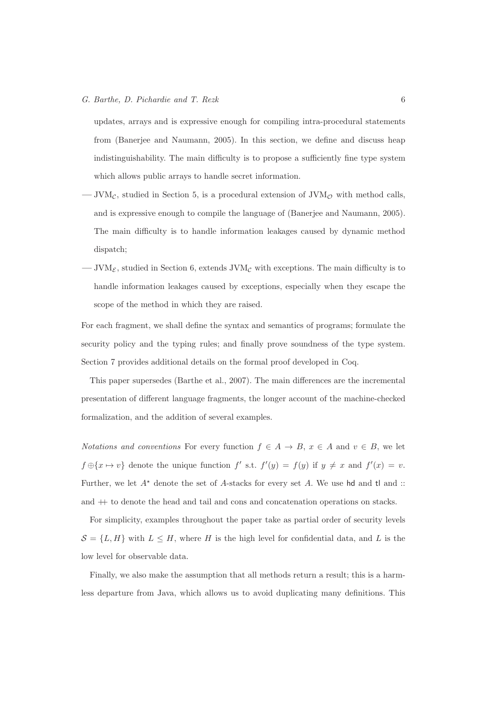updates, arrays and is expressive enough for compiling intra-procedural statements from (Banerjee and Naumann, 2005). In this section, we define and discuss heap indistinguishability. The main difficulty is to propose a sufficiently fine type system which allows public arrays to handle secret information.

- $-$  JVM $c$ , studied in Section 5, is a procedural extension of JVM $\sigma$  with method calls, and is expressive enough to compile the language of (Banerjee and Naumann, 2005). The main difficulty is to handle information leakages caused by dynamic method dispatch;
- JVM<sub> $\epsilon$ </sub>, studied in Section 6, extends JVM<sub> $c$ </sub> with exceptions. The main difficulty is to handle information leakages caused by exceptions, especially when they escape the scope of the method in which they are raised.

For each fragment, we shall define the syntax and semantics of programs; formulate the security policy and the typing rules; and finally prove soundness of the type system. Section 7 provides additional details on the formal proof developed in Coq.

This paper supersedes (Barthe et al., 2007). The main differences are the incremental presentation of different language fragments, the longer account of the machine-checked formalization, and the addition of several examples.

Notations and conventions For every function  $f \in A \to B$ ,  $x \in A$  and  $v \in B$ , we let  $f \oplus \{x \mapsto v\}$  denote the unique function  $f'$  s.t.  $f'(y) = f(y)$  if  $y \neq x$  and  $f'(x) = v$ . Further, we let  $A^*$  denote the set of A-stacks for every set A. We use hd and tl and :: and ++ to denote the head and tail and cons and concatenation operations on stacks.

For simplicity, examples throughout the paper take as partial order of security levels  $S = \{L, H\}$  with  $L \leq H$ , where H is the high level for confidential data, and L is the low level for observable data.

Finally, we also make the assumption that all methods return a result; this is a harmless departure from Java, which allows us to avoid duplicating many definitions. This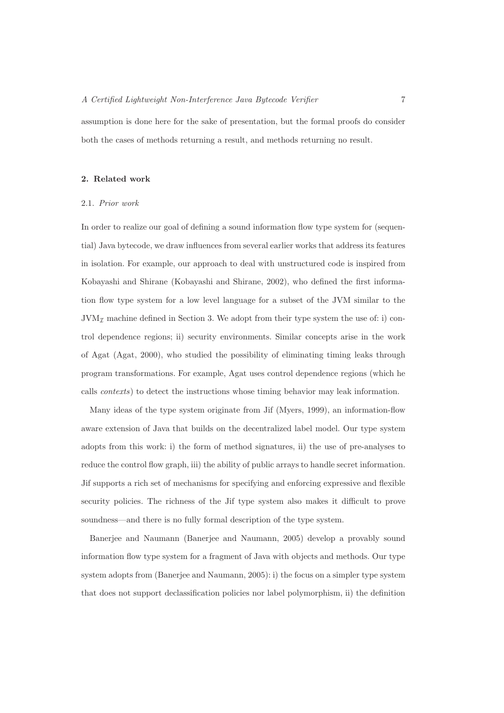assumption is done here for the sake of presentation, but the formal proofs do consider both the cases of methods returning a result, and methods returning no result.

# 2. Related work

# 2.1. Prior work

In order to realize our goal of defining a sound information flow type system for (sequential) Java bytecode, we draw influences from several earlier works that address its features in isolation. For example, our approach to deal with unstructured code is inspired from Kobayashi and Shirane (Kobayashi and Shirane, 2002), who defined the first information flow type system for a low level language for a subset of the JVM similar to the  $JVM_{\mathcal{I}}$  machine defined in Section 3. We adopt from their type system the use of: i) control dependence regions; ii) security environments. Similar concepts arise in the work of Agat (Agat, 2000), who studied the possibility of eliminating timing leaks through program transformations. For example, Agat uses control dependence regions (which he calls contexts) to detect the instructions whose timing behavior may leak information.

Many ideas of the type system originate from Jif (Myers, 1999), an information-flow aware extension of Java that builds on the decentralized label model. Our type system adopts from this work: i) the form of method signatures, ii) the use of pre-analyses to reduce the control flow graph, iii) the ability of public arrays to handle secret information. Jif supports a rich set of mechanisms for specifying and enforcing expressive and flexible security policies. The richness of the Jif type system also makes it difficult to prove soundness—and there is no fully formal description of the type system.

Banerjee and Naumann (Banerjee and Naumann, 2005) develop a provably sound information flow type system for a fragment of Java with objects and methods. Our type system adopts from (Banerjee and Naumann, 2005): i) the focus on a simpler type system that does not support declassification policies nor label polymorphism, ii) the definition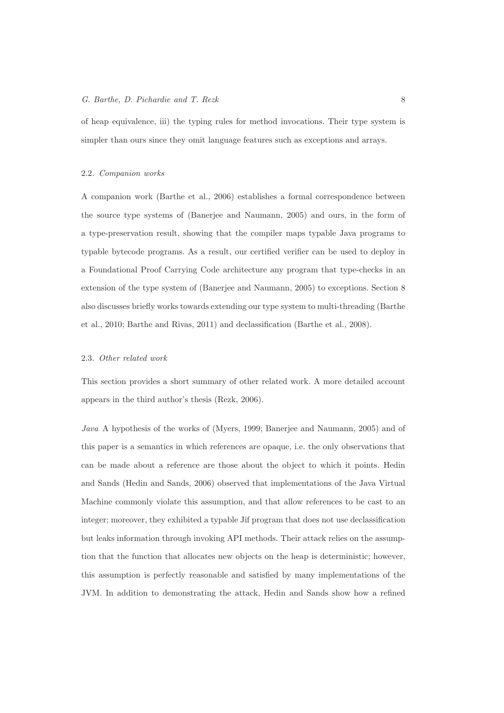of heap equivalence, iii) the typing rules for method invocations. Their type system is simpler than ours since they omit language features such as exceptions and arrays.

#### 2.2. Companion works

A companion work (Barthe et al., 2006) establishes a formal correspondence between the source type systems of (Banerjee and Naumann, 2005) and ours, in the form of a type-preservation result, showing that the compiler maps typable Java programs to typable bytecode programs. As a result, our certified verifier can be used to deploy in a Foundational Proof Carrying Code architecture any program that type-checks in an extension of the type system of (Banerjee and Naumann, 2005) to exceptions. Section 8 also discusses briefly works towards extending our type system to multi-threading (Barthe et al., 2010; Barthe and Rivas, 2011) and declassification (Barthe et al., 2008).

#### 2.3. Other related work

This section provides a short summary of other related work. A more detailed account appears in the third author's thesis (Rezk, 2006).

Java A hypothesis of the works of (Myers, 1999; Banerjee and Naumann, 2005) and of this paper is a semantics in which references are opaque, i.e. the only observations that can be made about a reference are those about the object to which it points. Hedin and Sands (Hedin and Sands, 2006) observed that implementations of the Java Virtual Machine commonly violate this assumption, and that allow references to be cast to an integer; moreover, they exhibited a typable Jif program that does not use declassification but leaks information through invoking API methods. Their attack relies on the assumption that the function that allocates new objects on the heap is deterministic; however, this assumption is perfectly reasonable and satisfied by many implementations of the JVM. In addition to demonstrating the attack, Hedin and Sands show how a refined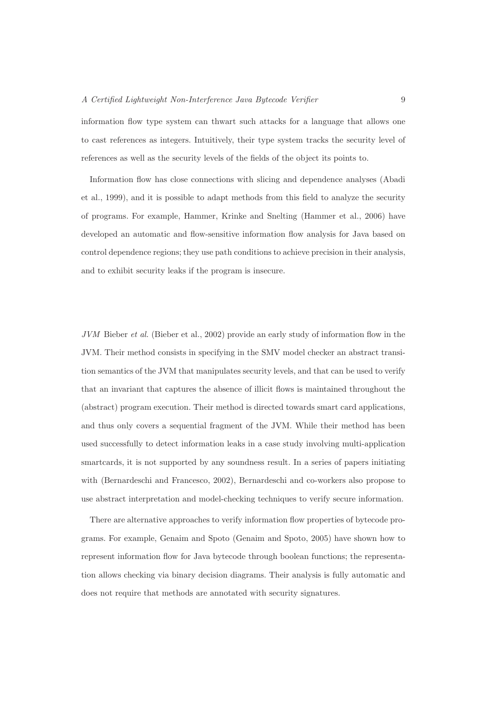information flow type system can thwart such attacks for a language that allows one to cast references as integers. Intuitively, their type system tracks the security level of references as well as the security levels of the fields of the object its points to.

Information flow has close connections with slicing and dependence analyses (Abadi et al., 1999), and it is possible to adapt methods from this field to analyze the security of programs. For example, Hammer, Krinke and Snelting (Hammer et al., 2006) have developed an automatic and flow-sensitive information flow analysis for Java based on control dependence regions; they use path conditions to achieve precision in their analysis, and to exhibit security leaks if the program is insecure.

JVM Bieber et al. (Bieber et al., 2002) provide an early study of information flow in the JVM. Their method consists in specifying in the SMV model checker an abstract transition semantics of the JVM that manipulates security levels, and that can be used to verify that an invariant that captures the absence of illicit flows is maintained throughout the (abstract) program execution. Their method is directed towards smart card applications, and thus only covers a sequential fragment of the JVM. While their method has been used successfully to detect information leaks in a case study involving multi-application smartcards, it is not supported by any soundness result. In a series of papers initiating with (Bernardeschi and Francesco, 2002), Bernardeschi and co-workers also propose to use abstract interpretation and model-checking techniques to verify secure information.

There are alternative approaches to verify information flow properties of bytecode programs. For example, Genaim and Spoto (Genaim and Spoto, 2005) have shown how to represent information flow for Java bytecode through boolean functions; the representation allows checking via binary decision diagrams. Their analysis is fully automatic and does not require that methods are annotated with security signatures.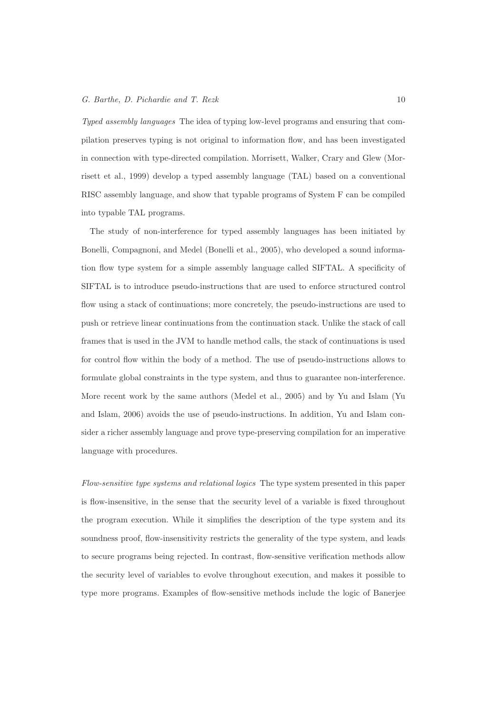Typed assembly languages The idea of typing low-level programs and ensuring that compilation preserves typing is not original to information flow, and has been investigated in connection with type-directed compilation. Morrisett, Walker, Crary and Glew (Morrisett et al., 1999) develop a typed assembly language (TAL) based on a conventional RISC assembly language, and show that typable programs of System F can be compiled into typable TAL programs.

The study of non-interference for typed assembly languages has been initiated by Bonelli, Compagnoni, and Medel (Bonelli et al., 2005), who developed a sound information flow type system for a simple assembly language called SIFTAL. A specificity of SIFTAL is to introduce pseudo-instructions that are used to enforce structured control flow using a stack of continuations; more concretely, the pseudo-instructions are used to push or retrieve linear continuations from the continuation stack. Unlike the stack of call frames that is used in the JVM to handle method calls, the stack of continuations is used for control flow within the body of a method. The use of pseudo-instructions allows to formulate global constraints in the type system, and thus to guarantee non-interference. More recent work by the same authors (Medel et al., 2005) and by Yu and Islam (Yu and Islam, 2006) avoids the use of pseudo-instructions. In addition, Yu and Islam consider a richer assembly language and prove type-preserving compilation for an imperative language with procedures.

Flow-sensitive type systems and relational logics The type system presented in this paper is flow-insensitive, in the sense that the security level of a variable is fixed throughout the program execution. While it simplifies the description of the type system and its soundness proof, flow-insensitivity restricts the generality of the type system, and leads to secure programs being rejected. In contrast, flow-sensitive verification methods allow the security level of variables to evolve throughout execution, and makes it possible to type more programs. Examples of flow-sensitive methods include the logic of Banerjee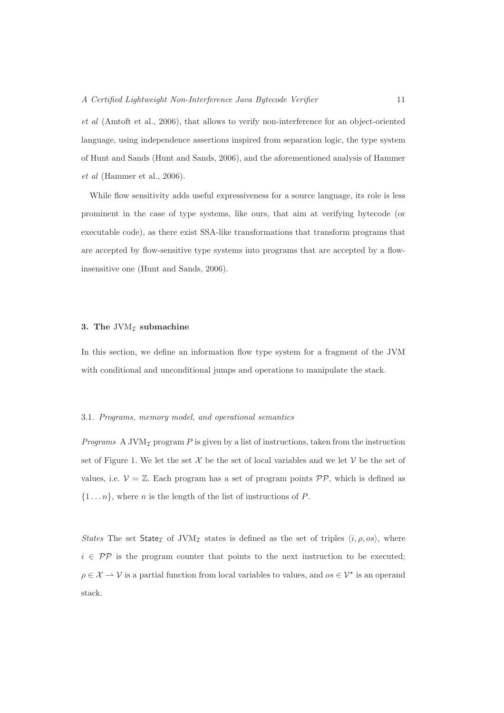et al (Amtoft et al., 2006), that allows to verify non-interference for an object-oriented language, using independence assertions inspired from separation logic, the type system of Hunt and Sands (Hunt and Sands, 2006), and the aforementioned analysis of Hammer et al (Hammer et al., 2006).

While flow sensitivity adds useful expressiveness for a source language, its role is less prominent in the case of type systems, like ours, that aim at verifying bytecode (or executable code), as there exist SSA-like transformations that transform programs that are accepted by flow-sensitive type systems into programs that are accepted by a flowinsensitive one (Hunt and Sands, 2006).

#### 3. The JVM $<sub>I</sub>$  submachine</sub>

In this section, we define an information flow type system for a fragment of the JVM with conditional and unconditional jumps and operations to manipulate the stack.

#### 3.1. Programs, memory model, and operational semantics

*Programs* A JVM<sub>I</sub> program P is given by a list of instructions, taken from the instruction set of Figure 1. We let the set X be the set of local variables and we let V be the set of values, i.e.  $V = \mathbb{Z}$ . Each program has a set of program points  $\mathcal{PP}$ , which is defined as  $\{1 \dots n\}$ , where *n* is the length of the list of instructions of *P*.

States The set State<sub>I</sub> of JVM<sub>I</sub> states is defined as the set of triples  $\langle i, \rho, os \rangle$ , where  $i \in \mathcal{PP}$  is the program counter that points to the next instruction to be executed;  $\rho \in \mathcal{X} \to \mathcal{V}$  is a partial function from local variables to values, and  $os \in \mathcal{V}^*$  is an operand stack.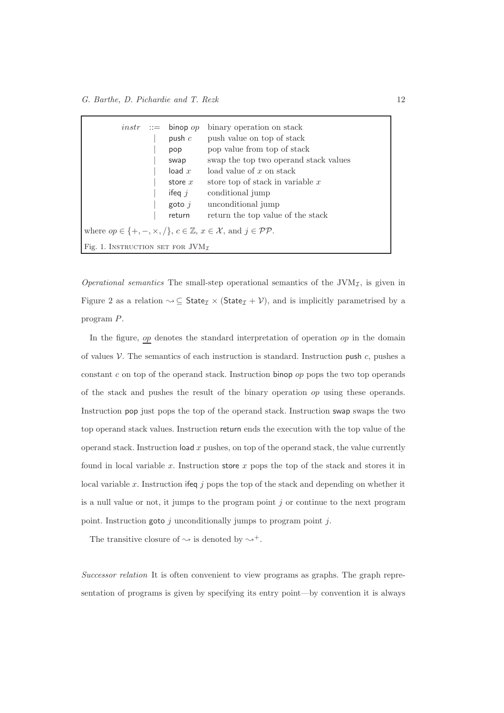|                                          | $instr ::= binop op$<br>push $c$<br>pop<br>swap<br>load $x$<br>store $x$<br>ifeq $j$<br>goto $i$<br>return | binary operation on stack<br>push value on top of stack<br>pop value from top of stack<br>swap the top two operand stack values<br>load value of $x$ on stack<br>store top of stack in variable $x$<br>conditional jump<br>unconditional jump<br>return the top value of the stack |
|------------------------------------------|------------------------------------------------------------------------------------------------------------|------------------------------------------------------------------------------------------------------------------------------------------------------------------------------------------------------------------------------------------------------------------------------------|
|                                          |                                                                                                            | where $op \in \{+, -, \times, / \}, c \in \mathbb{Z}, x \in \mathcal{X}, \text{ and } j \in \mathcal{PP}.$                                                                                                                                                                         |
| Fig. 1. INSTRUCTION SET FOR $JVM_{\tau}$ |                                                                                                            |                                                                                                                                                                                                                                                                                    |

*Operational semantics* The small-step operational semantics of the  $JVM<sub>I</sub>$ , is given in Figure 2 as a relation  $\leadsto \subseteq$  State<sub> $\mathcal{I} \times$ </sub> (State<sub> $\mathcal{I} + \mathcal{V}$ ), and is implicitly parametrised by a</sub> program P.

In the figure,  $op$  denotes the standard interpretation of operation  $op$  in the domain of values  $V$ . The semantics of each instruction is standard. Instruction push  $c$ , pushes a constant c on top of the operand stack. Instruction binop  $op$  pops the two top operands of the stack and pushes the result of the binary operation op using these operands. Instruction pop just pops the top of the operand stack. Instruction swap swaps the two top operand stack values. Instruction return ends the execution with the top value of the operand stack. Instruction load  $x$  pushes, on top of the operand stack, the value currently found in local variable x. Instruction store  $x$  pops the top of the stack and stores it in local variable x. Instruction if eq j pops the top of the stack and depending on whether it is a null value or not, it jumps to the program point  $j$  or continue to the next program point. Instruction goto  $j$  unconditionally jumps to program point  $j$ .

The transitive closure of  $\sim$  is denoted by  $\sim^+$ .

Successor relation It is often convenient to view programs as graphs. The graph representation of programs is given by specifying its entry point—by convention it is always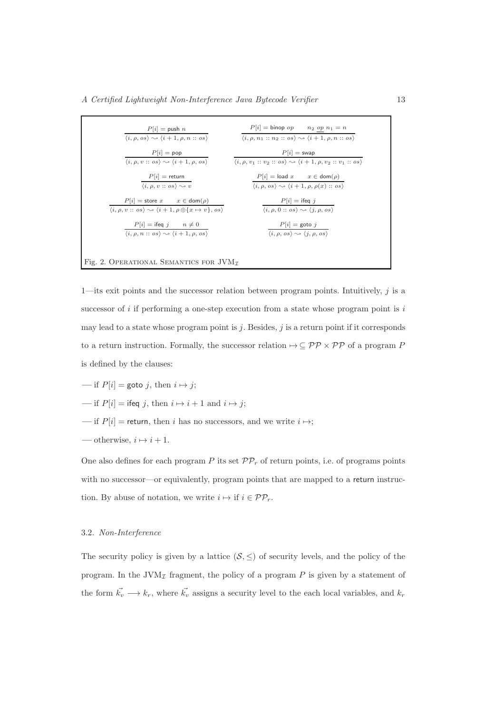| $P[i] = \text{push } n$                                                                                                 | $P[i] = \text{binop } op \qquad n_2 \underline{op} n_1 = n$                                                                  |
|-------------------------------------------------------------------------------------------------------------------------|------------------------------------------------------------------------------------------------------------------------------|
| $\langle i, \rho, \rho s \rangle \rightsquigarrow \langle i+1, \rho, n :: \rho s \rangle$                               | $\langle i, \rho, n_1 :: n_2 :: \textit{os} \rangle \rightarrow \langle i+1, \rho, n :: \textit{os} \rangle$                 |
| $P i  = pop$                                                                                                            | $P[i] = swap$                                                                                                                |
| $\langle i, \rho, v : : \text{os} \rangle \rightsquigarrow \langle i+1, \rho, \text{os} \rangle$                        | $\langle i, \rho, v_1 :: v_2 :: \textit{os} \rangle \rightsquigarrow \langle i + 1, \rho, v_2 :: v_1 :: \textit{os} \rangle$ |
| $P[i]$ = return                                                                                                         | $P[i] = \text{load } x \qquad x \in \text{dom}(\rho)$                                                                        |
| $\langle i, \rho, v :: \textit{os} \rangle \rightarrow v$                                                               | $\langle i, \rho, \rho s \rangle \rightsquigarrow \langle i+1, \rho, \rho(x) :: \rho s \rangle$                              |
| $P[i] =$ store $x \text{ } x \in \text{dom}(\rho)$                                                                      | $P[i] = \text{ifeq } j$                                                                                                      |
| $\langle i, \rho, v : : \text{os} \rangle \rightsquigarrow \langle i+1, \rho \oplus \{x \mapsto v\}, \text{os} \rangle$ | $\langle i, \rho, 0 : : \text{os} \rangle \rightsquigarrow \langle j, \rho, \text{os} \rangle$                               |
| $P[i] = \text{ifeq } j \qquad n \neq 0$                                                                                 | $P[i] = \text{goto } j$                                                                                                      |
| $\langle i, \rho, n : : \text{os} \rangle \rightsquigarrow \langle i + 1, \rho, \text{os} \rangle$                      | $\langle i, \rho, \, os \rangle \rightsquigarrow \langle j, \rho, \overline{os} \rangle$                                     |

1—its exit points and the successor relation between program points. Intuitively,  $j$  is a successor of  $i$  if performing a one-step execution from a state whose program point is  $i$ may lead to a state whose program point is j. Besides, j is a return point if it corresponds to a return instruction. Formally, the successor relation  ${\mapsto} \subseteq \mathcal{PP} \times \mathcal{PP}$  of a program  $P$ is defined by the clauses:

$$
f[i] = \text{goto } j, \text{ then } i \mapsto j;
$$

$$
f[i] = \text{ifeq } j, \text{ then } i \mapsto i + 1 \text{ and } i \mapsto j;
$$

- if  $P[i]$  = return, then i has no successors, and we write  $i \mapsto$ ;
- otherwise,  $i \mapsto i + 1$ .

One also defines for each program P its set  $\mathcal{PP}_r$  of return points, i.e. of programs points with no successor—or equivalently, program points that are mapped to a return instruction. By abuse of notation, we write  $i \mapsto \text{if } i \in \mathcal{PP}_r$ .

# 3.2. Non-Interference

The security policy is given by a lattice  $(S, \leq)$  of security levels, and the policy of the program. In the JVM<sub>I</sub> fragment, the policy of a program  $P$  is given by a statement of the form  $\vec{k_v} \longrightarrow k_r$ , where  $\vec{k_v}$  assigns a security level to the each local variables, and  $k_r$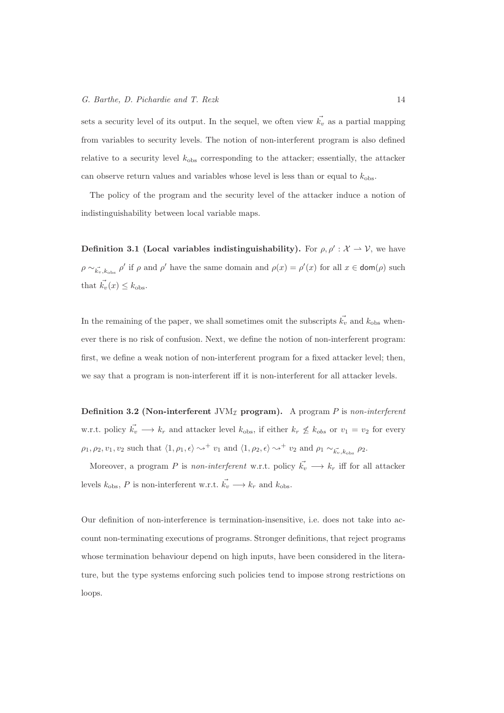sets a security level of its output. In the sequel, we often view  $\vec{k_v}$  as a partial mapping from variables to security levels. The notion of non-interferent program is also defined relative to a security level  $k_{obs}$  corresponding to the attacker; essentially, the attacker can observe return values and variables whose level is less than or equal to  $k_{\text{obs}}$ .

The policy of the program and the security level of the attacker induce a notion of indistinguishability between local variable maps.

**Definition 3.1 (Local variables indistinguishability).** For  $\rho, \rho' : \mathcal{X} \to \mathcal{V}$ , we have  $\rho \sim_{\vec{k_v}, k_{\text{obs}}} \rho'$  if  $\rho$  and  $\rho'$  have the same domain and  $\rho(x) = \rho'(x)$  for all  $x \in \text{dom}(\rho)$  such that  $\vec{k_v}(x) \leq k_{\text{obs}}$ .

In the remaining of the paper, we shall sometimes omit the subscripts  $\vec{k_v}$  and  $k_{obs}$  whenever there is no risk of confusion. Next, we define the notion of non-interferent program: first, we define a weak notion of non-interferent program for a fixed attacker level; then, we say that a program is non-interferent iff it is non-interferent for all attacker levels.

Definition 3.2 (Non-interferent JVM<sub>I</sub> program). A program P is non-interferent w.r.t. policy  $\vec{k_v} \longrightarrow k_r$  and attacker level  $k_{\text{obs}}$ , if either  $k_r \not\leq k_{obs}$  or  $v_1 = v_2$  for every  $\rho_1, \rho_2, v_1, v_2$  such that  $\langle 1, \rho_1, \epsilon \rangle \leadsto^+ v_1$  and  $\langle 1, \rho_2, \epsilon \rangle \leadsto^+ v_2$  and  $\rho_1 \sim_{\vec{k_v}, k_{\text{obs}}} \rho_2$ .

Moreover, a program P is non-interferent w.r.t. policy  $\vec{k_v} \longrightarrow k_r$  iff for all attacker levels  $k_{\text{obs}}$ , P is non-interferent w.r.t.  $\vec{k_v} \longrightarrow k_r$  and  $k_{\text{obs}}$ .

Our definition of non-interference is termination-insensitive, i.e. does not take into account non-terminating executions of programs. Stronger definitions, that reject programs whose termination behaviour depend on high inputs, have been considered in the literature, but the type systems enforcing such policies tend to impose strong restrictions on loops.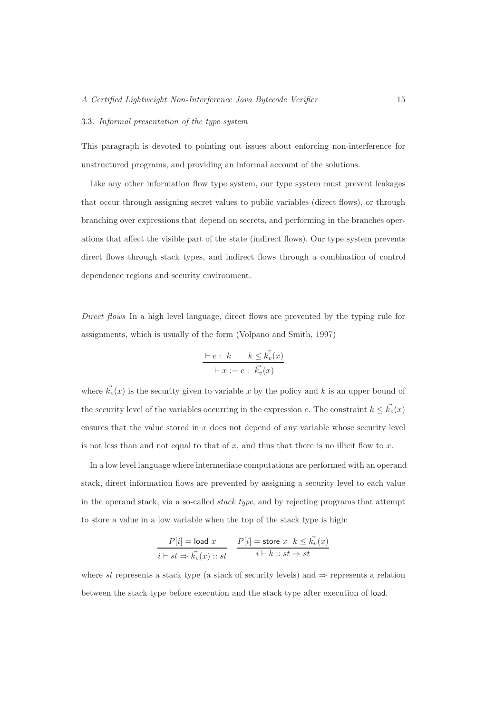#### 3.3. Informal presentation of the type system

This paragraph is devoted to pointing out issues about enforcing non-interference for unstructured programs, and providing an informal account of the solutions.

Like any other information flow type system, our type system must prevent leakages that occur through assigning secret values to public variables (direct flows), or through branching over expressions that depend on secrets, and performing in the branches operations that affect the visible part of the state (indirect flows). Our type system prevents direct flows through stack types, and indirect flows through a combination of control dependence regions and security environment.

Direct flows In a high level language, direct flows are prevented by the typing rule for assignments, which is usually of the form (Volpano and Smith, 1997)

$$
\frac{\vdash e : k \qquad k \leq \vec{k_v}(x)}{\vdash x := e : \vec{k_v}(x)}
$$

where  $\vec{k_v}(x)$  is the security given to variable x by the policy and k is an upper bound of the security level of the variables occurring in the expression e. The constraint  $k \leq \vec{k_v}(x)$ ensures that the value stored in  $x$  does not depend of any variable whose security level is not less than and not equal to that of x, and thus that there is no illicit flow to x.

In a low level language where intermediate computations are performed with an operand stack, direct information flows are prevented by assigning a security level to each value in the operand stack, via a so-called stack type, and by rejecting programs that attempt to store a value in a low variable when the top of the stack type is high:

$$
\frac{P[i] = \text{load } x}{i \vdash st \Rightarrow \vec{k_v}(x) :: st} \quad \frac{P[i] = \text{store } x \quad k \leq \vec{k_v}(x)}{i \vdash k :: st \Rightarrow st}
$$

where st represents a stack type (a stack of security levels) and  $\Rightarrow$  represents a relation between the stack type before execution and the stack type after execution of load.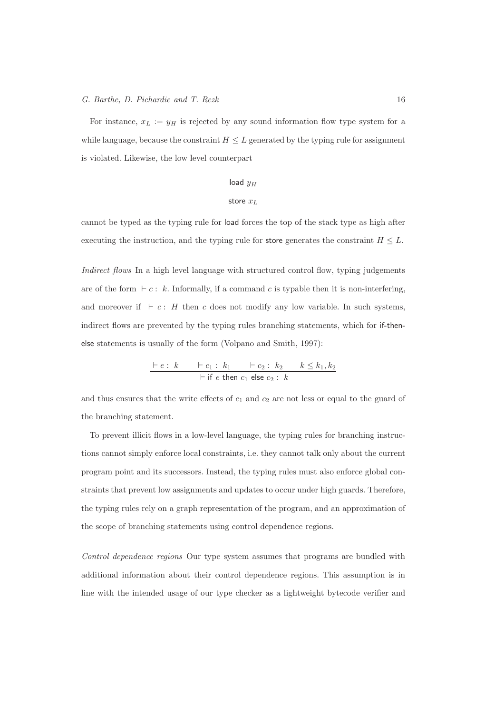For instance,  $x_L := y_H$  is rejected by any sound information flow type system for a while language, because the constraint  $H \leq L$  generated by the typing rule for assignment is violated. Likewise, the low level counterpart

# load  $y_H$

#### store  $x_L$

cannot be typed as the typing rule for load forces the top of the stack type as high after executing the instruction, and the typing rule for store generates the constraint  $H \leq L$ .

Indirect flows In a high level language with structured control flow, typing judgements are of the form  $\vdash c : k$ . Informally, if a command c is typable then it is non-interfering, and moreover if  $\vdash c : H$  then c does not modify any low variable. In such systems, indirect flows are prevented by the typing rules branching statements, which for if-thenelse statements is usually of the form (Volpano and Smith, 1997):

$$
\frac{\vdash e : k \qquad \vdash c_1 : k_1 \qquad \vdash c_2 : k_2 \qquad k \leq k_1, k_2}{\vdash \text{if } e \text{ then } c_1 \text{ else } c_2 : k}
$$

and thus ensures that the write effects of  $c_1$  and  $c_2$  are not less or equal to the guard of the branching statement.

To prevent illicit flows in a low-level language, the typing rules for branching instructions cannot simply enforce local constraints, i.e. they cannot talk only about the current program point and its successors. Instead, the typing rules must also enforce global constraints that prevent low assignments and updates to occur under high guards. Therefore, the typing rules rely on a graph representation of the program, and an approximation of the scope of branching statements using control dependence regions.

Control dependence regions Our type system assumes that programs are bundled with additional information about their control dependence regions. This assumption is in line with the intended usage of our type checker as a lightweight bytecode verifier and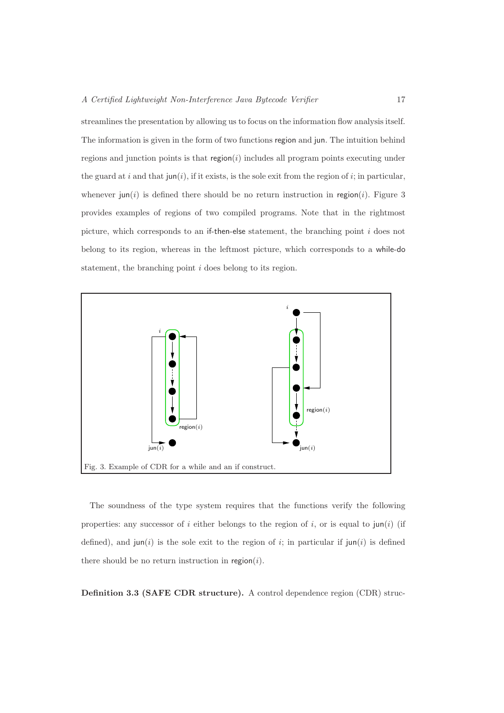streamlines the presentation by allowing us to focus on the information flow analysis itself. The information is given in the form of two functions region and jun. The intuition behind regions and junction points is that  $\text{region}(i)$  includes all program points executing under the guard at i and that  $\text{jun}(i)$ , if it exists, is the sole exit from the region of i; in particular, whenever jun(i) is defined there should be no return instruction in region(i). Figure 3 provides examples of regions of two compiled programs. Note that in the rightmost picture, which corresponds to an if-then-else statement, the branching point  $i$  does not belong to its region, whereas in the leftmost picture, which corresponds to a while-do statement, the branching point i does belong to its region.



The soundness of the type system requires that the functions verify the following properties: any successor of i either belongs to the region of i, or is equal to  $\mu$  (if defined), and  $\text{jun}(i)$  is the sole exit to the region of i; in particular if  $\text{jun}(i)$  is defined there should be no return instruction in region $(i)$ .

Definition 3.3 (SAFE CDR structure). A control dependence region (CDR) struc-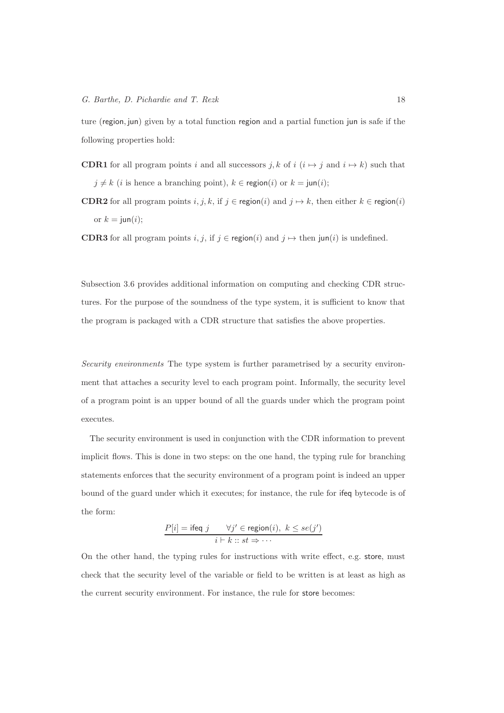ture (region, jun) given by a total function region and a partial function jun is safe if the following properties hold:

- **CDR1** for all program points i and all successors j, k of i  $(i \rightarrow j$  and  $i \rightarrow k$ ) such that  $j \neq k$  (*i* is hence a branching point),  $k \in \text{region}(i)$  or  $k = \text{jun}(i);$
- **CDR2** for all program points  $i, j, k$ , if  $j \in \text{region}(i)$  and  $j \mapsto k$ , then either  $k \in \text{region}(i)$ or  $k = \text{jun}(i);$

**CDR3** for all program points  $i, j$ , if  $j \in \text{region}(i)$  and  $j \mapsto \text{then } \text{jun}(i)$  is undefined.

Subsection 3.6 provides additional information on computing and checking CDR structures. For the purpose of the soundness of the type system, it is sufficient to know that the program is packaged with a CDR structure that satisfies the above properties.

Security environments The type system is further parametrised by a security environment that attaches a security level to each program point. Informally, the security level of a program point is an upper bound of all the guards under which the program point executes.

The security environment is used in conjunction with the CDR information to prevent implicit flows. This is done in two steps: on the one hand, the typing rule for branching statements enforces that the security environment of a program point is indeed an upper bound of the guard under which it executes; for instance, the rule for ifeq bytecode is of the form:

$$
P[i] = \text{ifeq } j \qquad \forall j' \in \text{region}(i), \ k \leq se(j')
$$

$$
i \vdash k :: st \Rightarrow \cdots
$$

On the other hand, the typing rules for instructions with write effect, e.g. store, must check that the security level of the variable or field to be written is at least as high as the current security environment. For instance, the rule for store becomes: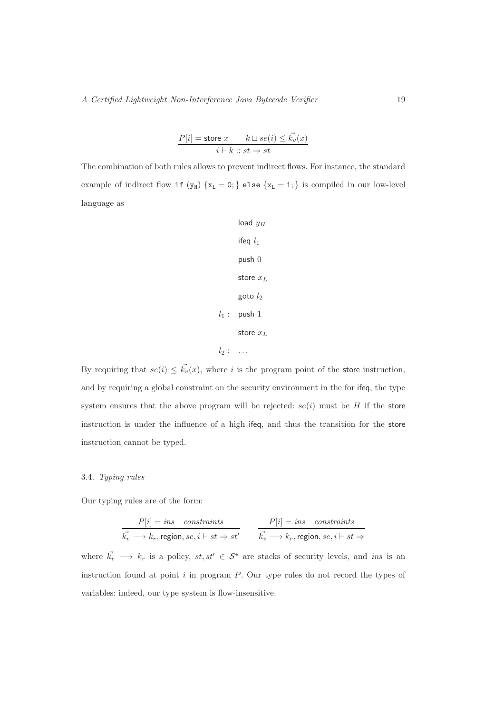$$
\frac{P[i] = \text{store } x \qquad k \sqcup se(i) \leq \vec{k_v}(x)}{i \vdash k :: st \Rightarrow st}
$$

The combination of both rules allows to prevent indirect flows. For instance, the standard example of indirect flow if  $(y_H)$  { $x_L = 0$ ; } else { $x_L = 1$ ; } is compiled in our low-level language as

```
load y_Hifeq l_1push 0
     store x_Lgoto l_2l_1: push 1
     store x_Ll_2: \ldots
```
By requiring that  $se(i) \leq \vec{k_v}(x)$ , where i is the program point of the store instruction, and by requiring a global constraint on the security environment in the for ifeq, the type system ensures that the above program will be rejected:  $se(i)$  must be H if the store instruction is under the influence of a high ifeq, and thus the transition for the store instruction cannot be typed.

# 3.4. Typing rules

Our typing rules are of the form:

$$
\frac{P[i] = ins \quad constraints}{\vec{k_v} \longrightarrow k_r, \text{region}, se, i \vdash st \Rightarrow st'} \qquad \frac{P[i] = ins \quad constraints}{\vec{k_v} \longrightarrow k_r, \text{region}, se, i \vdash st \Rightarrow}
$$

where  $\vec{k_v} \longrightarrow k_r$  is a policy,  $st, st' \in S^*$  are stacks of security levels, and ins is an instruction found at point  $i$  in program  $P$ . Our type rules do not record the types of variables: indeed, our type system is flow-insensitive.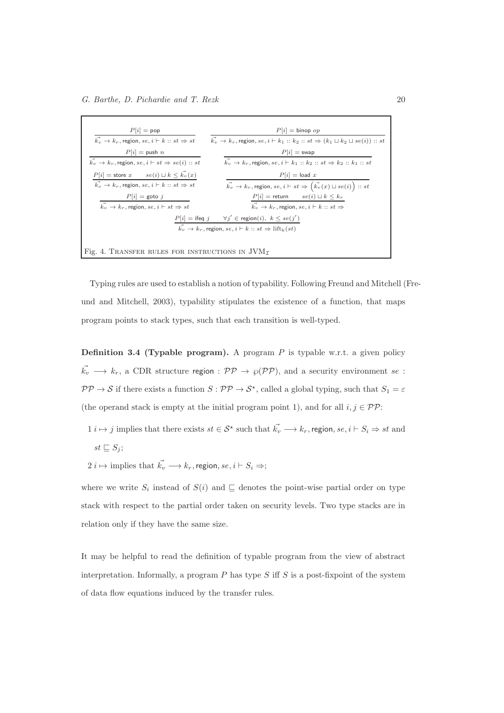| $P[i] = pop$                                                                    | $P[i] = \text{binop } op$                                                                                       |
|---------------------------------------------------------------------------------|-----------------------------------------------------------------------------------------------------------------|
| $\vec{k_v} \rightarrow k_r$ , region, se, $i \vdash k :: st \Rightarrow st$     | $k_v \rightarrow k_r$ , region, $se, i \vdash k_1 :: k_2 :: st \Rightarrow (k_1 \sqcup k_2 \sqcup se(i)) :: st$ |
| $P[i] = \text{push } n$                                                         | $P i $ = swap                                                                                                   |
| $\vec{k_v} \rightarrow k_r$ , region, $se, i \vdash st \Rightarrow se(i) :: st$ | $k_v \rightarrow k_r$ , region, se, $i \vdash k_1 :: k_2 :: st \Rightarrow k_2 :: k_1 :: st$                    |
| $P[i] =$ store $x$ $se(i) \sqcup k \leq \overrightarrow{k_v}(x)$                | $P[i] = \text{load } x$                                                                                         |
| $\vec{k_v} \rightarrow k_r$ , region, se, $i \vdash k :: st \Rightarrow st$     | $\vec{k_v} \rightarrow k_r$ , region, $se, i \vdash st \Rightarrow (\vec{k_v}(x) \sqcup se(i)) :: st$           |
| $P[i] = \text{goto } j$                                                         | $P[i] = \text{return} \qquad se(i) \sqcup k \leq k_r$                                                           |
| $\vec{k_v} \rightarrow k_r$ , region, se, $i \vdash st \Rightarrow st$          | $\vec{k_v} \rightarrow k_r$ , region, se, $i \vdash k :: st \Rightarrow$                                        |
|                                                                                 | $P[i] = \mathsf{ifeq}\ j \qquad \forall j'\in \mathsf{region}(i),\ k \leq se(j')$                               |
|                                                                                 | $\vec{k_v} \rightarrow k_r$ , region, $se, i \vdash k :: st \Rightarrow \text{lift}_k(st)$                      |
|                                                                                 |                                                                                                                 |
| Fig. 4. TRANSFER RULES FOR INSTRUCTIONS IN $JVM_{\tau}$                         |                                                                                                                 |

Typing rules are used to establish a notion of typability. Following Freund and Mitchell (Freund and Mitchell, 2003), typability stipulates the existence of a function, that maps program points to stack types, such that each transition is well-typed.

**Definition 3.4 (Typable program).** A program  $P$  is typable w.r.t. a given policy  $\vec{k_v} \longrightarrow k_r$ , a CDR structure region :  $\mathcal{PP} \rightarrow \wp(\mathcal{PP})$ , and a security environment se :  $PP \to S$  if there exists a function  $S:PP \to S^*$ , called a global typing, such that  $S_1 = \varepsilon$ (the operand stack is empty at the initial program point 1), and for all  $i, j \in \mathcal{PP}$ :

- $1 \ i \mapsto j$  implies that there exists  $st \in \mathcal{S}^*$  such that  $\vec{k_v} \longrightarrow k_r$ , region,  $se, i \vdash S_i \Rightarrow st$  and  $st \sqsubseteq S_j$ ;
- $2~i \mapsto \text{implies that} \ \vec{k_v} \longrightarrow k_r, \text{region}, \text{se}, i \vdash S_i \Rightarrow;$

where we write  $S_i$  instead of  $S(i)$  and  $\subseteq$  denotes the point-wise partial order on type stack with respect to the partial order taken on security levels. Two type stacks are in relation only if they have the same size.

It may be helpful to read the definition of typable program from the view of abstract interpretation. Informally, a program  $P$  has type  $S$  iff  $S$  is a post-fixpoint of the system of data flow equations induced by the transfer rules.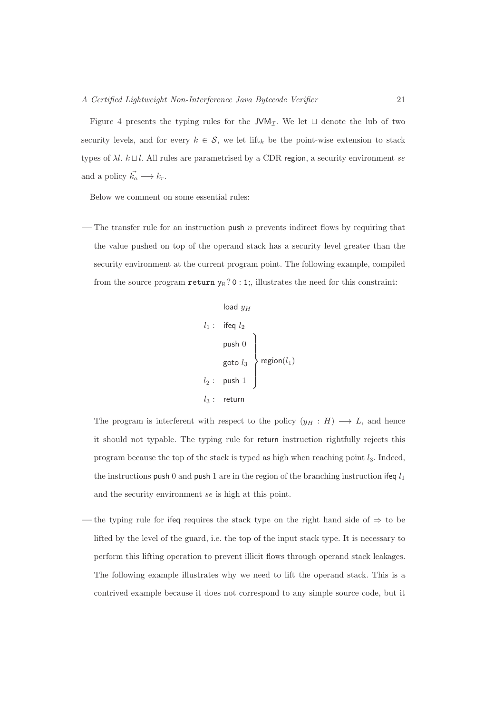Figure 4 presents the typing rules for the JVM<sub>I</sub>. We let  $\sqcup$  denote the lub of two security levels, and for every  $k \in \mathcal{S}$ , we let lift<sub>k</sub> be the point-wise extension to stack types of  $\lambda l$ .  $k \sqcup l$ . All rules are parametrised by a CDR region, a security environment se and a policy  $\vec{k_a} \longrightarrow k_r$ .

Below we comment on some essential rules:

— The transfer rule for an instruction push  $n$  prevents indirect flows by requiring that the value pushed on top of the operand stack has a security level greater than the security environment at the current program point. The following example, compiled from the source program return  $y_H$  ? 0 : 1;, illustrates the need for this constraint:

| $l_1$ : $ifeq l_2$ |
|--------------------|
| $l_1$ : $ifeq l_2$ |
| $push 0$           |
| $goto l_3$         |
| $l_2$ : $push 1$   |
| $l_3$ : return     |

The program is interferent with respect to the policy  $(y_H : H) \longrightarrow L$ , and hence it should not typable. The typing rule for return instruction rightfully rejects this program because the top of the stack is typed as high when reaching point  $l_3$ . Indeed, the instructions push 0 and push 1 are in the region of the branching instruction if eq  $l_1$ and the security environment se is high at this point.

the typing rule for ifeq requires the stack type on the right hand side of  $\Rightarrow$  to be lifted by the level of the guard, i.e. the top of the input stack type. It is necessary to perform this lifting operation to prevent illicit flows through operand stack leakages. The following example illustrates why we need to lift the operand stack. This is a contrived example because it does not correspond to any simple source code, but it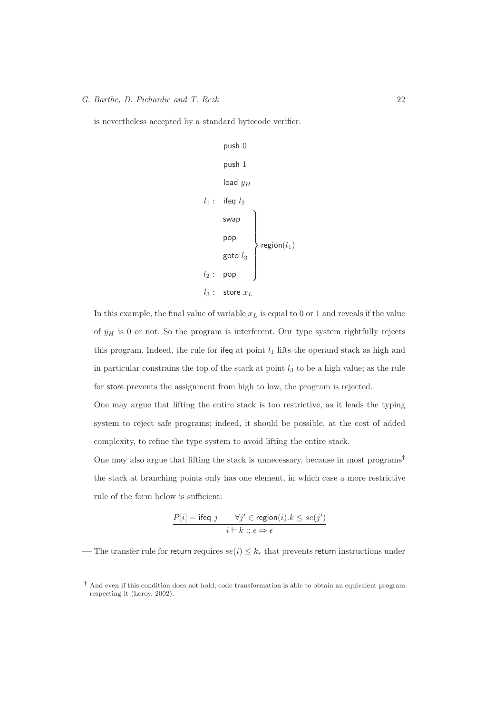is nevertheless accepted by a standard bytecode verifier.

```
\n
$$
\begin{array}{c}\n \text{push } 0 \\
 \text{push } 1 \\
 \text{load } y_H \\
 \text{load } y_H \\
 \text{load } y_H \\
 \text{load } y_H \\
 \text{swap } \\
 \text{swap } \\
 \text{pop } \\
 \text{region}(l_1) \\
 \text{goto } l_3 \\
 l_2: \text{pop } \\
 l_3: \text{ store } x_L\n \end{array}
$$
\n
```

In this example, the final value of variable  $x<sub>L</sub>$  is equal to 0 or 1 and reveals if the value of  $y_H$  is 0 or not. So the program is interferent. Our type system rightfully rejects this program. Indeed, the rule for ifeq at point  $l_1$  lifts the operand stack as high and in particular constrains the top of the stack at point  $l_3$  to be a high value; as the rule for store prevents the assignment from high to low, the program is rejected.

One may argue that lifting the entire stack is too restrictive, as it leads the typing system to reject safe programs; indeed, it should be possible, at the cost of added complexity, to refine the type system to avoid lifting the entire stack.

One may also argue that lifting the stack is unnecessary, because in most programs† the stack at branching points only has one element, in which case a more restrictive rule of the form below is sufficient:

$$
\frac{P[i] = \text{ifeq } j \qquad \forall j' \in \text{region}(i). k \le s e(j')}{i \vdash k :: \epsilon \Rightarrow \epsilon}
$$

— The transfer rule for return requires  $se(i) \leq k_r$  that prevents return instructions under

<sup>†</sup> And even if this condition does not hold, code transformation is able to obtain an equivalent program respecting it (Leroy, 2002).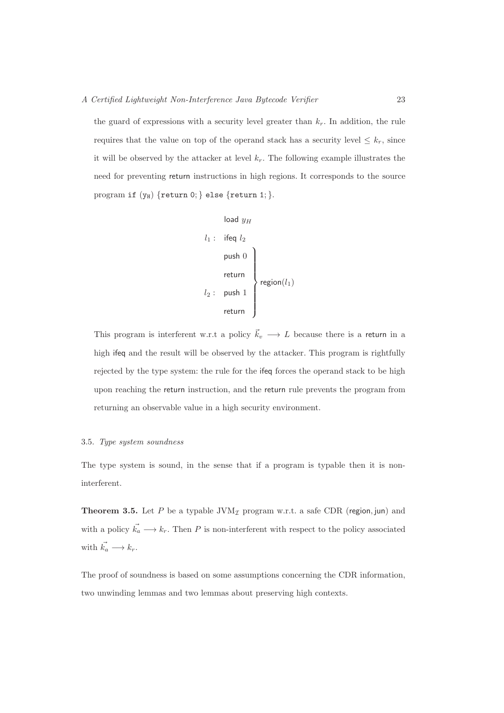the guard of expressions with a security level greater than  $k_r$ . In addition, the rule requires that the value on top of the operand stack has a security level  $\leq k_r$ , since it will be observed by the attacker at level  $k_r$ . The following example illustrates the need for preventing return instructions in high regions. It corresponds to the source program if  $(y_H)$  {return 0; } else {return 1; }.

| $l_1$ : ifeq $l_2$ |
|--------------------|
| $l_1$ : ifeq $l_2$ |
| $push\ 0$          |
| $return$           |
| $l_2$ : push 1     |
| $return$           |

This program is interferent w.r.t a policy  $\vec{k}_v \longrightarrow L$  because there is a return in a high ifeq and the result will be observed by the attacker. This program is rightfully rejected by the type system: the rule for the ifeq forces the operand stack to be high upon reaching the return instruction, and the return rule prevents the program from returning an observable value in a high security environment.

#### 3.5. Type system soundness

The type system is sound, in the sense that if a program is typable then it is noninterferent.

**Theorem 3.5.** Let P be a typable  $JVM<sub>I</sub>$  program w.r.t. a safe CDR (region, jun) and with a policy  $\vec{k_a} \longrightarrow k_r$ . Then P is non-interferent with respect to the policy associated with  $\vec{k_a} \longrightarrow k_r$ .

The proof of soundness is based on some assumptions concerning the CDR information, two unwinding lemmas and two lemmas about preserving high contexts.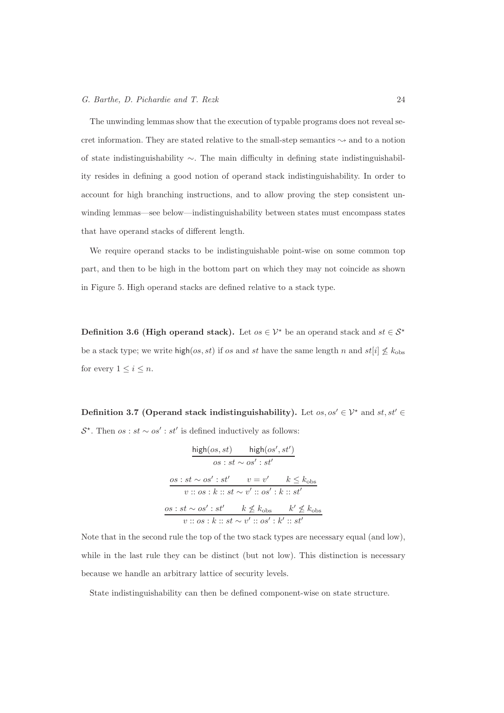The unwinding lemmas show that the execution of typable programs does not reveal secret information. They are stated relative to the small-step semantics  $\sim$  and to a notion of state indistinguishability ∼. The main difficulty in defining state indistinguishability resides in defining a good notion of operand stack indistinguishability. In order to account for high branching instructions, and to allow proving the step consistent unwinding lemmas—see below—indistinguishability between states must encompass states that have operand stacks of different length.

We require operand stacks to be indistinguishable point-wise on some common top part, and then to be high in the bottom part on which they may not coincide as shown in Figure 5. High operand stacks are defined relative to a stack type.

Definition 3.6 (High operand stack). Let  $os \in \mathcal{V}^*$  be an operand stack and  $st \in \mathcal{S}^*$ be a stack type; we write high(os, st) if os and st have the same length n and  $st[i] \nleq k_{\text{obs}}$ for every  $1 \leq i \leq n$ .

Definition 3.7 (Operand stack indistinguishability). Let  $os, os' \in \mathcal{V}^*$  and  $st, st' \in \mathcal{V}$  $\mathcal{S}^*$ . Then  $\textit{os}$  :  $\textit{st} \sim \textit{os}'$  :  $\textit{st}'$  is defined inductively as follows:

$$
\frac{\text{high}(os, st)}{os : st \sim os' : st'}
$$
\n
$$
\frac{os : st \sim os' : st'}{os : st' \quad v = v' \quad k \leq k_{\text{obs}}}
$$
\n
$$
v :: os : k :: st \sim v' :: os' : k :: st'
$$
\n
$$
\frac{os : st \sim os' : st' \quad k \not\leq k_{\text{obs}} \quad k' \not\leq k_{\text{obs}}}{v :: os : k :: st \sim v' :: os' : k' :: st'}
$$

Note that in the second rule the top of the two stack types are necessary equal (and low), while in the last rule they can be distinct (but not low). This distinction is necessary because we handle an arbitrary lattice of security levels.

State indistinguishability can then be defined component-wise on state structure.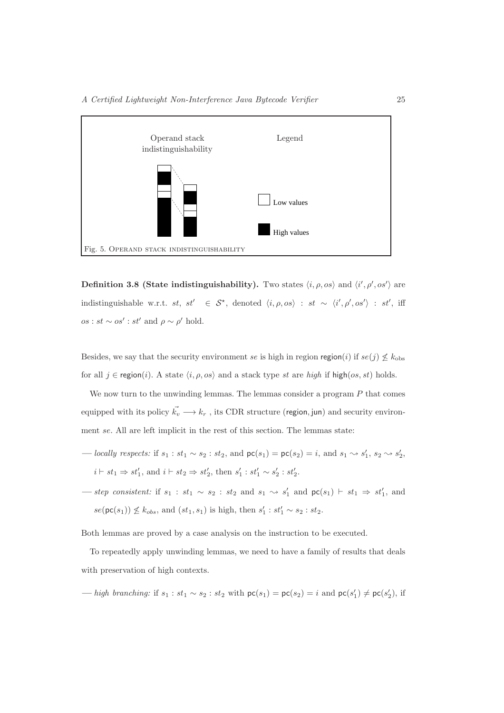

**Definition 3.8 (State indistinguishability).** Two states  $\langle i, \rho, \omega \rangle$  and  $\langle i', \rho', \omega' \rangle$  are indistinguishable w.r.t.  $st$ ,  $st' \in S^*$ , denoted  $\langle i, \rho, os \rangle : st \sim \langle i', \rho', os' \rangle : st'$ , iff  $\omega(s) : st \sim \omega s' : st'$  and  $\rho \sim \rho'$  hold.

Besides, we say that the security environment se is high in region region(i) if  $se(j) \nleq k_{\text{obs}}$ for all  $j \in \text{region}(i)$ . A state  $\langle i, \rho, \infty \rangle$  and a stack type st are high if high(os, st) holds.

We now turn to the unwinding lemmas. The lemmas consider a program  $P$  that comes equipped with its policy  $\vec{k_v} \longrightarrow k_r$ , its CDR structure (region, jun) and security environment se. All are left implicit in the rest of this section. The lemmas state:

- locally respects: if  $s_1 : st_1 \sim s_2 : st_2$ , and  $\mathsf{pc}(s_1) = \mathsf{pc}(s_2) = i$ , and  $s_1 \rightsquigarrow s'_1$ ,  $s_2 \rightsquigarrow s'_2$ ,  $i \vdash st_1 \Rightarrow st'_1$ , and  $i \vdash st_2 \Rightarrow st'_2$ , then  $s'_1 : st'_1 \sim s'_2 : st'_2$ .
- step consistent: if  $s_1$  :  $st_1 \sim s_2$  :  $st_2$  and  $s_1 \sim s'_1$  and  $\mathsf{pc}(s_1)$  ⊢  $st_1 \Rightarrow st'_1$ , and  $se(\mathsf{pc}(s_1)) \not\leq k_{obs}$ , and  $(st_1, s_1)$  is high, then  $s'_1 : st'_1 \sim s_2 : st_2$ .

Both lemmas are proved by a case analysis on the instruction to be executed.

To repeatedly apply unwinding lemmas, we need to have a family of results that deals with preservation of high contexts.

— high branching: if  $s_1 : st_1 \sim s_2 : st_2$  with  $pc(s_1) = pc(s_2) = i$  and  $pc(s'_1) \neq pc(s'_2)$ , if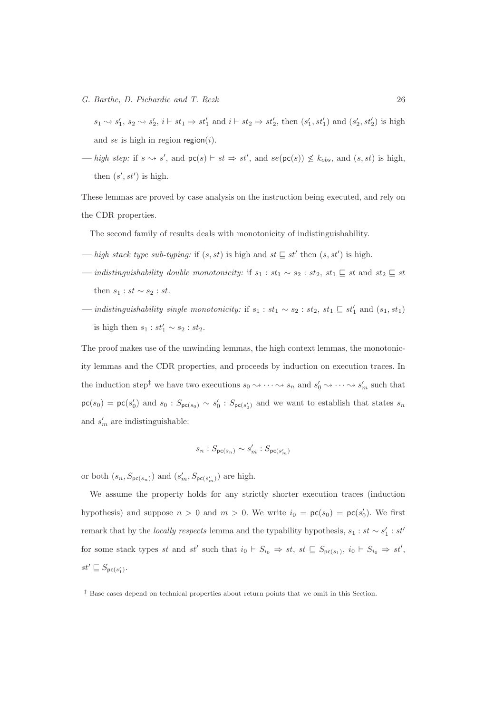$s_1 \rightsquigarrow s'_1$ ,  $s_2 \rightsquigarrow s'_2$ ,  $i \vdash st_1 \Rightarrow st'_1$  and  $i \vdash st_2 \Rightarrow st'_2$ , then  $(s'_1, st'_1)$  and  $(s'_2, st'_2)$  is high and se is high in region region $(i)$ .

 $\text{—} \text{high step: if } s \rightarrow s', \text{ and } \text{pc}(s) \vdash st \Rightarrow st', \text{ and } \text{se}(\text{pc}(s)) \not\leq k_{obs}, \text{ and } (s, st) \text{ is high,}$ then  $(s', st')$  is high.

These lemmas are proved by case analysis on the instruction being executed, and rely on the CDR properties.

The second family of results deals with monotonicity of indistinguishability.

- high stack type sub-typing: if  $(s, st)$  is high and  $st \subseteq st'$  then  $(s, st')$  is high.
- $-$  indistinguishability double monotonicity: if  $s_1 : st_1 \sim s_2 : st_2, st_1 ⊆ st$  and  $st_2 ⊆ st$ then  $s_1 : st \sim s_2 : st$ .
- $-$  *indistinguishability single monotonicity:* if  $s_1 : st_1 \sim s_2 : st_2, st_1 ⊆ st'_1$  and  $(s_1, st_1)$ is high then  $s_1 : st'_1 \sim s_2 : st_2$ .

The proof makes use of the unwinding lemmas, the high context lemmas, the monotonicity lemmas and the CDR properties, and proceeds by induction on execution traces. In the induction step<sup>†</sup> we have two executions  $s_0 \sim \cdots \sim s_n$  and  $s'_0 \sim \cdots \sim s'_m$  such that  $\mathsf{pc}(s_0) = \mathsf{pc}(s'_0)$  and  $s_0 : S_{\mathsf{pc}(s_0)} \sim s'_0 : S_{\mathsf{pc}(s'_0)}$  and we want to establish that states  $s_n$ and  $s'_{m}$  are indistinguishable:

$$
s_n : S_{\mathsf{pc}(s_n)} \sim s'_m : S_{\mathsf{pc}(s'_m)}
$$

or both  $(s_n, S_{\mathsf{pc}(s_n)})$  and  $(s'_m, S_{\mathsf{pc}(s'_m)})$  are high.

We assume the property holds for any strictly shorter execution traces (induction hypothesis) and suppose  $n > 0$  and  $m > 0$ . We write  $i_0 = \mathsf{pc}(s_0) = \mathsf{pc}(s'_0)$ . We first remark that by the *locally respects* lemma and the typability hypothesis,  $s_1 : st \sim s'_1 : st'$ for some stack types st and st' such that  $i_0 \vdash S_{i_0} \Rightarrow st$ ,  $st \sqsubseteq S_{\mathsf{pc}(s_1)}$ ,  $i_0 \vdash S_{i_0} \Rightarrow st'$ ,  $st' \sqsubseteq S_{\mathsf{pc}(s'_1)}.$ 

<sup>‡</sup> Base cases depend on technical properties about return points that we omit in this Section.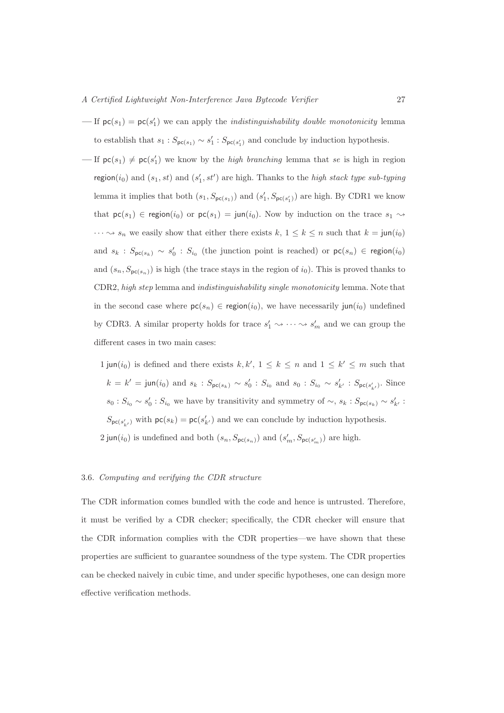- $\text{If } \mathsf{pc}(s_1) = \mathsf{pc}(s'_1) \text{ we can apply the *indistinguishability double monotonicity* lemma.}$ to establish that  $s_1 : S_{\mathsf{pc}(s_1)} \sim s_1' : S_{\mathsf{pc}(s_1')}$  and conclude by induction hypothesis.
- $\text{If } \mathsf{pc}(s_1) \neq \mathsf{pc}(s'_1) \text{ we know by the high branching lemma that se is high in region.}$ region(i<sub>0</sub>) and  $(s_1, st)$  and  $(s'_1, st')$  are high. Thanks to the *high stack type sub-typing* lemma it implies that both  $(s_1, S_{\mathsf{pc}(s_1)})$  and  $(s'_1, S_{\mathsf{pc}(s'_1)})$  are high. By CDR1 we know that  $\mathsf{pc}(s_1) \in \mathsf{region}(i_0)$  or  $\mathsf{pc}(s_1) = \mathsf{jun}(i_0)$ . Now by induction on the trace  $s_1 \rightsquigarrow$  $\cdots \leadsto s_n$  we easily show that either there exists  $k, 1 \leq k \leq n$  such that  $k = \text{jun}(i_0)$ and  $s_k$ :  $S_{\mathsf{pc}(s_k)} \sim s'_0$ :  $S_{i_0}$  (the junction point is reached) or  $\mathsf{pc}(s_n) \in \mathsf{region}(i_0)$ and  $(s_n, S_{\mathsf{pc}(s_n)})$  is high (the trace stays in the region of  $i_0$ ). This is proved thanks to CDR2, high step lemma and indistinguishability single monotonicity lemma. Note that in the second case where  $\mathsf{pc}(s_n) \in \mathsf{region}(i_0)$ , we have necessarily jun(i<sub>0</sub>) undefined by CDR3. A similar property holds for trace  $s'_1 \leadsto \cdots \leadsto s'_m$  and we can group the different cases in two main cases:

 $1 \text{ jun}(i_0)$  is defined and there exists  $k, k', 1 \leq k \leq n$  and  $1 \leq k' \leq m$  such that  $k = k' = \text{jun}(i_0) \text{ and } s_k : S_{\text{pc}(s_k)} \sim s'_0 : S_{i_0} \text{ and } s_0 : S_{i_0} \sim s'_{k'} : S_{\text{pc}(s'_{k'})}$ . Since  $s_0: S_{i_0} \sim s'_0: S_{i_0}$  we have by transitivity and symmetry of  $\sim, s_k: S_{\mathsf{pc}(s_k)} \sim s'_{k'}$ :  $S_{\mathsf{pc}(s'_{k'})}$  with  $\mathsf{pc}(s_k) = \mathsf{pc}(s'_{k'})$  and we can conclude by induction hypothesis.  $2 \text{ jun}(i_0)$  is undefined and both  $(s_n, S_{\text{pc}(s_n)})$  and  $(s'_m, S_{\text{pc}(s'_m)})$  are high.

# 3.6. Computing and verifying the CDR structure

The CDR information comes bundled with the code and hence is untrusted. Therefore, it must be verified by a CDR checker; specifically, the CDR checker will ensure that the CDR information complies with the CDR properties—we have shown that these properties are sufficient to guarantee soundness of the type system. The CDR properties can be checked naively in cubic time, and under specific hypotheses, one can design more effective verification methods.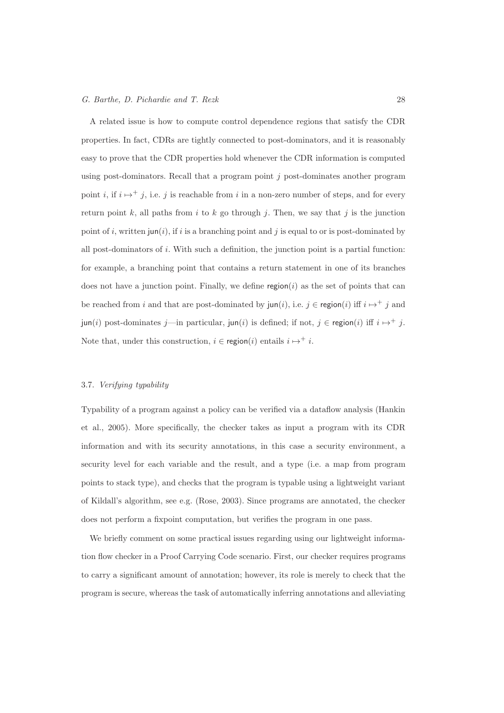A related issue is how to compute control dependence regions that satisfy the CDR properties. In fact, CDRs are tightly connected to post-dominators, and it is reasonably easy to prove that the CDR properties hold whenever the CDR information is computed using post-dominators. Recall that a program point  $j$  post-dominates another program point i, if  $i \mapsto i$ , i.e. j is reachable from i in a non-zero number of steps, and for every return point k, all paths from i to k go through j. Then, we say that j is the junction point of i, written jun(i), if i is a branching point and j is equal to or is post-dominated by all post-dominators of  $i$ . With such a definition, the junction point is a partial function: for example, a branching point that contains a return statement in one of its branches does not have a junction point. Finally, we define  $\text{region}(i)$  as the set of points that can be reached from i and that are post-dominated by  $\text{jun}(i)$ , i.e.  $j \in \text{region}(i)$  iff  $i \mapsto^+ j$  and jun(i) post-dominates j—in particular, jun(i) is defined; if not,  $j \in \text{region}(i)$  iff  $i \mapsto^+ j$ . Note that, under this construction,  $i \in \text{region}(i)$  entails  $i \mapsto^+ i$ .

# 3.7. Verifying typability

Typability of a program against a policy can be verified via a dataflow analysis (Hankin et al., 2005). More specifically, the checker takes as input a program with its CDR information and with its security annotations, in this case a security environment, a security level for each variable and the result, and a type (i.e. a map from program points to stack type), and checks that the program is typable using a lightweight variant of Kildall's algorithm, see e.g. (Rose, 2003). Since programs are annotated, the checker does not perform a fixpoint computation, but verifies the program in one pass.

We briefly comment on some practical issues regarding using our lightweight information flow checker in a Proof Carrying Code scenario. First, our checker requires programs to carry a significant amount of annotation; however, its role is merely to check that the program is secure, whereas the task of automatically inferring annotations and alleviating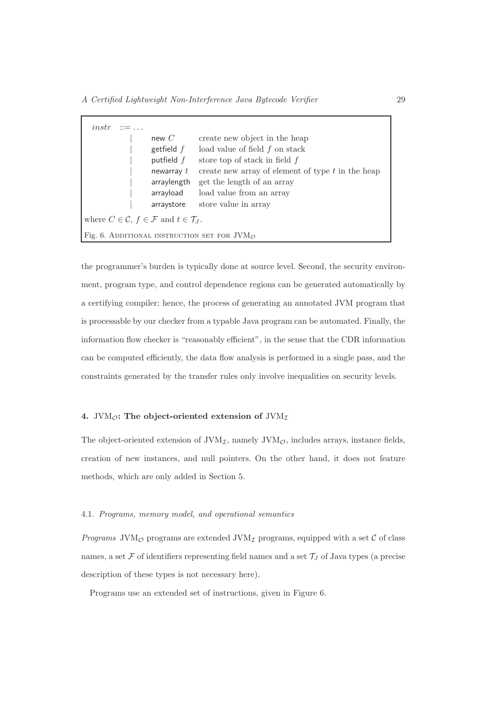| instr<br>$\therefore = \dots$ |                                                                             |                                                            |
|-------------------------------|-----------------------------------------------------------------------------|------------------------------------------------------------|
|                               | new $C$                                                                     | create new object in the heap                              |
|                               | getfield $f$                                                                | load value of field $f$ on stack                           |
|                               | putfield $f$                                                                | store top of stack in field $f$                            |
|                               | newarray $t$                                                                | create new array of element of type $t$ in the heap        |
|                               | arraylength                                                                 | get the length of an array                                 |
|                               | arrayload                                                                   | load value from an array                                   |
|                               | arraystore                                                                  | store value in array                                       |
|                               | where $C \in \mathcal{C}$ , $f \in \mathcal{F}$ and $t \in \mathcal{T}_J$ . |                                                            |
|                               |                                                                             | Fig. 6. ADDITIONAL INSTRUCTION SET FOR $JVM_{\mathcal{O}}$ |

the programmer's burden is typically done at source level. Second, the security environment, program type, and control dependence regions can be generated automatically by a certifying compiler; hence, the process of generating an annotated JVM program that is processable by our checker from a typable Java program can be automated. Finally, the information flow checker is "reasonably efficient", in the sense that the CDR information can be computed efficiently, the data flow analysis is performed in a single pass, and the constraints generated by the transfer rules only involve inequalities on security levels.

# 4. JVM $_{\mathcal{O}}$ : The object-oriented extension of JVM $_{\mathcal{I}}$

The object-oriented extension of  $JVM<sub>I</sub>$ , namely  $JVM<sub>O</sub>$ , includes arrays, instance fields, creation of new instances, and null pointers. On the other hand, it does not feature methods, which are only added in Section 5.

# 4.1. Programs, memory model, and operational semantics

*Programs* JVM<sub> $\mathcal{O}$  programs are extended JVM<sub>I</sub> programs, equipped with a set  $\mathcal{C}$  of class</sub> names, a set  $\mathcal F$  of identifiers representing field names and a set  $\mathcal T_J$  of Java types (a precise description of these types is not necessary here).

Programs use an extended set of instructions, given in Figure 6.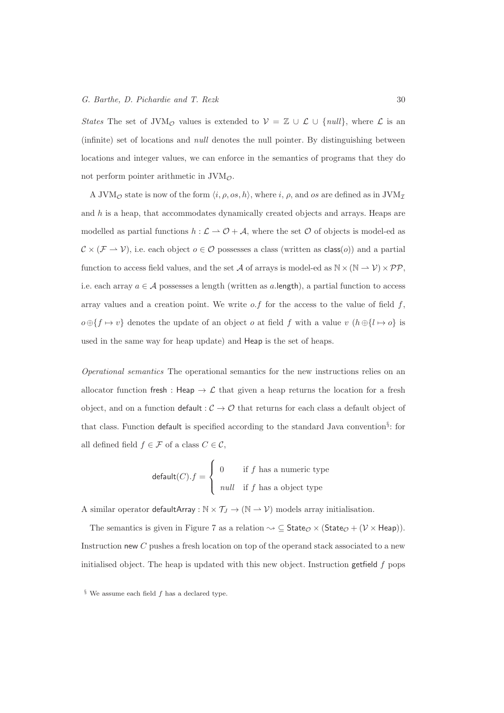States The set of JVM<sub>O</sub> values is extended to  $\mathcal{V} = \mathbb{Z} \cup \mathcal{L} \cup \{null\}$ , where  $\mathcal{L}$  is an (infinite) set of locations and null denotes the null pointer. By distinguishing between locations and integer values, we can enforce in the semantics of programs that they do not perform pointer arithmetic in  $JVM_{\mathcal{O}}$ .

A JVM<sub>O</sub> state is now of the form  $\langle i, \rho, os, h \rangle$ , where i,  $\rho$ , and os are defined as in JVM<sub>I</sub> and  $h$  is a heap, that accommodates dynamically created objects and arrays. Heaps are modelled as partial functions  $h : \mathcal{L} \to \mathcal{O} + \mathcal{A}$ , where the set  $\mathcal O$  of objects is model-ed as  $\mathcal{C} \times (\mathcal{F} \to \mathcal{V})$ , i.e. each object  $o \in \mathcal{O}$  possesses a class (written as class(*o*)) and a partial function to access field values, and the set A of arrays is model-ed as  $\mathbb{N} \times (\mathbb{N} \to \mathcal{V}) \times \mathcal{PP}$ , i.e. each array  $a \in \mathcal{A}$  possesses a length (written as a length), a partial function to access array values and a creation point. We write  $o.f$  for the access to the value of field  $f$ ,  $o \oplus \{f \mapsto v\}$  denotes the update of an object  $o$  at field  $f$  with a value  $v \in (h \oplus \{l \mapsto o\})$  is used in the same way for heap update) and Heap is the set of heaps.

Operational semantics The operational semantics for the new instructions relies on an allocator function fresh : Heap  $\rightarrow \mathcal{L}$  that given a heap returns the location for a fresh object, and on a function default  $: \mathcal{C} \to \mathcal{O}$  that returns for each class a default object of that class. Function default is specified according to the standard Java convention§ : for all defined field  $f \in \mathcal{F}$  of a class  $C \in \mathcal{C}$ ,

$$
\mathsf{default}(C).f = \begin{cases} 0 & \text{if } f \text{ has a numeric type} \\ null & \text{if } f \text{ has a object type} \end{cases}
$$

A similar operator  $\mathsf{defaultArray} : \mathbb{N} \times \mathcal{T}_J \to (\mathbb{N} \rightharpoonup \mathcal{V})$  models array initialisation.

The semantics is given in Figure 7 as a relation  $\sim \subseteq$  State $_{\mathcal{O}} \times$  (State $_{\mathcal{O}} + (\mathcal{V} \times$  Heap)). Instruction new C pushes a fresh location on top of the operand stack associated to a new initialised object. The heap is updated with this new object. Instruction getfield  $f$  pops

 $§$  We assume each field  $f$  has a declared type.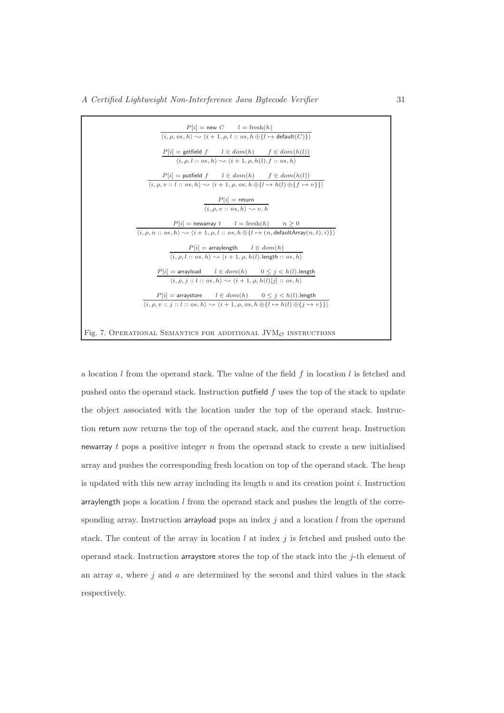| $\frac{P[i] = \text{new } C \qquad l = \text{ fresh}(h)}{\langle i, \rho, \text{os}, h \rangle \rightsquigarrow \langle i+1, \rho, l:: \text{os}, h \oplus \{ l \mapsto \text{default}(C) \} \rangle}$          |
|-----------------------------------------------------------------------------------------------------------------------------------------------------------------------------------------------------------------|
|                                                                                                                                                                                                                 |
| $\frac{P[i] = \text{getfield } f \quad l \in dom(h) \quad f \in dom(h(l))}{\langle i, \rho, l : : os, h \rangle \sim \langle i+1, \rho, h(l), f : : os, h \rangle}$                                             |
|                                                                                                                                                                                                                 |
| $P[i] = \text{putfield } f \qquad l \in dom(h) \qquad f \in dom(h(l))$<br>$\langle i, \rho, v : : l : : os, h \rangle \sim \langle i + 1, \rho, os, h \oplus \{l \mapsto h(l) \oplus \{f \mapsto v\} \}\rangle$ |
|                                                                                                                                                                                                                 |
| $P[i]$ = return                                                                                                                                                                                                 |
| $(i, \rho, v :: \textit{os}, h) \rightarrow v, h$                                                                                                                                                               |
| $P[i]$ = newarray $t$ $l = \text{fresh}(h)$ $n \ge 0$                                                                                                                                                           |
| $\langle i,\rho,\overline{n::\textit{os},h}\rangle\leadsto\langle\overline{i+1,\rho,l::\textit{os},h\oplus\{l\mapsto(n,\textsf{defaultArray}(n,t),i)\}\rangle$                                                  |
| $P[i]$ = arraylength $l \in dom(h)$                                                                                                                                                                             |
| $\langle i, \rho, l \rangle$ : $\langle os, h \rangle \rightarrow \langle i+1, \rho, h(l) \rangle$ . length : $\langle os, h \rangle$                                                                           |
| $P[i] = \text{arrayload}$ $l \in dom(h)$ $0 \leq j < h(l)$ . length                                                                                                                                             |
| $\langle i, \rho, i : l : l : \text{os}, h \rangle \rightarrow \langle i + 1, \rho, h(l) [j] : \text{os}, h \rangle$                                                                                            |
| $P[i] = \textsf{arraystore} \qquad \text{$l \in dom(h)$} \qquad 0 \leq j < h(l). \textsf{length}$                                                                                                               |
| $\langle i, \rho, v : i : i : b : \text{os}, h \rangle \rightsquigarrow \langle i + 1, \rho, \text{os}, h \oplus \{l \mapsto h(l) \oplus \{j \mapsto v\}\}\rangle$                                              |
|                                                                                                                                                                                                                 |
| Fig. 7. OPERATIONAL SEMANTICS FOR ADDITIONAL JVM $_{\mathcal{O}}$ INSTRUCTIONS                                                                                                                                  |

a location  $l$  from the operand stack. The value of the field  $f$  in location  $l$  is fetched and pushed onto the operand stack. Instruction putfield  $f$  uses the top of the stack to update the object associated with the location under the top of the operand stack. Instruction return now returns the top of the operand stack, and the current heap. Instruction newarray t pops a positive integer  $n$  from the operand stack to create a new initialised array and pushes the corresponding fresh location on top of the operand stack. The heap is updated with this new array including its length  $n$  and its creation point  $i$ . Instruction arraylength pops a location  $l$  from the operand stack and pushes the length of the corresponding array. Instruction arrayload pops an index  $j$  and a location  $l$  from the operand stack. The content of the array in location  $l$  at index  $j$  is fetched and pushed onto the operand stack. Instruction arraystore stores the top of the stack into the  $j$ -th element of an array  $a$ , where  $j$  and  $a$  are determined by the second and third values in the stack respectively.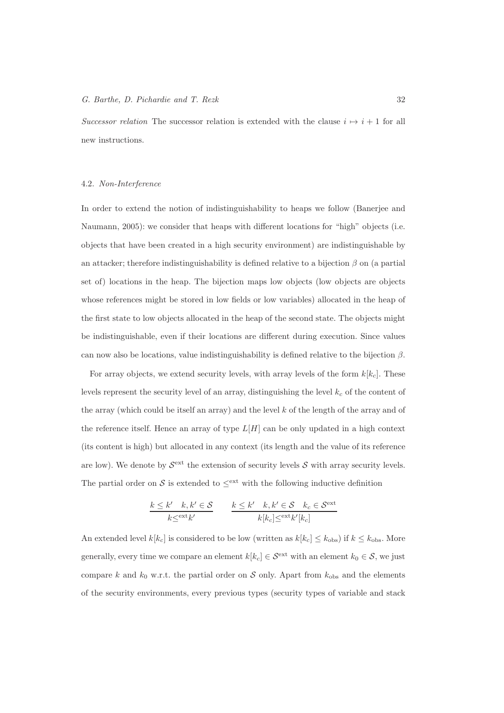Successor relation The successor relation is extended with the clause  $i \mapsto i + 1$  for all new instructions.

#### 4.2. Non-Interference

In order to extend the notion of indistinguishability to heaps we follow (Banerjee and Naumann, 2005): we consider that heaps with different locations for "high" objects (i.e. objects that have been created in a high security environment) are indistinguishable by an attacker; therefore indistinguishability is defined relative to a bijection  $\beta$  on (a partial set of) locations in the heap. The bijection maps low objects (low objects are objects whose references might be stored in low fields or low variables) allocated in the heap of the first state to low objects allocated in the heap of the second state. The objects might be indistinguishable, even if their locations are different during execution. Since values can now also be locations, value indistinguishability is defined relative to the bijection  $\beta$ .

For array objects, we extend security levels, with array levels of the form  $k[k_c]$ . These levels represent the security level of an array, distinguishing the level  $k_c$  of the content of the array (which could be itself an array) and the level k of the length of the array and of the reference itself. Hence an array of type  $L[H]$  can be only updated in a high context (its content is high) but allocated in any context (its length and the value of its reference are low). We denote by  $S^{\text{ext}}$  the extension of security levels S with array security levels. The partial order on S is extended to  $\leq^{\text{ext}}$  with the following inductive definition

$$
\frac{k \leq k' \quad k, k' \in \mathcal{S}}{k \leq \text{ext}_{k'}} \qquad \frac{k \leq k' \quad k, k' \in \mathcal{S} \quad k_c \in \mathcal{S}^{\text{ext}}}{k[k_c] \leq \text{ext}_{k'[k_c]}}
$$

An extended level  $k[k_c]$  is considered to be low (written as  $k[k_c] \leq k_{\text{obs}}$ ) if  $k \leq k_{\text{obs}}$ . More generally, every time we compare an element  $k[k_c] \in \mathcal{S}^{\text{ext}}$  with an element  $k_0 \in \mathcal{S}$ , we just compare k and  $k_0$  w.r.t. the partial order on S only. Apart from  $k_{obs}$  and the elements of the security environments, every previous types (security types of variable and stack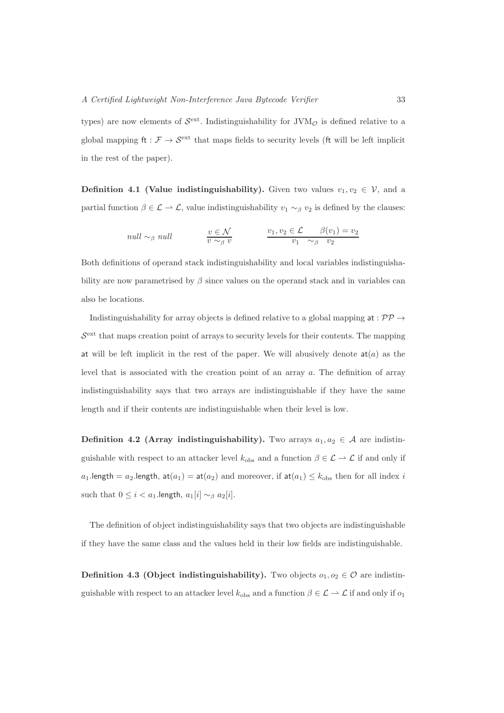types) are now elements of  $\mathcal{S}^{\text{ext}}$ . Indistinguishability for JVM<sub> $\mathcal{O}$ </sub> is defined relative to a global mapping  $\text{ft} : \mathcal{F} \to \mathcal{S}^{\text{ext}}$  that maps fields to security levels (ft will be left implicit in the rest of the paper).

**Definition 4.1 (Value indistinguishability).** Given two values  $v_1, v_2 \in V$ , and a partial function  $\beta \in \mathcal{L} \to \mathcal{L}$ , value indistinguishability  $v_1 \sim_\beta v_2$  is defined by the clauses:

$$
null \sim_{\beta} null \qquad \qquad \frac{v \in \mathcal{N}}{v \sim_{\beta} v} \qquad \qquad \frac{v_1, v_2 \in \mathcal{L} \qquad \beta(v_1) = v_2}{v_1 \sim_{\beta} v_2}
$$

Both definitions of operand stack indistinguishability and local variables indistinguishability are now parametrised by  $\beta$  since values on the operand stack and in variables can also be locations.

Indistinguishability for array objects is defined relative to a global mapping at :  $\mathcal{PP} \rightarrow$  $S<sup>ext</sup>$  that maps creation point of arrays to security levels for their contents. The mapping at will be left implicit in the rest of the paper. We will abusively denote  $a t(a)$  as the level that is associated with the creation point of an array a. The definition of array indistinguishability says that two arrays are indistinguishable if they have the same length and if their contents are indistinguishable when their level is low.

Definition 4.2 (Array indistinguishability). Two arrays  $a_1, a_2 \in \mathcal{A}$  are indistinguishable with respect to an attacker level  $k_{obs}$  and a function  $\beta \in \mathcal{L} \to \mathcal{L}$  if and only if  $a_1$ .length =  $a_2$ .length,  $at(a_1) = at(a_2)$  and moreover, if  $at(a_1) \leq k_{obs}$  then for all index i such that  $0 \leq i < a_1$ .length,  $a_1[i] \sim_\beta a_2[i]$ .

The definition of object indistinguishability says that two objects are indistinguishable if they have the same class and the values held in their low fields are indistinguishable.

**Definition 4.3 (Object indistinguishability).** Two objects  $o_1, o_2 \in \mathcal{O}$  are indistinguishable with respect to an attacker level  $k_{obs}$  and a function  $\beta \in \mathcal{L} \to \mathcal{L}$  if and only if  $o_1$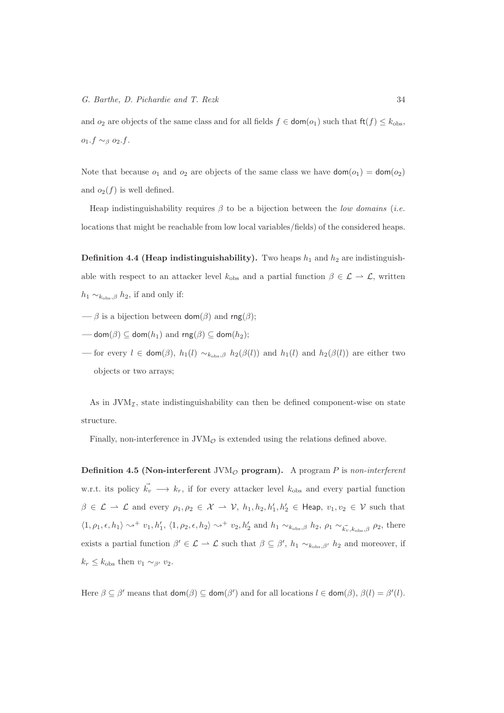and  $o_2$  are objects of the same class and for all fields  $f \in \text{dom}(o_1)$  such that  $\text{ft}(f) \leq k_{\text{obs}}$ ,  $o_1.f \sim_\beta o_2.f.$ 

Note that because  $o_1$  and  $o_2$  are objects of the same class we have  $\text{dom}(o_1) = \text{dom}(o_2)$ and  $o_2(f)$  is well defined.

Heap indistinguishability requires  $\beta$  to be a bijection between the low domains (i.e. locations that might be reachable from low local variables/fields) of the considered heaps.

**Definition 4.4 (Heap indistinguishability).** Two heaps  $h_1$  and  $h_2$  are indistinguishable with respect to an attacker level  $k_{obs}$  and a partial function  $\beta \in \mathcal{L} \to \mathcal{L}$ , written  $h_1 \sim_{k_{\text{obs}},\beta} h_2$ , if and only if:

- $\longrightarrow$  β is a bijection between dom( $\beta$ ) and rng( $\beta$ );
- dom( $\beta$ )  $\subset$  dom( $h_1$ ) and rng( $\beta$ )  $\subset$  dom( $h_2$ );
- for every  $l \in \text{dom}(\beta)$ ,  $h_1(l) \sim_{k_{\text{obs}}\beta} h_2(\beta(l))$  and  $h_1(l)$  and  $h_2(\beta(l))$  are either two objects or two arrays;

As in  $JVM<sub>I</sub>$ , state indistinguishability can then be defined component-wise on state structure.

Finally, non-interference in  $JVM<sub>O</sub>$  is extended using the relations defined above.

Definition 4.5 (Non-interferent  $JVM<sub>O</sub>$  program). A program P is non-interferent w.r.t. its policy  $\vec{k_v} \longrightarrow k_r$ , if for every attacker level  $k_{obs}$  and every partial function  $\beta \in \mathcal{L} \to \mathcal{L}$  and every  $\rho_1, \rho_2 \in \mathcal{X} \to \mathcal{V}$ ,  $h_1, h_2, h'_1, h'_2 \in \text{Heap}$ ,  $v_1, v_2 \in \mathcal{V}$  such that  $\langle 1, \rho_1, \epsilon, h_1 \rangle \rightsquigarrow^+ v_1, h'_1, \langle 1, \rho_2, \epsilon, h_2 \rangle \rightsquigarrow^+ v_2, h'_2$  and  $h_1 \sim_{k_{\text{obs}}, \beta} h_2, \rho_1 \sim_{\vec{k_v}, k_{\text{obs}}, \beta} \rho_2$ , there exists a partial function  $\beta' \in \mathcal{L} \to \mathcal{L}$  such that  $\beta \subseteq \beta'$ ,  $h_1 \sim_{k_{\text{obs}} , \beta'} h_2$  and moreover, if  $k_r \leq k_{\text{obs}}$  then  $v_1 \sim_{\beta'} v_2$ .

Here  $\beta \subseteq \beta'$  means that  $\text{dom}(\beta) \subseteq \text{dom}(\beta')$  and for all locations  $l \in \text{dom}(\beta)$ ,  $\beta(l) = \beta'(l)$ .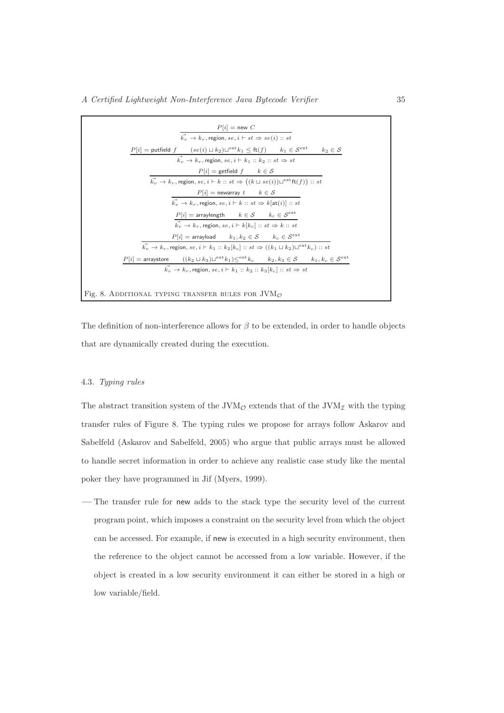| $P[i] = new C$                                                                                                                               |
|----------------------------------------------------------------------------------------------------------------------------------------------|
| $\overrightarrow{k_v} \rightarrow k_r$ , region, $se, i \vdash st \Rightarrow se(i) :: st$                                                   |
| $P[i] =$ putfield $f$ $(se(i) \sqcup k_2) \sqcup^{ext} k_1 \leq ft(f)$ $k_1 \in S^{ext}$ $k_2 \in S$                                         |
| $\vec{k_n} \rightarrow k_r$ , region, se, $i \vdash k_1 :: k_2 :: st \Rightarrow st$                                                         |
| $P[i]$ = getfield $f$ $k \in S$                                                                                                              |
| $\vec{k_v} \rightarrow k_r$ , region, $se, i \vdash k :: st \Rightarrow ((k \sqcup se(i))\sqcup^{ext}ft(f)) :: st$                           |
| $P[i] = \text{newarray } t \qquad k \in \mathcal{S}$                                                                                         |
| $\vec{k_v} \rightarrow k_r$ , region, $se, i \vdash k :: st \Rightarrow k[\texttt{at}(i)] :: st$                                             |
| $P[i]$ = arraylength $k \in S$ $k_c \in S^{\text{ext}}$                                                                                      |
| $\overrightarrow{k_v} \rightarrow \overleftarrow{k_r},$ region, $se, i \vdash k[k_c] :: st \Rightarrow k :: st$                              |
| $P[i]$ = arrayload $k_1, k_2 \in S$ $k_c \in S^{\text{ext}}$                                                                                 |
| $\vec{k_v} \to k_r$ , region, se, $i \vdash k_1 :: k_2[k_c] :: st \Rightarrow ((k_1 \sqcup k_2) \sqcup^{ext} k_c) :: st$                     |
| $P[i] = \text{arraystore}$ $((k_2 \sqcup k_3) \sqcup^{\text{ext}} k_1) \leq^{\text{ext}} k_c$ $k_2, k_3 \in S$ $k_1, k_c \in S^{\text{ext}}$ |
| $\vec{k_v} \rightarrow k_r$ , region, se, $i \vdash k_1 :: k_2 :: k_3[k_c] :: st \Rightarrow st$                                             |
|                                                                                                                                              |
| Fig. 8. ADDITIONAL TYPING TRANSFER RULES FOR $JVM_{\mathcal{O}}$                                                                             |

The definition of non-interference allows for  $\beta$  to be extended, in order to handle objects that are dynamically created during the execution.

#### 4.3. Typing rules

The abstract transition system of the JVM<sub>O</sub> extends that of the JVM<sub>I</sub> with the typing transfer rules of Figure 8. The typing rules we propose for arrays follow Askarov and Sabelfeld (Askarov and Sabelfeld, 2005) who argue that public arrays must be allowed to handle secret information in order to achieve any realistic case study like the mental poker they have programmed in Jif (Myers, 1999).

— The transfer rule for new adds to the stack type the security level of the current program point, which imposes a constraint on the security level from which the object can be accessed. For example, if new is executed in a high security environment, then the reference to the object cannot be accessed from a low variable. However, if the object is created in a low security environment it can either be stored in a high or low variable/field.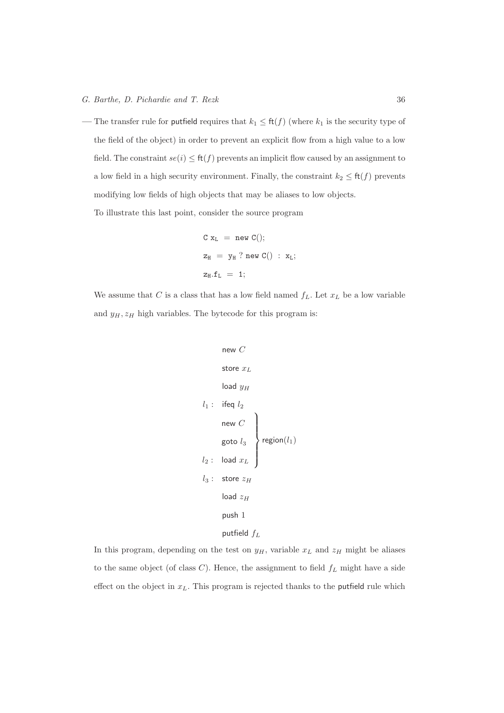— The transfer rule for putfield requires that  $k_1 \leq \text{ft}(f)$  (where  $k_1$  is the security type of the field of the object) in order to prevent an explicit flow from a high value to a low field. The constraint  $se(i) \leq ft(f)$  prevents an implicit flow caused by an assignment to a low field in a high security environment. Finally, the constraint  $k_2 \leq \text{ft}(f)$  prevents modifying low fields of high objects that may be aliases to low objects.

To illustrate this last point, consider the source program

$$
\begin{array}{lcl} \texttt{C x}_L \; = \; \texttt{new C}(); \\ \texttt{z}_H \; = \; \texttt{y}_H \; ? \; \texttt{new C}() \; : \; \texttt{x}_L; \\ \texttt{z}_H . \texttt{f}_L \; = \; \texttt{1}; \end{array}
$$

We assume that C is a class that has a low field named  $f_L$ . Let  $x_L$  be a low variable and  $y_H, z_H$  high variables. The bytecode for this program is:

$$
\begin{array}{ccc}\n\text{new } C \\
\text{store } x_L \\
\text{load } y_H \\
\end{array}
$$
\n
$$
l_1: \text{ ifeq } l_2 \\
\text{new } C \\
\text{goto } l_3 \\
l_2: \text{ load } x_L \\
l_3: \text{ store } z_H \\
\text{load } z_H \\
\text{push } 1 \\
\text{putfield } f_L
$$

In this program, depending on the test on  $y_H$ , variable  $x_L$  and  $z_H$  might be aliases to the same object (of class  $C$ ). Hence, the assignment to field  $f_L$  might have a side effect on the object in  $x_L$ . This program is rejected thanks to the putfield rule which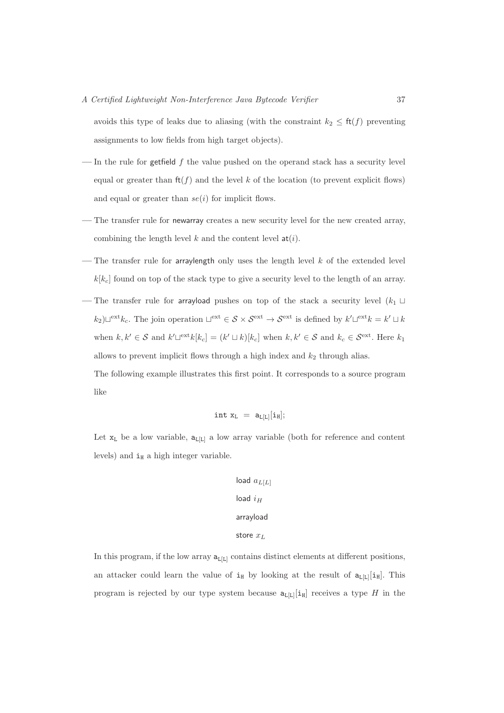avoids this type of leaks due to aliasing (with the constraint  $k_2 \leq \text{ft}(f)$  preventing assignments to low fields from high target objects).

- In the rule for getfield  $f$  the value pushed on the operand stack has a security level equal or greater than  $f(f)$  and the level k of the location (to prevent explicit flows) and equal or greater than  $se(i)$  for implicit flows.
- The transfer rule for newarray creates a new security level for the new created array, combining the length level k and the content level  $a(t)$ .
- The transfer rule for arraylength only uses the length level  $k$  of the extended level  $k[k_c]$  found on top of the stack type to give a security level to the length of an array.
- The transfer rule for arrayload pushes on top of the stack a security level  $(k_1 \cup$  $(k_2) \sqcup^{\text{ext}} k_c$ . The join operation  $\sqcup^{\text{ext}} \in S \times S^{\text{ext}} \to S^{\text{ext}}$  is defined by  $k' \sqcup^{\text{ext}} k = k' \sqcup k$ when  $k, k' \in \mathcal{S}$  and  $k' \sqcup^{\text{ext}} k[k_c] = (k' \sqcup k)[k_c]$  when  $k, k' \in \mathcal{S}$  and  $k_c \in \mathcal{S}^{\text{ext}}$ . Here  $k_1$ allows to prevent implicit flows through a high index and  $k_2$  through alias.

The following example illustrates this first point. It corresponds to a source program like

$$
\mathtt{int}\ x_L\ =\ \mathtt{a}_{L[L]}[\mathtt{i}_H];
$$

Let  $x_L$  be a low variable,  $a_L_{L}[L]$  a low array variable (both for reference and content levels) and  $i_H$  a high integer variable.

```
load a_{L[L]}load i_Harrayload
store x_L
```
In this program, if the low array  $a_{L[L]}$  contains distinct elements at different positions, an attacker could learn the value of  $i_H$  by looking at the result of  $a_L[i_H]$ . This program is rejected by our type system because  $a_{L[L]}[i_H]$  receives a type H in the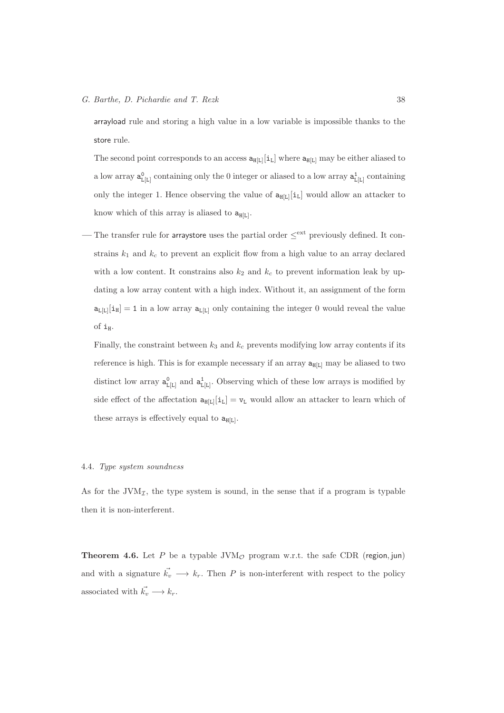arrayload rule and storing a high value in a low variable is impossible thanks to the store rule.

The second point corresponds to an access  $a_{H[L]}[i_L]$  where  $a_{H[L]}$  may be either aliased to a low array  $a_{L[L]}^0$  containing only the 0 integer or aliased to a low array  $a_{L[L]}^1$  containing only the integer 1. Hence observing the value of  $a_{H[L]}[i_L]$  would allow an attacker to know which of this array is aliased to  $a_{H[L]}$ .

— The transfer rule for arraystore uses the partial order ≤<sup>ext</sup> previously defined. It constrains  $k_1$  and  $k_c$  to prevent an explicit flow from a high value to an array declared with a low content. It constrains also  $k_2$  and  $k_c$  to prevent information leak by updating a low array content with a high index. Without it, an assignment of the form  $a_{L[L]}[i_H] = 1$  in a low array  $a_{L[L]}$  only containing the integer 0 would reveal the value of  $i_H$ .

Finally, the constraint between  $k_3$  and  $k_c$  prevents modifying low array contents if its reference is high. This is for example necessary if an array  $a_{H[L]}$  may be aliased to two distinct low array  $a_{L[L]}^0$  and  $a_{L[L]}^1$ . Observing which of these low arrays is modified by side effect of the affectation  $a_{\text{H}[L]}[i_L] = v_L$  would allow an attacker to learn which of these arrays is effectively equal to  $a_{H[L]}$ .

## 4.4. Type system soundness

As for the  $JVM_{\mathcal{I}}$ , the type system is sound, in the sense that if a program is typable then it is non-interferent.

**Theorem 4.6.** Let P be a typable  $JVM<sub>O</sub>$  program w.r.t. the safe CDR (region, jun) and with a signature  $\vec{k_v} \longrightarrow k_r$ . Then P is non-interferent with respect to the policy associated with  $\vec{k_v} \longrightarrow k_r$ .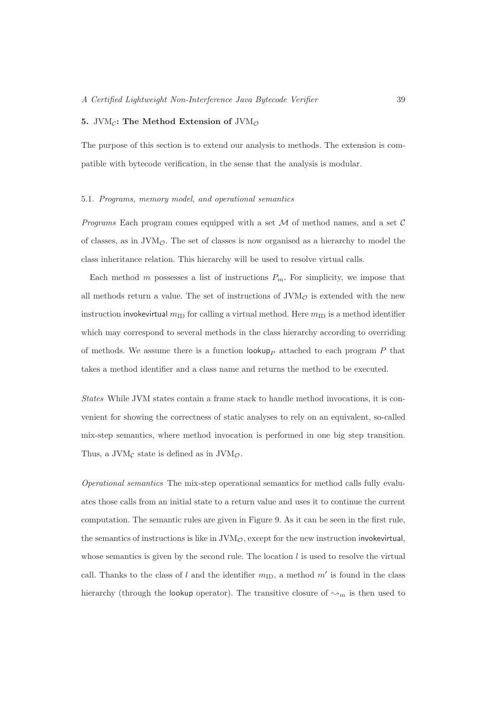#### 5. JVM<sub>C</sub>: The Method Extension of JVM<sub> $\phi$ </sub>

The purpose of this section is to extend our analysis to methods. The extension is compatible with bytecode verification, in the sense that the analysis is modular.

#### 5.1. Programs, memory model, and operational semantics

*Programs* Each program comes equipped with a set  $M$  of method names, and a set  $C$ of classes, as in  $\text{JVM}_\mathcal{O}$ . The set of classes is now organised as a hierarchy to model the class inheritance relation. This hierarchy will be used to resolve virtual calls.

Each method m possesses a list of instructions  $P_m$ . For simplicity, we impose that all methods return a value. The set of instructions of  $JVM<sub>O</sub>$  is extended with the new instruction invokevirtual  $m_{\text{ID}}$  for calling a virtual method. Here  $m_{\text{ID}}$  is a method identifier which may correspond to several methods in the class hierarchy according to overriding of methods. We assume there is a function  $\mathsf{lookupp}_{P}$  attached to each program P that takes a method identifier and a class name and returns the method to be executed.

States While JVM states contain a frame stack to handle method invocations, it is convenient for showing the correctness of static analyses to rely on an equivalent, so-called mix-step semantics, where method invocation is performed in one big step transition. Thus, a JVM<sub>C</sub> state is defined as in JVM $_{\mathcal{O}}$ .

Operational semantics The mix-step operational semantics for method calls fully evaluates those calls from an initial state to a return value and uses it to continue the current computation. The semantic rules are given in Figure 9. As it can be seen in the first rule, the semantics of instructions is like in  $JVM<sub>\mathcal{O}</sub>$ , except for the new instruction invokevirtual, whose semantics is given by the second rule. The location  $l$  is used to resolve the virtual call. Thanks to the class of l and the identifier  $m_{\text{ID}}$ , a method  $m'$  is found in the class hierarchy (through the lookup operator). The transitive closure of  $\sim_m$  is then used to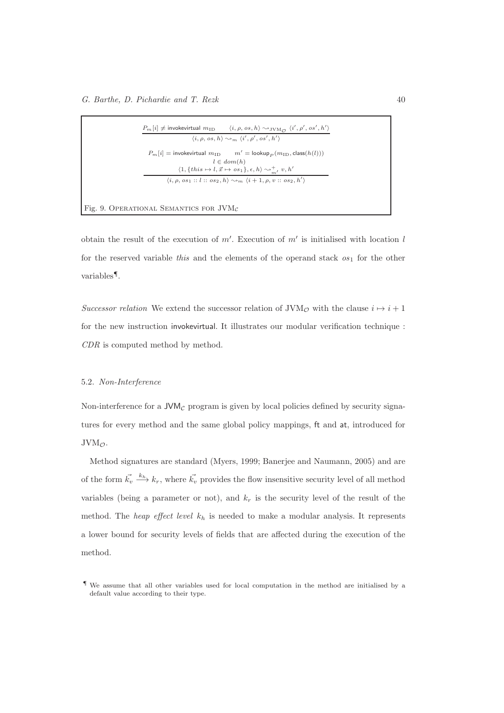|  | $\langle i, \rho, os, h \rangle \rightsquigarrow_m \langle i', \rho', os', h' \rangle$                    |
|--|-----------------------------------------------------------------------------------------------------------|
|  | $P_m[i] =$ invokevirtual $m_{\text{ID}}$ $m' =$ lookup <sub>p</sub> $(m_{\text{ID}}, \text{class}(h(l)))$ |
|  | $l \in dom(h)$                                                                                            |
|  | $\langle 1, \{this \mapsto l, \vec{x} \mapsto os_1\}, \epsilon, h \rangle \rightsquigarrow_m^{\pm} v, h'$ |
|  | $\langle i, \rho, os_1 :: l :: os_2, h \rangle \rightarrow_m \langle i+1, \rho, v :: os_2, h' \rangle$    |

Fig. 9. OPERATIONAL SEMANTICS FOR  $JVM$ 

obtain the result of the execution of  $m'$ . Execution of  $m'$  is initialised with location l for the reserved variable this and the elements of the operand stack  $\sigma s_1$  for the other variables¶.

Successor relation We extend the successor relation of JVM<sub>O</sub> with the clause  $i \mapsto i + 1$ for the new instruction invokevirtual. It illustrates our modular verification technique : CDR is computed method by method.

#### 5.2. Non-Interference

Non-interference for a  $JVM<sub>C</sub>$  program is given by local policies defined by security signatures for every method and the same global policy mappings, ft and at, introduced for  $JVM_{\mathcal{O}}$ .

Method signatures are standard (Myers, 1999; Banerjee and Naumann, 2005) and are of the form  $\vec{k_v} \stackrel{k_h}{\longrightarrow} k_r$ , where  $\vec{k_v}$  provides the flow insensitive security level of all method variables (being a parameter or not), and  $k_r$  is the security level of the result of the method. The *heap effect level*  $k_h$  is needed to make a modular analysis. It represents a lower bound for security levels of fields that are affected during the execution of the method.

<sup>¶</sup> We assume that all other variables used for local computation in the method are initialised by a default value according to their type.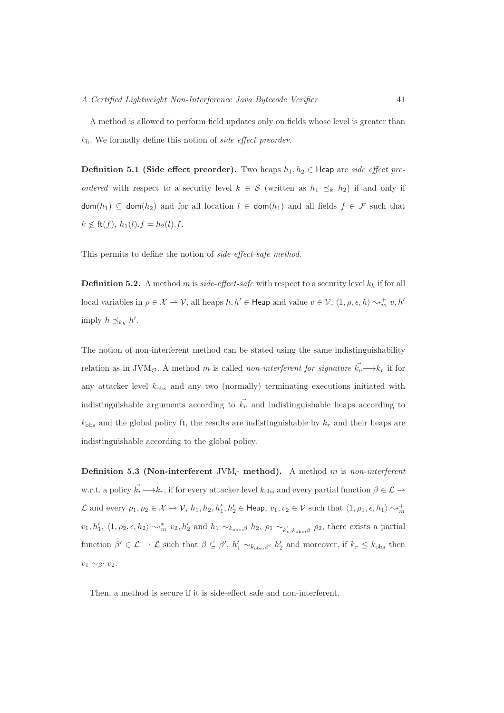A method is allowed to perform field updates only on fields whose level is greater than  $k<sub>h</sub>$ . We formally define this notion of side effect preorder.

**Definition 5.1 (Side effect preorder).** Two heaps  $h_1, h_2 \in$  Heap are side effect preordered with respect to a security level  $k \in S$  (written as  $h_1 \preceq_k h_2$ ) if and only if  $\textsf{dom}(h_1) \subseteq \textsf{dom}(h_2)$  and for all location  $l \in \textsf{dom}(h_1)$  and all fields  $f \in \mathcal{F}$  such that  $k \not\leq$  ft $(f), h_1(l).f = h_2(l).f.$ 

This permits to define the notion of side-effect-safe method.

**Definition 5.2.** A method m is side-effect-safe with respect to a security level  $k_h$  if for all local variables in  $\rho \in \mathcal{X} \to \mathcal{V}$ , all heaps  $h, h' \in \mathsf{Heap}$  and value  $v \in \mathcal{V}$ ,  $\langle 1, \rho, \epsilon, h \rangle \sim_m^+ v, h'$ imply  $h \preceq_{k_h} h'$ .

The notion of non-interferent method can be stated using the same indistinguishability relation as in JVM<sub>O</sub>. A method m is called non-interferent for signature  $\vec{k_v} \rightarrow k_r$  if for any attacker level  $k_{\text{obs}}$  and any two (normally) terminating executions initiated with indistinguishable arguments according to  $\vec{k_v}$  and indistinguishable heaps according to  $k_{\text{obs}}$  and the global policy ft, the results are indistinguishable by  $k_r$  and their heaps are indistinguishable according to the global policy.

Definition 5.3 (Non-interferent JVM<sub>C</sub> method). A method m is non-interferent w.r.t. a policy  $\vec{k_v} \longrightarrow k_r$ , if for every attacker level  $k_{obs}$  and every partial function  $\beta \in \mathcal{L} \longrightarrow$ L and every  $\rho_1, \rho_2 \in \mathcal{X} \to \mathcal{V}$ ,  $h_1, h_2, h'_1, h'_2 \in \text{Heap}$ ,  $v_1, v_2 \in \mathcal{V}$  such that  $\langle 1, \rho_1, \epsilon, h_1 \rangle \sim_m^+$  $v_1, h'_1, \langle 1, \rho_2, \epsilon, h_2 \rangle \rightsquigarrow_m^* v_2, h'_2$  and  $h_1 \sim_{k_{\text{obs}}, \beta} h_2, \rho_1 \sim_{\vec{k_v}, k_{\text{obs}}, \beta} \rho_2$ , there exists a partial function  $\beta' \in \mathcal{L} \to \mathcal{L}$  such that  $\beta \subseteq \beta', h'_1 \sim_{k_{\text{obs}}, \beta'} h'_2$  and moreover, if  $k_r \leq k_{\text{obs}}$  then  $v_1 \sim_{\beta'} v_2$ .

Then, a method is secure if it is side-effect safe and non-interferent.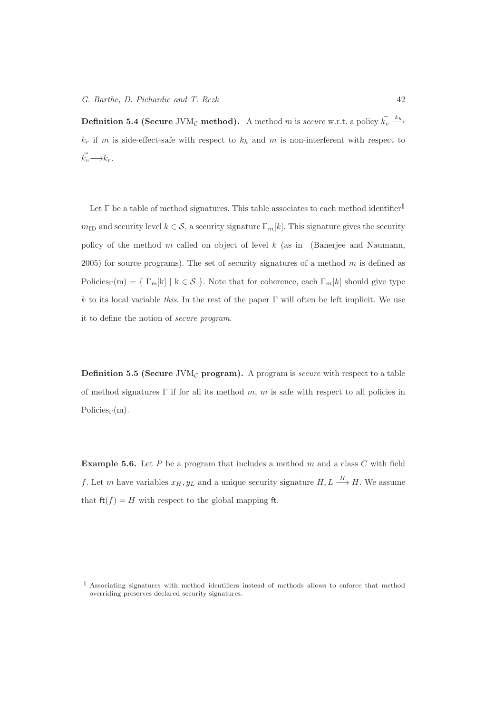Definition 5.4 (Secure JVM<sub>C</sub> method). A method m is secure w.r.t. a policy  $\vec{k_v} \stackrel{k_h}{\longrightarrow}$  $k_r$  if m is side-effect-safe with respect to  $k_h$  and m is non-interferent with respect to  $\vec{k_v} \longrightarrow k_r$ .

Let  $\Gamma$  be a table of method signatures. This table associates to each method identifier  $m_{\text{ID}}$  and security level  $k \in \mathcal{S}$ , a security signature  $\Gamma_m[k]$ . This signature gives the security policy of the method  $m$  called on object of level  $k$  (as in (Banerjee and Naumann, 2005) for source programs). The set of security signatures of a method  $m$  is defined as Policies<sub>Γ</sub>(m) = {  $\Gamma_m[k] \mid k \in S$  }. Note that for coherence, each  $\Gamma_m[k]$  should give type k to its local variable this. In the rest of the paper  $\Gamma$  will often be left implicit. We use it to define the notion of secure program.

**Definition 5.5 (Secure** JVM<sub>C</sub> program). A program is *secure* with respect to a table of method signatures  $\Gamma$  if for all its method m, m is safe with respect to all policies in Policies $\Gamma(m)$ .

**Example 5.6.** Let  $P$  be a program that includes a method  $m$  and a class  $C$  with field f. Let m have variables  $x_H, y_L$  and a unique security signature  $H, L \stackrel{H}{\longrightarrow} H$ . We assume that  $ft(f) = H$  with respect to the global mapping ft.

 $\parallel$  Associating signatures with method identifiers instead of methods allows to enforce that method overriding preserves declared security signatures.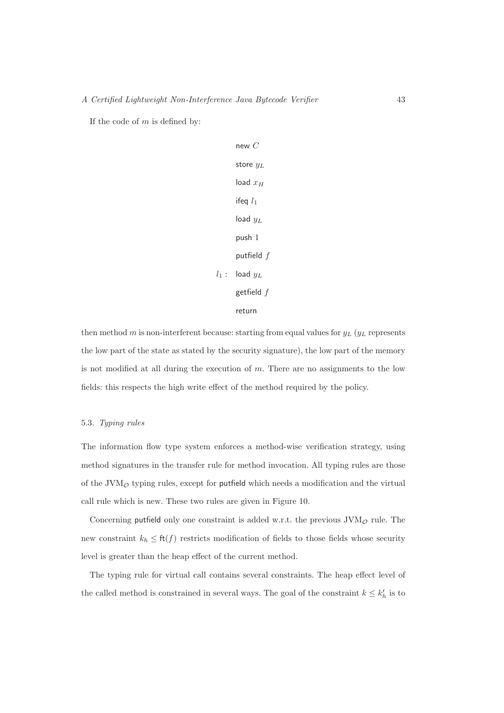If the code of  $m$  is defined by:

new 
$$
C
$$
  
\nstore  $y_L$   
\nload  $x_H$   
\nifeq  $l_1$   
\nload  $y_L$   
\npush 1  
\nputfield  $f$   
\n: load  $y_L$   
\ngetfield  $f$   
\nreturn

 $l_1$ 

then method m is non-interferent because: starting from equal values for  $y_L$  ( $y_L$  represents the low part of the state as stated by the security signature), the low part of the memory is not modified at all during the execution of  $m$ . There are no assignments to the low fields: this respects the high write effect of the method required by the policy.

## 5.3. Typing rules

The information flow type system enforces a method-wise verification strategy, using method signatures in the transfer rule for method invocation. All typing rules are those of the JVM $_{\mathcal{O}}$  typing rules, except for putfield which needs a modification and the virtual call rule which is new. These two rules are given in Figure 10.

Concerning putfield only one constraint is added w.r.t. the previous  $\text{JVM}_\mathcal{O}$  rule. The new constraint  $k_h \leq \text{ft}(f)$  restricts modification of fields to those fields whose security level is greater than the heap effect of the current method.

The typing rule for virtual call contains several constraints. The heap effect level of the called method is constrained in several ways. The goal of the constraint  $k \leq k'_{h}$  is to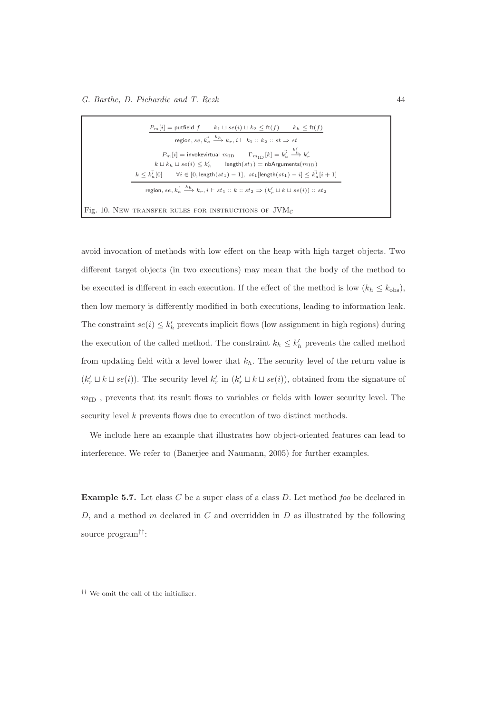|  | $P_m[i] =$ putfield $f$ $k_1 \sqcup se(i) \sqcup k_2 \leq f(t)$ $k_h \leq f(t)$                                                          |  |
|--|------------------------------------------------------------------------------------------------------------------------------------------|--|
|  | region, se, $\vec{k}_a \stackrel{k_h}{\longrightarrow} k_r$ , $i \vdash k_1 :: k_2 :: st \Rightarrow st$                                 |  |
|  | $P_m[i]$ = invokevirtual $m_{\text{ID}}$ $\Gamma_{m_{\text{ID}}}[k] = k_a^7 \frac{k_b^7}{4} k_r^7$                                       |  |
|  | $k \sqcup k_h \sqcup se(i) \leq k'_h$ length $(st_1)$ = nbArguments $(m_{\text{ID}})$                                                    |  |
|  | $k \leq k_n^j[0]$ $\forall i \in [0, \text{length}(st_1) - 1], st_1[\text{length}(st_1) - i] \leq k_n^j[i+1]$                            |  |
|  | region, $se, \vec{k_a} \stackrel{k_h}{\longrightarrow} k_r, i \vdash st_1 :: k :: st_2 \Rightarrow (k'_r \sqcup k \sqcup se(i)) :: st_2$ |  |
|  |                                                                                                                                          |  |
|  | Fig. 10. NEW TRANSFER RULES FOR INSTRUCTIONS OF $JVMc$                                                                                   |  |

avoid invocation of methods with low effect on the heap with high target objects. Two different target objects (in two executions) may mean that the body of the method to be executed is different in each execution. If the effect of the method is low  $(k_h \leq k_{\text{obs}})$ , then low memory is differently modified in both executions, leading to information leak. The constraint  $se(i) \leq k'_{h}$  prevents implicit flows (low assignment in high regions) during the execution of the called method. The constraint  $k_h \leq k'_h$  prevents the called method from updating field with a level lower that  $k<sub>h</sub>$ . The security level of the return value is  $(k'_r \sqcup k \sqcup se(i))$ . The security level  $k'_r$  in  $(k'_r \sqcup k \sqcup se(i))$ , obtained from the signature of  $m_{\text{ID}}$  , prevents that its result flows to variables or fields with lower security level. The security level k prevents flows due to execution of two distinct methods.

We include here an example that illustrates how object-oriented features can lead to interference. We refer to (Banerjee and Naumann, 2005) for further examples.

**Example 5.7.** Let class C be a super class of a class D. Let method foo be declared in D, and a method m declared in C and overridden in  $D$  as illustrated by the following source program††:

†† We omit the call of the initializer.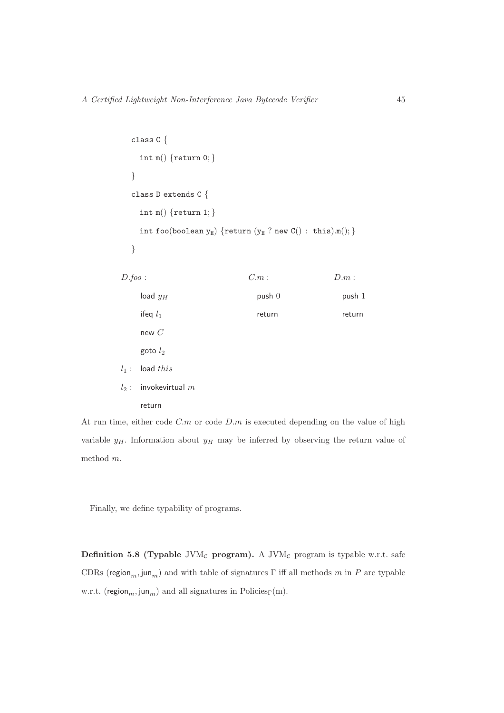```
class C {
   int m() {return 0; }
  }
  class D extends C {
   int m() {return 1; }
   int foo(boolean y_H) {return (y_H ? new C() : this).m(); }
  }
D.foo: C.m: D.m:\log y_H push 0 push 1
   ifeq l_1 return return return
   new C
   goto l_2l_1: load this
l_2 : invokevirtual m
```
return

At run time, either code  $C.m$  or code  $D.m$  is executed depending on the value of high variable  $y_H$ . Information about  $y_H$  may be inferred by observing the return value of method m.

Finally, we define typability of programs.

Definition 5.8 (Typable JVM<sub>C</sub> program). A JVM<sub>C</sub> program is typable w.r.t. safe CDRs (region<sub>m</sub>, jun<sub>m</sub>) and with table of signatures  $\Gamma$  iff all methods m in P are typable w.r.t. (region<sub>m</sub>, jun<sub>m</sub>) and all signatures in Policies<sub>Γ</sub>(m).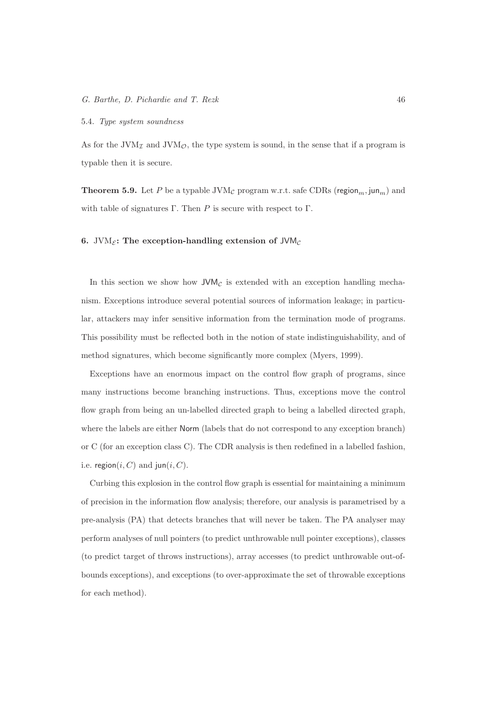#### 5.4. Type system soundness

As for the JVM<sub> $\tau$ </sub> and JVM<sub> $\varphi$ </sub>, the type system is sound, in the sense that if a program is typable then it is secure.

**Theorem 5.9.** Let P be a typable JVM<sub>C</sub> program w.r.t. safe CDRs (region<sub>m</sub>, jun<sub>m</sub>) and with table of signatures Γ. Then P is secure with respect to  $\Gamma$ .

## 6. JVM $_{\mathcal{E}}$ : The exception-handling extension of JVM $_{\mathcal{C}}$

In this section we show how  $JVM<sub>C</sub>$  is extended with an exception handling mechanism. Exceptions introduce several potential sources of information leakage; in particular, attackers may infer sensitive information from the termination mode of programs. This possibility must be reflected both in the notion of state indistinguishability, and of method signatures, which become significantly more complex (Myers, 1999).

Exceptions have an enormous impact on the control flow graph of programs, since many instructions become branching instructions. Thus, exceptions move the control flow graph from being an un-labelled directed graph to being a labelled directed graph, where the labels are either Norm (labels that do not correspond to any exception branch) or C (for an exception class C). The CDR analysis is then redefined in a labelled fashion, i.e. region $(i, C)$  and jun $(i, C)$ .

Curbing this explosion in the control flow graph is essential for maintaining a minimum of precision in the information flow analysis; therefore, our analysis is parametrised by a pre-analysis (PA) that detects branches that will never be taken. The PA analyser may perform analyses of null pointers (to predict unthrowable null pointer exceptions), classes (to predict target of throws instructions), array accesses (to predict unthrowable out-ofbounds exceptions), and exceptions (to over-approximate the set of throwable exceptions for each method).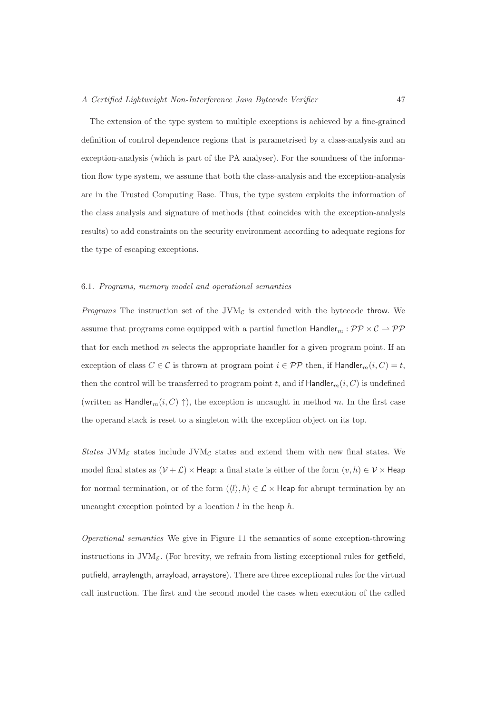The extension of the type system to multiple exceptions is achieved by a fine-grained definition of control dependence regions that is parametrised by a class-analysis and an exception-analysis (which is part of the PA analyser). For the soundness of the information flow type system, we assume that both the class-analysis and the exception-analysis are in the Trusted Computing Base. Thus, the type system exploits the information of the class analysis and signature of methods (that coincides with the exception-analysis results) to add constraints on the security environment according to adequate regions for the type of escaping exceptions.

# 6.1. Programs, memory model and operational semantics

*Programs* The instruction set of the JVM $<sub>C</sub>$  is extended with the bytecode throw. We</sub> assume that programs come equipped with a partial function  $\text{Handler}_m : \mathcal{PP} \times \mathcal{C} \rightarrow \mathcal{PP}$ that for each method  $m$  selects the appropriate handler for a given program point. If an exception of class  $C \in \mathcal{C}$  is thrown at program point  $i \in \mathcal{PP}$  then, if Handler $m(i, C) = t$ , then the control will be transferred to program point t, and if  $\text{Handler}_m(i, C)$  is undefined (written as Handler<sub>m</sub> $(i, C) \uparrow$ ), the exception is uncaught in method m. In the first case the operand stack is reset to a singleton with the exception object on its top.

States JVM<sub>C</sub> states include JVM<sub>C</sub> states and extend them with new final states. We model final states as  $(\mathcal{V} + \mathcal{L}) \times$  Heap: a final state is either of the form  $(v, h) \in \mathcal{V} \times$  Heap for normal termination, or of the form  $(\langle l \rangle, h) \in \mathcal{L} \times$  Heap for abrupt termination by an uncaught exception pointed by a location  $l$  in the heap  $h$ .

Operational semantics We give in Figure 11 the semantics of some exception-throwing instructions in  $JVM_{\mathcal{E}}$ . (For brevity, we refrain from listing exceptional rules for getfield, putfield, arraylength, arrayload, arraystore). There are three exceptional rules for the virtual call instruction. The first and the second model the cases when execution of the called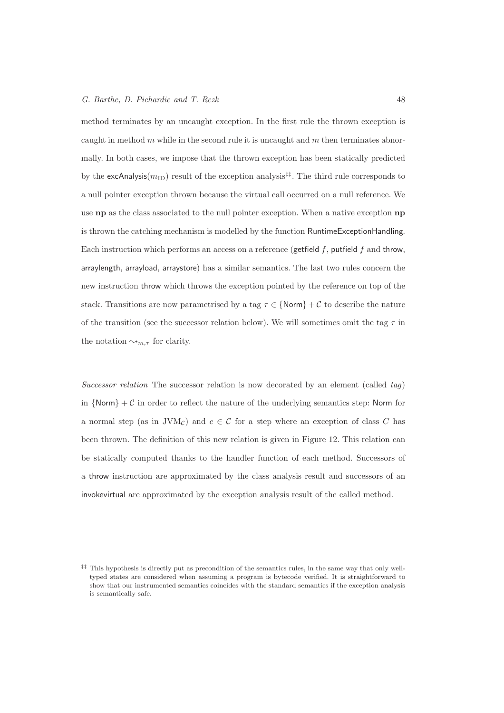#### G. Barthe, D. Pichardie and T. Rezk 48

method terminates by an uncaught exception. In the first rule the thrown exception is caught in method  $m$  while in the second rule it is uncaught and  $m$  then terminates abnormally. In both cases, we impose that the thrown exception has been statically predicted by the excAnalysis( $m_{\text{ID}}$ ) result of the exception analysis<sup>‡‡</sup>. The third rule corresponds to a null pointer exception thrown because the virtual call occurred on a null reference. We use **np** as the class associated to the null pointer exception. When a native exception **np** is thrown the catching mechanism is modelled by the function RuntimeExceptionHandling. Each instruction which performs an access on a reference (getfield  $f$ , putfield  $f$  and throw, arraylength, arrayload, arraystore) has a similar semantics. The last two rules concern the new instruction throw which throws the exception pointed by the reference on top of the stack. Transitions are now parametrised by a tag  $\tau \in \{\text{Norm}\} + C$  to describe the nature of the transition (see the successor relation below). We will sometimes omit the tag  $\tau$  in the notation  $\rightsquigarrow_{m,\tau}$  for clarity.

Successor relation The successor relation is now decorated by an element (called  $tag$ ) in  $\{Norm\} + C$  in order to reflect the nature of the underlying semantics step: Norm for a normal step (as in JVMc) and  $c \in \mathcal{C}$  for a step where an exception of class C has been thrown. The definition of this new relation is given in Figure 12. This relation can be statically computed thanks to the handler function of each method. Successors of a throw instruction are approximated by the class analysis result and successors of an invokevirtual are approximated by the exception analysis result of the called method.

<sup>‡‡</sup> This hypothesis is directly put as precondition of the semantics rules, in the same way that only welltyped states are considered when assuming a program is bytecode verified. It is straightforward to show that our instrumented semantics coincides with the standard semantics if the exception analysis is semantically safe.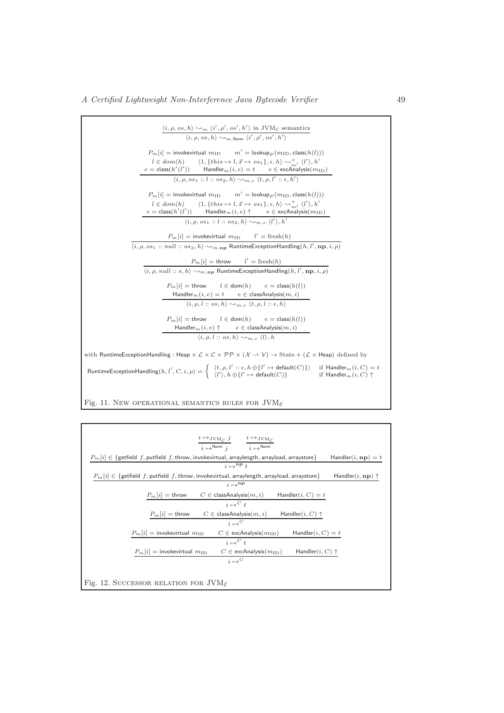

Fig. 11. New OPERATIONAL SEMANTICS RULES FOR  $\text{JVM}_{\mathcal{E}}$ 

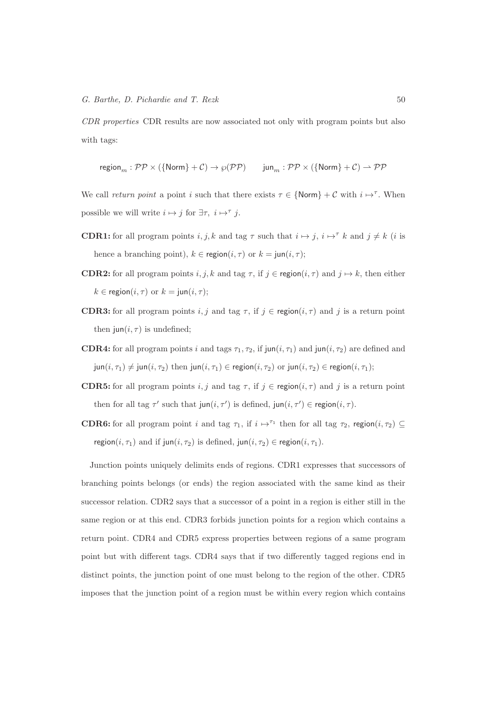CDR properties CDR results are now associated not only with program points but also with tags:

$$
\operatorname{region}_m : \mathcal{PP} \times (\{\text{Norm}\} + \mathcal{C}) \to \wp(\mathcal{PP}) \qquad \operatorname{jun}_m : \mathcal{PP} \times (\{\text{Norm}\} + \mathcal{C}) \rightharpoonup \mathcal{PP}
$$

We call return point a point i such that there exists  $\tau \in \{\text{Norm}\} + C$  with  $i \mapsto^{\tau}$ . When possible we will write  $i \mapsto j$  for  $\exists \tau, i \mapsto^{\tau} j$ .

- **CDR1:** for all program points i, j, k and tag  $\tau$  such that  $i \mapsto j$ ,  $i \mapsto \tau$  k and  $j \neq k$  (i is hence a branching point),  $k \in \text{region}(i, \tau)$  or  $k = \text{jun}(i, \tau)$ ;
- **CDR2:** for all program points i, j, k and tag  $\tau$ , if  $j \in \text{region}(i, \tau)$  and  $j \mapsto k$ , then either  $k \in \text{region}(i, \tau)$  or  $k = \text{jun}(i, \tau);$
- **CDR3:** for all program points i, j and tag  $\tau$ , if  $j \in \text{region}(i, \tau)$  and j is a return point then  $\text{jun}(i, \tau)$  is undefined;
- **CDR4:** for all program points i and tags  $\tau_1$ ,  $\tau_2$ , if jun(i,  $\tau_1$ ) and jun(i,  $\tau_2$ ) are defined and  $\mathsf{jun}(i,\tau_1)\neq \mathsf{jun}(i,\tau_2)$  then  $\mathsf{jun}(i,\tau_1)\in \mathsf{region}(i,\tau_2)$  or  $\mathsf{jun}(i,\tau_2)\in \mathsf{region}(i,\tau_1);$
- **CDR5:** for all program points i, j and tag  $\tau$ , if  $j \in \text{region}(i, \tau)$  and j is a return point then for all tag  $\tau'$  such that  $\text{jun}(i, \tau')$  is defined,  $\text{jun}(i, \tau') \in \text{region}(i, \tau)$ .
- **CDR6:** for all program point i and tag  $\tau_1$ , if  $i \mapsto^{\tau_1}$  then for all tag  $\tau_2$ , region $(i, \tau_2) \subseteq$ region $(i, \tau_1)$  and if jun $(i, \tau_2)$  is defined, jun $(i, \tau_2) \in \text{region}(i, \tau_1)$ .

Junction points uniquely delimits ends of regions. CDR1 expresses that successors of branching points belongs (or ends) the region associated with the same kind as their successor relation. CDR2 says that a successor of a point in a region is either still in the same region or at this end. CDR3 forbids junction points for a region which contains a return point. CDR4 and CDR5 express properties between regions of a same program point but with different tags. CDR4 says that if two differently tagged regions end in distinct points, the junction point of one must belong to the region of the other. CDR5 imposes that the junction point of a region must be within every region which contains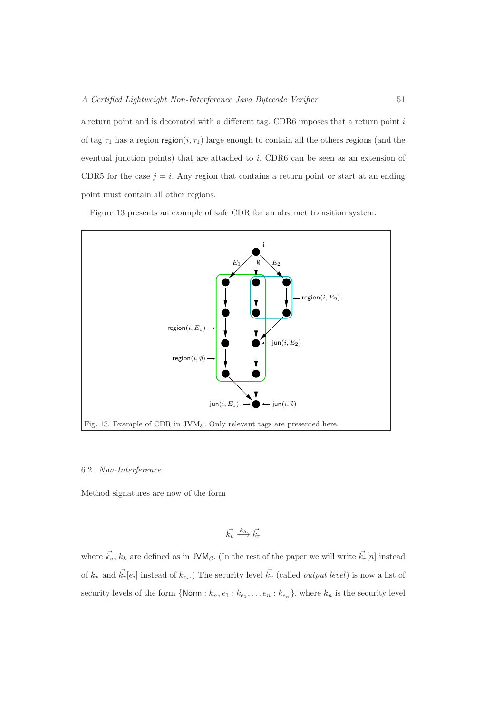a return point and is decorated with a different tag. CDR6 imposes that a return point i of tag  $\tau_1$  has a region region(i,  $\tau_1$ ) large enough to contain all the others regions (and the eventual junction points) that are attached to i. CDR6 can be seen as an extension of CDR5 for the case  $j = i$ . Any region that contains a return point or start at an ending point must contain all other regions.

Figure 13 presents an example of safe CDR for an abstract transition system.



#### 6.2. Non-Interference

Method signatures are now of the form

$$
\vec{k_v} \xrightarrow{k_h} \vec{k_r}
$$

where  $\vec{k_v}$ ,  $k_h$  are defined as in JVM<sub>C</sub>. (In the rest of the paper we will write  $\vec{k_r}[n]$  instead of  $k_n$  and  $\vec{k_r}[e_i]$  instead of  $k_{e_i}$ .) The security level  $\vec{k_r}$  (called *output level*) is now a list of security levels of the form  $\{Norm : k_n, e_1 : k_{e_1}, \ldots e_n : k_{e_n}\}$ , where  $k_n$  is the security level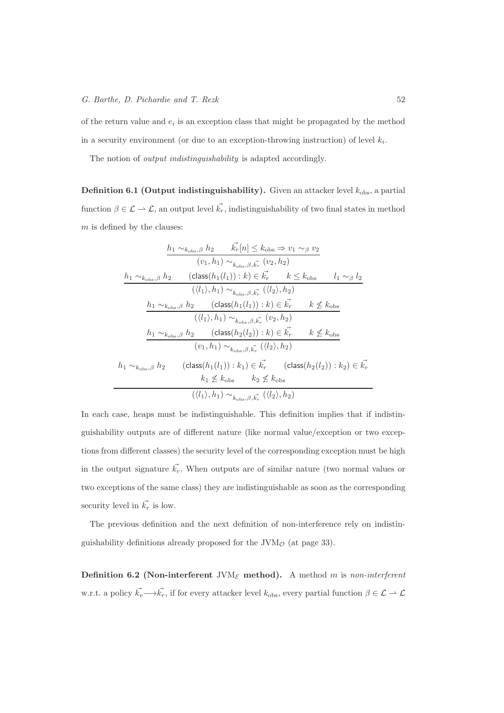of the return value and  $e_i$  is an exception class that might be propagated by the method in a security environment (or due to an exception-throwing instruction) of level  $k_i$ .

The notion of *output indistinguishability* is adapted accordingly.

**Definition 6.1 (Output indistinguishability).** Given an attacker level  $k_{obs}$ , a partial function  $\beta \in \mathcal{L} \to \mathcal{L}$ , an output level  $\vec{k_r}$ , indistinguishability of two final states in method  $m$  is defined by the clauses:

$$
\frac{h_1 \sim_{k_{\text{obs}},\beta} h_2 \qquad \vec{k_r}[n] \leq k_{\text{obs}} \Rightarrow v_1 \sim_{\beta} v_2}{(v_1, h_1) \sim_{k_{\text{obs}},\beta, \vec{k_r}} (v_2, h_2)}
$$
\n
$$
\frac{h_1 \sim_{k_{\text{obs}},\beta} h_2 \qquad \text{(class}(h_1(l_1)) : k) \in \vec{k_r} \qquad k \leq k_{\text{obs}} \qquad l_1 \sim_{\beta} l_2}{(\langle l_1 \rangle, h_1) \sim_{k_{\text{obs}},\beta, \vec{k_r}} (\langle l_2 \rangle, h_2)}
$$
\n
$$
\frac{h_1 \sim_{k_{\text{obs}},\beta} h_2 \qquad \text{(class}(h_1(l_1)) : k) \in \vec{k_r} \qquad k \nleq k_{\text{obs}}}{(\langle l_1 \rangle, h_1) \sim_{k_{\text{obs}},\beta, \vec{k_r}} (v_2, h_2)}
$$
\n
$$
\frac{h_1 \sim_{k_{\text{obs}},\beta} h_2 \qquad \text{(class}(h_2(l_2)) : k) \in \vec{k_r} \qquad k \nleq k_{\text{obs}}}{(v_1, h_1) \sim_{k_{\text{obs}},\beta, \vec{k_r}} (\langle l_2 \rangle, h_2)}
$$
\n
$$
h_1 \sim_{k_{\text{obs}},\beta} h_2 \qquad \text{(class}(h_1(l_1)) : k_1) \in \vec{k_r} \qquad \text{(class}(h_2(l_2)) : k_2) \in \vec{k_r}
$$
\n
$$
k_1 \nleq k_{\text{obs}} \qquad k_2 \nleq k_{\text{obs}}
$$
\n
$$
(\langle l_1 \rangle, h_1) \sim_{k_{\text{obs}},\beta, \vec{k_r}} (\langle l_2 \rangle, h_2)
$$

In each case, heaps must be indistinguishable. This definition implies that if indistinguishability outputs are of different nature (like normal value/exception or two exceptions from different classes) the security level of the corresponding exception must be high in the output signature  $\vec{k_r}$ . When outputs are of similar nature (two normal values or two exceptions of the same class) they are indistinguishable as soon as the corresponding security level in  $\vec{k_r}$  is low.

The previous definition and the next definition of non-interference rely on indistinguishability definitions already proposed for the  $JVM<sub>°</sub>$  (at page 33).

Definition 6.2 (Non-interferent JVM<sub> $\epsilon$ </sub> method). A method m is non-interferent w.r.t. a policy  $\vec{k_v}\longrightarrow \vec{k_r}$ , if for every attacker level  $k_{obs}$ , every partial function  $\beta \in \mathcal{L} \rightarrow \mathcal{L}$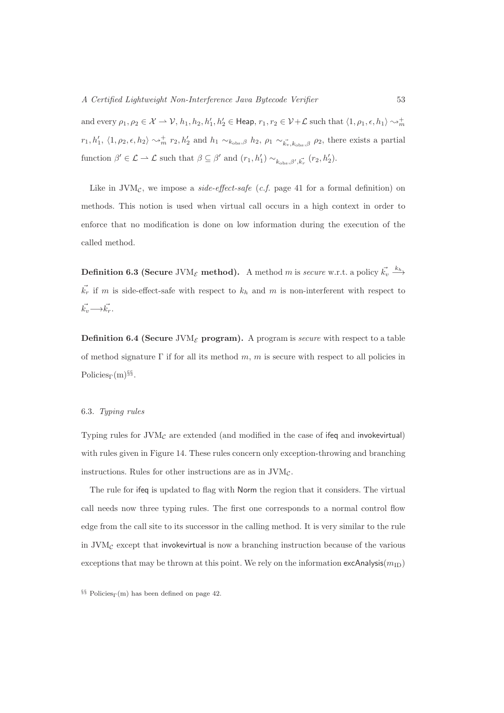and every  $\rho_1, \rho_2 \in \mathcal{X} \to \mathcal{V}, h_1, h_2, h'_1, h'_2 \in \mathsf{Heap}, r_1, r_2 \in \mathcal{V}+\mathcal{L}$  such that  $\langle 1, \rho_1, \epsilon, h_1 \rangle \sim_m^+$  $r_1, h'_1, \langle 1, \rho_2, \epsilon, h_2 \rangle \rightsquigarrow_m^+ r_2, h'_2$  and  $h_1 \sim_{k_{\text{obs}}, \beta} h_2, \rho_1 \sim_{\vec{k_v}, k_{\text{obs}}, \beta} \rho_2$ , there exists a partial function  $\beta' \in \mathcal{L} \to \mathcal{L}$  such that  $\beta \subseteq \beta'$  and  $(r_1, h'_1) \sim_{k_{\text{obs}} , \beta', \vec{k_r}} (r_2, h'_2)$ .

Like in  $JVM_{\mathcal{C}}$ , we impose a *side-effect-safe* (*c.f.* page 41 for a formal definition) on methods. This notion is used when virtual call occurs in a high context in order to enforce that no modification is done on low information during the execution of the called method.

Definition 6.3 (Secure JVM<sub>E</sub> method). A method m is *secure* w.r.t. a policy  $\vec{k_v} \stackrel{k_h}{\longrightarrow}$  $\vec{k_r}$  if m is side-effect-safe with respect to  $k_h$  and m is non-interferent with respect to  $\vec{k_v}\rightarrow\vec{k_r}.$ 

**Definition 6.4 (Secure JVM<sub>E</sub> program).** A program is secure with respect to a table of method signature  $\Gamma$  if for all its method m, m is secure with respect to all policies in Policies<sub>Γ</sub>(m)<sup>§§</sup>.

# 6.3. Typing rules

Typing rules for  $JVM<sub>C</sub>$  are extended (and modified in the case of ifeq and invokevirtual) with rules given in Figure 14. These rules concern only exception-throwing and branching instructions. Rules for other instructions are as in  $JVM<sub>C</sub>$ .

The rule for ifeq is updated to flag with Norm the region that it considers. The virtual call needs now three typing rules. The first one corresponds to a normal control flow edge from the call site to its successor in the calling method. It is very similar to the rule in  $JVM<sub>C</sub>$  except that invokevirtual is now a branching instruction because of the various exceptions that may be thrown at this point. We rely on the information  $exc$ Analysis( $m_{\text{ID}}$ )

<sup>§§</sup> Policies<sub>Γ</sub>(m) has been defined on page 42.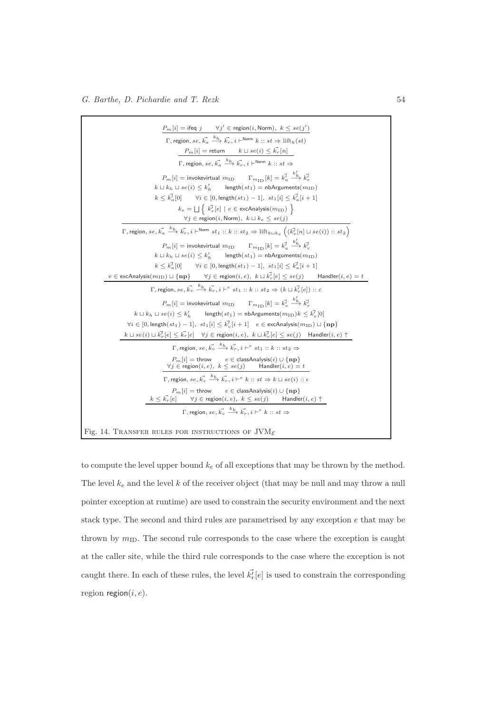

to compute the level upper bound  $k_e$  of all exceptions that may be thrown by the method. The level  $k_e$  and the level k of the receiver object (that may be null and may throw a null pointer exception at runtime) are used to constrain the security environment and the next stack type. The second and third rules are parametrised by any exception e that may be thrown by  $m_{\text{ID}}$ . The second rule corresponds to the case where the exception is caught at the caller site, while the third rule corresponds to the case where the exception is not caught there. In each of these rules, the level  $\vec{k'_{r}}[e]$  is used to constrain the corresponding region region $(i, e)$ .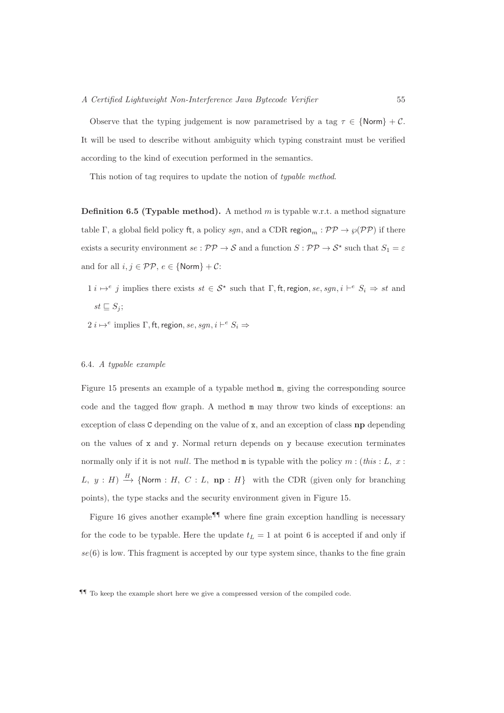Observe that the typing judgement is now parametrised by a tag  $\tau \in \{\text{Norm}\} + \mathcal{C}.$ It will be used to describe without ambiguity which typing constraint must be verified according to the kind of execution performed in the semantics.

This notion of tag requires to update the notion of typable method.

**Definition 6.5 (Typable method).** A method m is typable w.r.t. a method signature table Γ, a global field policy ft, a policy sgn, and a CDR region<sub>m</sub> :  $PP \rightarrow \wp (PP)$  if there exists a security environment  $se: \mathcal{PP} \to \mathcal{S}$  and a function  $S: \mathcal{PP} \to \mathcal{S}^*$  such that  $S_1 = \varepsilon$ and for all  $i,j\in \mathcal{PP},\,e\in \{\mathsf{Norm}\}+\mathcal{C}\mathsf{:}$ 

- $1 \ i \mapsto^e j$  implies there exists  $st \in \mathcal{S}^*$  such that  $\Gamma$ , ft, region,  $se$ ,  $sgn$ ,  $i \vdash^e S_i \Rightarrow st$  and  $st \sqsubseteq S_j$ ;
- $2 \ i \mapsto^e \text{ implies } \Gamma, \text{ft, region}, \text{se}, \text{sgn}, \textit{i} \vdash^e S_i \Rightarrow$

## 6.4. A typable example

Figure 15 presents an example of a typable method m, giving the corresponding source code and the tagged flow graph. A method m may throw two kinds of exceptions: an exception of class  $C$  depending on the value of  $x$ , and an exception of class  $np$  depending on the values of  $x$  and  $y$ . Normal return depends on  $y$  because execution terminates normally only if it is not *null*. The method  $m$  is typable with the policy  $m$  : (this : L, x : L,  $y : H$ )  $\stackrel{H}{\to}$  {Norm : H, C : L, np : H} with the CDR (given only for branching points), the type stacks and the security environment given in Figure 15.

Figure 16 gives another example<sup>¶</sup> where fine grain exception handling is necessary for the code to be typable. Here the update  $t_L = 1$  at point 6 is accepted if and only if  $se(6)$  is low. This fragment is accepted by our type system since, thanks to the fine grain

<sup>¶¶</sup> To keep the example short here we give a compressed version of the compiled code.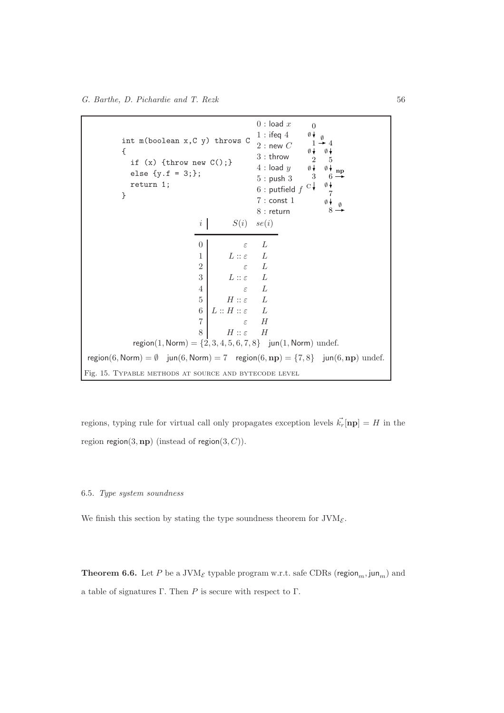int m(boolean x,C y) throws C { if  $(x)$  {throw new  $C()$ ;} else  ${y.f = 3;}$ ; return 1; }  $0:$  load  $x$  $1:$  ifeq  $4$  $2:$  new  $C$ 3 : throw  $4:$  load  $y$ 5 : push 3  $6:$  putfield  $f$ 7 : const 1 8 : return 0 1 2 3 4 5 6 7 8 ∅ ∅ ∅  $C\downarrow$ ∅ ∅  $\emptyset$  np ∅  $\emptyset \downarrow$  $\emptyset$ i  $S(i)$  se(i) 0  $\varepsilon$   $L$ 1  $L :: \varepsilon$   $L$ 2  $\varepsilon$   $L$ 3  $L :: \varepsilon$   $L$ 4  $\varepsilon$   $L$ 5  $H :: \varepsilon$   $L$ 6  $L :: H :: \varepsilon$   $L$ 7  $\varepsilon$  H 8  $H :: \varepsilon$   $H$  $region(1, Norm) = \{2, 3, 4, 5, 6, 7, 8\}$  jun(1, Norm) undef. region(6, Norm) = Ø jun(6, Norm) = 7 region(6, np) = {7,8} jun(6, np) undef. Fig. 15. Typable methods at source and bytecode level

regions, typing rule for virtual call only propagates exception levels  $\vec{k_r}$ [np] = H in the region region $(3, np)$  (instead of region $(3, C)$ ).

## 6.5. Type system soundness

We finish this section by stating the type soundness theorem for  $JVM_{\mathcal{E}}$ .

**Theorem 6.6.** Let P be a JVM<sub>E</sub> typable program w.r.t. safe CDRs (region<sub>m</sub>, jun<sub>m</sub>) and a table of signatures Γ. Then P is secure with respect to Γ.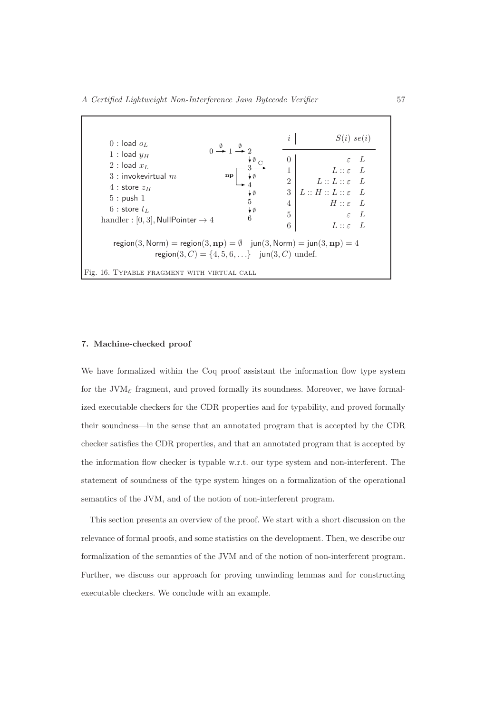| $0:$ load $oL$                                                                                                                                                                                                                                            | i                                                                                              | $S(i)$ se(i)                                                                                                                                                                |
|-----------------------------------------------------------------------------------------------------------------------------------------------------------------------------------------------------------------------------------------------------------|------------------------------------------------------------------------------------------------|-----------------------------------------------------------------------------------------------------------------------------------------------------------------------------|
| $0 \stackrel{\emptyset}{\rightarrow} 1 \stackrel{\emptyset}{\rightarrow} 2$<br>1 : load $y_H$<br>2 : load $x_L$<br>$3:$ invokevirtual $m$<br>np<br>$4:$ store $z_H$<br>$5:$ push $1$<br>$6:$ store $t_L$<br>handler : [0, 3], NullPointer $\rightarrow$ 4 | 0<br>1<br>$\overline{2}$<br>3<br>₩Ø<br>5<br>4<br>$\star \emptyset$<br>$\overline{5}$<br>6<br>6 | L<br>$\epsilon$<br>$L: \varepsilon$ $L$<br>$L::L::\varepsilon$ $L$<br>$L :: H :: L :: \varepsilon$ $L$<br>$H :: \varepsilon$ L<br>$\varepsilon$ L<br>$L :: \varepsilon$ $L$ |
| region(3, Norm) = region(3, $np$ ) = $\emptyset$ jun(3, Norm) = jun(3, $np$ ) = 4<br>region(3, C) = {4, 5, 6, } jun(3, C) undef.                                                                                                                          |                                                                                                |                                                                                                                                                                             |

## 7. Machine-checked proof

We have formalized within the Coq proof assistant the information flow type system for the JVM<sub> $\epsilon$ </sub> fragment, and proved formally its soundness. Moreover, we have formalized executable checkers for the CDR properties and for typability, and proved formally their soundness—in the sense that an annotated program that is accepted by the CDR checker satisfies the CDR properties, and that an annotated program that is accepted by the information flow checker is typable w.r.t. our type system and non-interferent. The statement of soundness of the type system hinges on a formalization of the operational semantics of the JVM, and of the notion of non-interferent program.

This section presents an overview of the proof. We start with a short discussion on the relevance of formal proofs, and some statistics on the development. Then, we describe our formalization of the semantics of the JVM and of the notion of non-interferent program. Further, we discuss our approach for proving unwinding lemmas and for constructing executable checkers. We conclude with an example.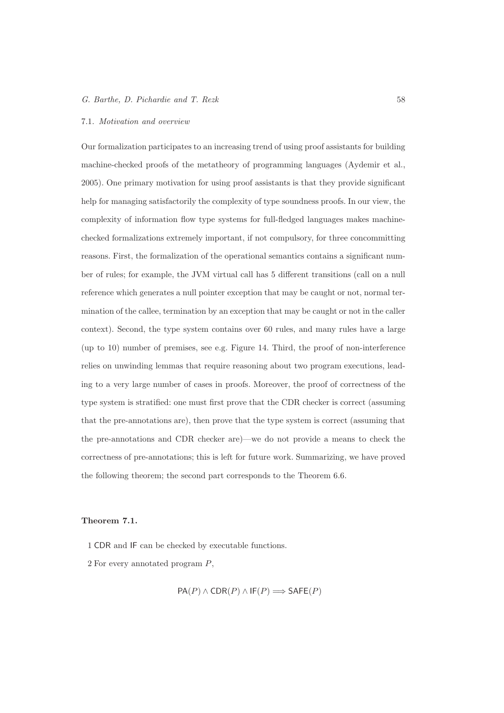## G. Barthe, D. Pichardie and T. Rezk 58

## 7.1. Motivation and overview

Our formalization participates to an increasing trend of using proof assistants for building machine-checked proofs of the metatheory of programming languages (Aydemir et al., 2005). One primary motivation for using proof assistants is that they provide significant help for managing satisfactorily the complexity of type soundness proofs. In our view, the complexity of information flow type systems for full-fledged languages makes machinechecked formalizations extremely important, if not compulsory, for three concommitting reasons. First, the formalization of the operational semantics contains a significant number of rules; for example, the JVM virtual call has 5 different transitions (call on a null reference which generates a null pointer exception that may be caught or not, normal termination of the callee, termination by an exception that may be caught or not in the caller context). Second, the type system contains over 60 rules, and many rules have a large (up to 10) number of premises, see e.g. Figure 14. Third, the proof of non-interference relies on unwinding lemmas that require reasoning about two program executions, leading to a very large number of cases in proofs. Moreover, the proof of correctness of the type system is stratified: one must first prove that the CDR checker is correct (assuming that the pre-annotations are), then prove that the type system is correct (assuming that the pre-annotations and CDR checker are)—we do not provide a means to check the correctness of pre-annotations; this is left for future work. Summarizing, we have proved the following theorem; the second part corresponds to the Theorem 6.6.

## Theorem 7.1.

1 CDR and IF can be checked by executable functions.

2 For every annotated program P,

$$
PA(P) \land \text{CDR}(P) \land \text{IF}(P) \Longrightarrow \text{SAFE}(P)
$$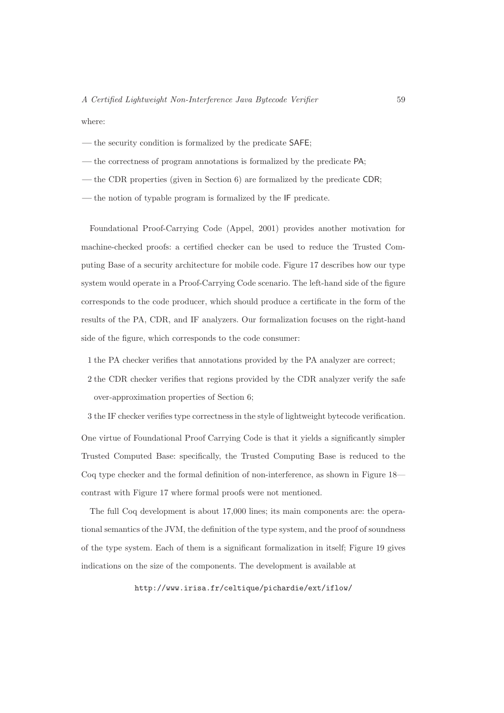where:

- the security condition is formalized by the predicate SAFE;
- the correctness of program annotations is formalized by the predicate PA;
- the CDR properties (given in Section 6) are formalized by the predicate CDR;
- the notion of typable program is formalized by the IF predicate.

Foundational Proof-Carrying Code (Appel, 2001) provides another motivation for machine-checked proofs: a certified checker can be used to reduce the Trusted Computing Base of a security architecture for mobile code. Figure 17 describes how our type system would operate in a Proof-Carrying Code scenario. The left-hand side of the figure corresponds to the code producer, which should produce a certificate in the form of the results of the PA, CDR, and IF analyzers. Our formalization focuses on the right-hand side of the figure, which corresponds to the code consumer:

1 the PA checker verifies that annotations provided by the PA analyzer are correct;

2 the CDR checker verifies that regions provided by the CDR analyzer verify the safe over-approximation properties of Section 6;

3 the IF checker verifies type correctness in the style of lightweight bytecode verification. One virtue of Foundational Proof Carrying Code is that it yields a significantly simpler Trusted Computed Base: specifically, the Trusted Computing Base is reduced to the Coq type checker and the formal definition of non-interference, as shown in Figure 18 contrast with Figure 17 where formal proofs were not mentioned.

The full Coq development is about 17,000 lines; its main components are: the operational semantics of the JVM, the definition of the type system, and the proof of soundness of the type system. Each of them is a significant formalization in itself; Figure 19 gives indications on the size of the components. The development is available at

http://www.irisa.fr/celtique/pichardie/ext/iflow/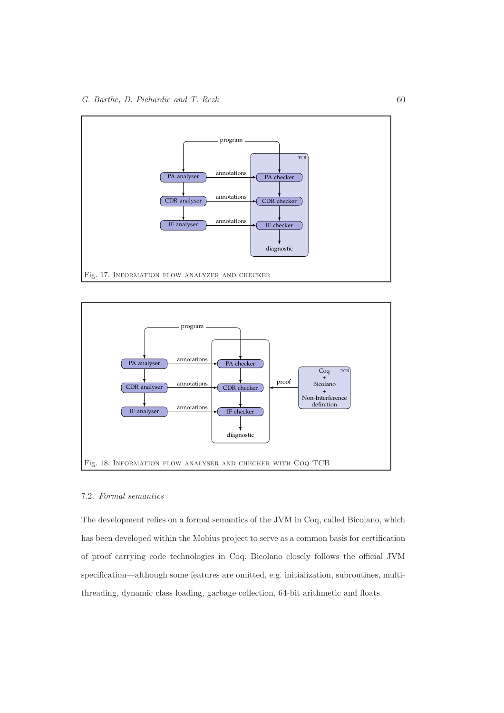



# 7.2. Formal semantics

The development relies on a formal semantics of the JVM in Coq, called Bicolano, which has been developed within the Mobius project to serve as a common basis for certification of proof carrying code technologies in Coq. Bicolano closely follows the official JVM specification—although some features are omitted, e.g. initialization, subroutines, multithreading, dynamic class loading, garbage collection, 64-bit arithmetic and floats.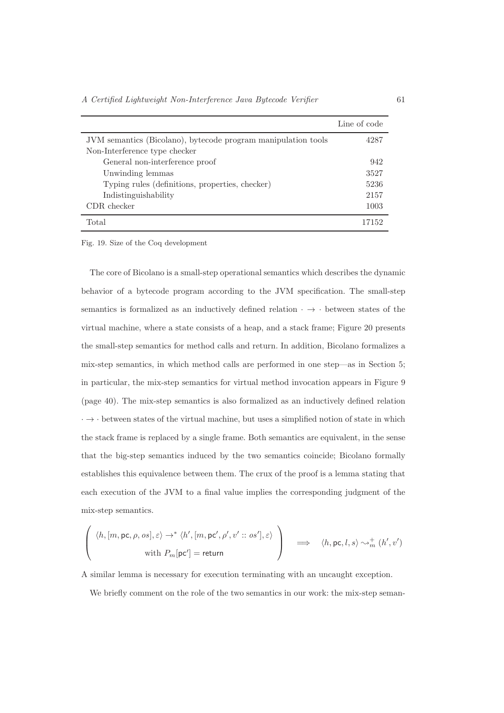|                                                               | Line of code |
|---------------------------------------------------------------|--------------|
| JVM semantics (Bicolano), bytecode program manipulation tools | 4287         |
| Non-Interference type checker                                 |              |
| General non-interference proof                                | 942          |
| Unwinding lemmas                                              | 3527         |
| Typing rules (definitions, properties, checker)               | 5236         |
| Indistinguishability                                          | 2157         |
| CDR checker                                                   | 1003         |
| Total                                                         | 17152        |

Fig. 19. Size of the Coq development

The core of Bicolano is a small-step operational semantics which describes the dynamic behavior of a bytecode program according to the JVM specification. The small-step semantics is formalized as an inductively defined relation  $\cdot \rightarrow \cdot$  between states of the virtual machine, where a state consists of a heap, and a stack frame; Figure 20 presents the small-step semantics for method calls and return. In addition, Bicolano formalizes a mix-step semantics, in which method calls are performed in one step—as in Section 5; in particular, the mix-step semantics for virtual method invocation appears in Figure 9 (page 40). The mix-step semantics is also formalized as an inductively defined relation  $\cdot \rightarrow \cdot$  between states of the virtual machine, but uses a simplified notion of state in which the stack frame is replaced by a single frame. Both semantics are equivalent, in the sense that the big-step semantics induced by the two semantics coincide; Bicolano formally establishes this equivalence between them. The crux of the proof is a lemma stating that each execution of the JVM to a final value implies the corresponding judgment of the mix-step semantics.

$$
\begin{pmatrix} \langle h, [m, \text{pc}, \rho, os], \varepsilon \rangle \to^* \langle h', [m, \text{pc}', \rho', v' :: os'], \varepsilon \rangle \\ \text{with } P_m[\text{pc}'] = \text{return} \end{pmatrix} \implies \langle h, \text{pc}, l, s \rangle \sim_m^+ (h', v')
$$

A similar lemma is necessary for execution terminating with an uncaught exception.

We briefly comment on the role of the two semantics in our work: the mix-step seman-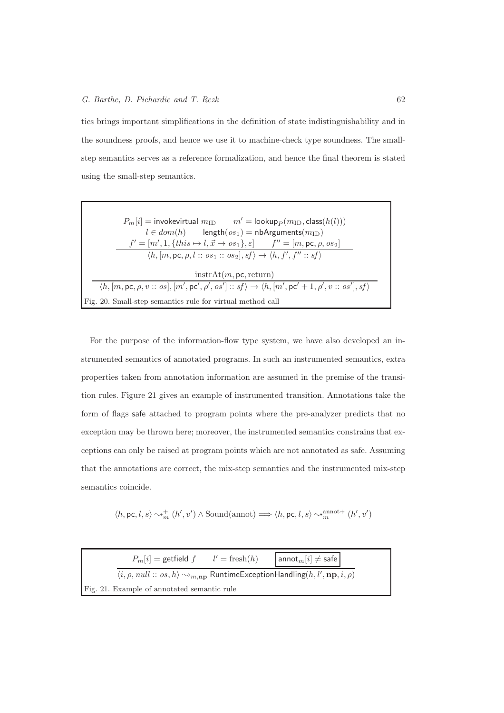## $G.$  Barthe, D. Pichardie and T. Rezk 62

tics brings important simplifications in the definition of state indistinguishability and in the soundness proofs, and hence we use it to machine-check type soundness. The smallstep semantics serves as a reference formalization, and hence the final theorem is stated using the small-step semantics.

| $P_m[i] =$ invokevirtual $m_{\text{ID}}$ $m' =$ lookup $_P(m_{\text{ID}}, \text{class}(h(l)))$                                                              |  |  |  |  |
|-------------------------------------------------------------------------------------------------------------------------------------------------------------|--|--|--|--|
| $l \in dom(h)$ length $(os_1)$ = nbArguments $(m_{\text{ID}})$                                                                                              |  |  |  |  |
| $f' = [m', 1, \{this \mapsto l, \vec{x} \mapsto os_1\}, \varepsilon]$ $f'' = [m, pc, \rho, os_2]$                                                           |  |  |  |  |
| $\langle h, [m, \text{pc}, \rho, l :: os_1 :: os_2], sf \rangle \rightarrow \langle h, f', f'': sf \rangle$                                                 |  |  |  |  |
| instrAt(m, pc, return)                                                                                                                                      |  |  |  |  |
| $\langle h, [m, \text{pc}, \rho, v::os], [m', \text{pc}', \rho', os'] :: sf \rangle \rightarrow \langle h, [m', \text{pc}' + 1, \rho', v::os'], sf \rangle$ |  |  |  |  |
| Fig. 20. Small-step semantics rule for virtual method call                                                                                                  |  |  |  |  |

For the purpose of the information-flow type system, we have also developed an instrumented semantics of annotated programs. In such an instrumented semantics, extra properties taken from annotation information are assumed in the premise of the transition rules. Figure 21 gives an example of instrumented transition. Annotations take the form of flags safe attached to program points where the pre-analyzer predicts that no exception may be thrown here; moreover, the instrumented semantics constrains that exceptions can only be raised at program points which are not annotated as safe. Assuming that the annotations are correct, the mix-step semantics and the instrumented mix-step semantics coincide.

$$
\langle h, \text{pc}, l, s \rangle \leadsto^+_{m} (h', v') \land \text{Sound(annot)} \Longrightarrow \langle h, \text{pc}, l, s \rangle \leadsto^{\text{annot}}_{m} (h', v')
$$

|                                                                                                                | $P_m[i]$ = getfield $f$ $l'$ = fresh $(h)$ |  | $ $ anno $\tan[i]\neq$ safe |  |
|----------------------------------------------------------------------------------------------------------------|--------------------------------------------|--|-----------------------------|--|
| $\langle i, \rho, null :: os, h \rangle \rightarrow_{m, np}$ Runtime Exception Handling $(h, l', np, i, \rho)$ |                                            |  |                             |  |
| Fig. 21. Example of annotated semantic rule                                                                    |                                            |  |                             |  |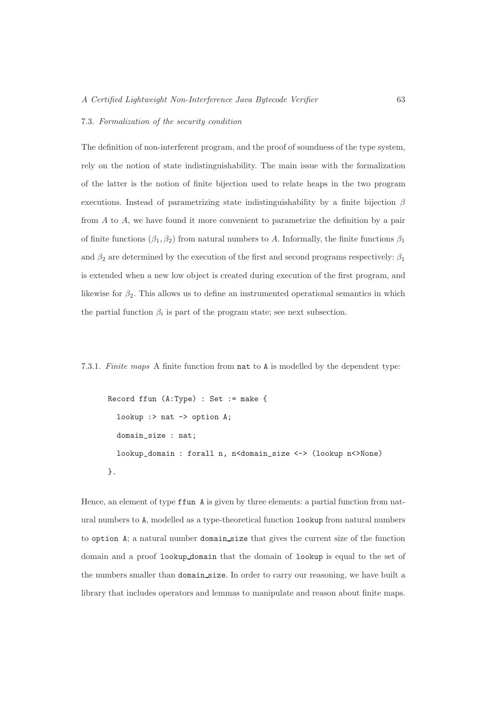# 7.3. Formalization of the security condition

The definition of non-interferent program, and the proof of soundness of the type system, rely on the notion of state indistinguishability. The main issue with the formalization of the latter is the notion of finite bijection used to relate heaps in the two program executions. Instead of parametrizing state indistinguishability by a finite bijection  $\beta$ from A to A, we have found it more convenient to parametrize the definition by a pair of finite functions  $(\beta_1, \beta_2)$  from natural numbers to A. Informally, the finite functions  $\beta_1$ and  $\beta_2$  are determined by the execution of the first and second programs respectively:  $\beta_1$ is extended when a new low object is created during execution of the first program, and likewise for  $\beta_2$ . This allows us to define an instrumented operational semantics in which the partial function  $\beta_i$  is part of the program state; see next subsection.

7.3.1. Finite maps A finite function from nat to A is modelled by the dependent type:

```
Record ffun (A:Type) : Set := make {
 lookup :> nat -> option A;
 domain_size : nat;
 lookup_domain : forall n, n<domain_size <-> (lookup n<>None)
}.
```
Hence, an element of type ffun A is given by three elements: a partial function from natural numbers to A, modelled as a type-theoretical function lookup from natural numbers to option A; a natural number domain size that gives the current size of the function domain and a proof lookup domain that the domain of lookup is equal to the set of the numbers smaller than domain size. In order to carry our reasoning, we have built a library that includes operators and lemmas to manipulate and reason about finite maps.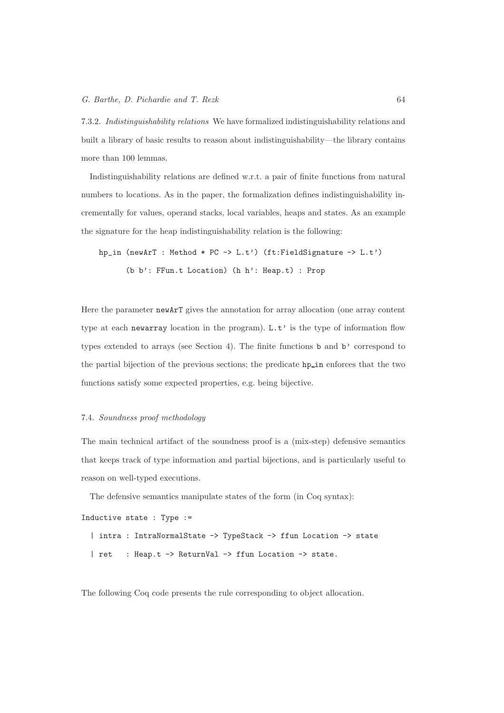7.3.2. Indistinguishability relations We have formalized indistinguishability relations and built a library of basic results to reason about indistinguishability—the library contains more than 100 lemmas.

Indistinguishability relations are defined w.r.t. a pair of finite functions from natural numbers to locations. As in the paper, the formalization defines indistinguishability incrementally for values, operand stacks, local variables, heaps and states. As an example the signature for the heap indistinguishability relation is the following:

hp\_in (newArT : Method \* PC -> L.t') (ft:FieldSignature -> L.t') (b b': FFun.t Location) (h h': Heap.t) : Prop

Here the parameter newArT gives the annotation for array allocation (one array content type at each newarray location in the program). L.t' is the type of information flow types extended to arrays (see Section 4). The finite functions b and b' correspond to the partial bijection of the previous sections; the predicate hp in enforces that the two functions satisfy some expected properties, e.g. being bijective.

#### 7.4. Soundness proof methodology

The main technical artifact of the soundness proof is a (mix-step) defensive semantics that keeps track of type information and partial bijections, and is particularly useful to reason on well-typed executions.

The defensive semantics manipulate states of the form (in Coq syntax):

```
Inductive state : Type :=
  | intra : IntraNormalState -> TypeStack -> ffun Location -> state
  | ret : Heap.t -> ReturnVal -> ffun Location -> state.
```
The following Coq code presents the rule corresponding to object allocation.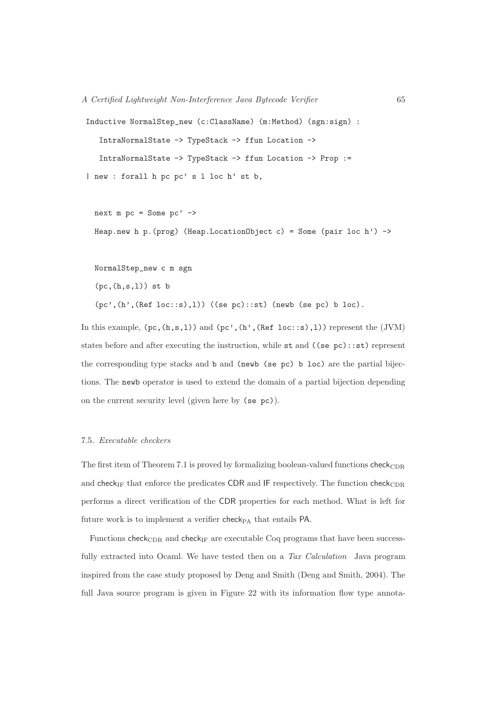```
Inductive NormalStep_new (c:ClassName) (m:Method) (sgn:sign) :
   IntraNormalState -> TypeStack -> ffun Location ->
   IntraNormalState -> TypeStack -> ffun Location -> Prop :=
| new : forall h pc pc' s l loc h' st b,
```

```
next m pc = Some pc' \rightarrowHeap.new h p.(prog) (Heap.LocationObject c) = Some (pair loc h') ->
```
NormalStep\_new c m sgn

 $(pc,(h,s,1))$  st b

(pc',(h',(Ref loc::s),l)) ((se pc)::st) (newb (se pc) b loc).

In this example,  $(pc, (h, s, 1))$  and  $(pc', (h', (Ref loc::s), 1))$  represent the (JVM) states before and after executing the instruction, while st and ((se pc)::st) represent the corresponding type stacks and b and (newb (se pc) b loc) are the partial bijections. The newb operator is used to extend the domain of a partial bijection depending on the current security level (given here by (se pc)).

# 7.5. Executable checkers

The first item of Theorem 7.1 is proved by formalizing boolean-valued functions  $check_{CDR}$ and check $_{\rm IF}$  that enforce the predicates CDR and IF respectively. The function check $_{\rm CDR}$ performs a direct verification of the CDR properties for each method. What is left for future work is to implement a verifier check $_{PA}$  that entails PA.

Functions check $_{\text{CDR}}$  and check<sub>IF</sub> are executable Coq programs that have been successfully extracted into Ocaml. We have tested then on a Tax Calculation Java program inspired from the case study proposed by Deng and Smith (Deng and Smith, 2004). The full Java source program is given in Figure 22 with its information flow type annota-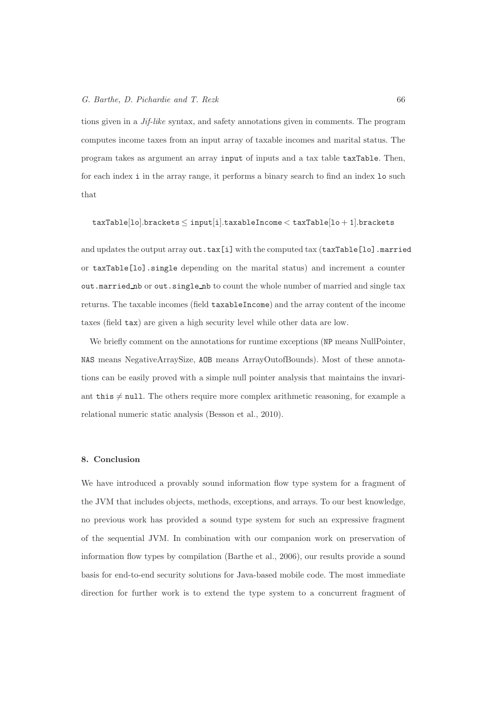#### G. Barthe, D. Pichardie and T. Rezk 66

tions given in a Jif-like syntax, and safety annotations given in comments. The program computes income taxes from an input array of taxable incomes and marital status. The program takes as argument an array input of inputs and a tax table taxTable. Then, for each index i in the array range, it performs a binary search to find an index lo such that

$$
\verb|taxTable[lo].brackets \leq input[i].\verb|taxableIncome < \verb|taxTable[lo+1].brackets
$$

and updates the output array out.tax[i] with the computed tax (taxTable[lo].married or taxTable[lo].single depending on the marital status) and increment a counter out.married nb or out.single nb to count the whole number of married and single tax returns. The taxable incomes (field taxableIncome) and the array content of the income taxes (field tax) are given a high security level while other data are low.

We briefly comment on the annotations for runtime exceptions (NP means NullPointer, NAS means NegativeArraySize, AOB means ArrayOutofBounds). Most of these annotations can be easily proved with a simple null pointer analysis that maintains the invariant this  $\neq$  null. The others require more complex arithmetic reasoning, for example a relational numeric static analysis (Besson et al., 2010).

## 8. Conclusion

We have introduced a provably sound information flow type system for a fragment of the JVM that includes objects, methods, exceptions, and arrays. To our best knowledge, no previous work has provided a sound type system for such an expressive fragment of the sequential JVM. In combination with our companion work on preservation of information flow types by compilation (Barthe et al., 2006), our results provide a sound basis for end-to-end security solutions for Java-based mobile code. The most immediate direction for further work is to extend the type system to a concurrent fragment of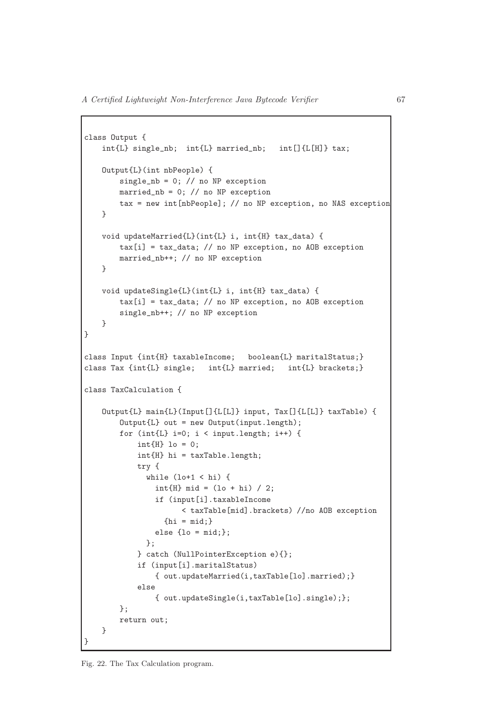```
class Output {
   int{L} single_nb; int{L} married_nb; int[]{L[H]} tax;
   Output{L}(int nbPeople) {
        single_nb = 0; // no NP exception
       married_nb = 0; // no NP exception
        tax = new int[nbPeople]; // no NP exception, no NAS exception
   }
   void updateMarried{L}(int{L} i, int{H} tax_data) {
        tax[i] = tax_data; // no NP exception, no AOB exception
       married_nb++; // no NP exception
   }
   void updateSingle{L}(int{L} i, int{H} tax_data) {
        \text{tax}[i] = \text{tax_data}; // no NP exception, no AOB exception
        single_nb++; // no NP exception
   }
}
class Input {int{H} taxableIncome; boolean{L} maritalStatus;}
class Tax {int{L} single; int{L} married; int{L} brackets;}
class TaxCalculation {
   Output{L} main{L}(Input[]{L[L]} input, Tax[]{L[L]} taxTable) {
        Output{L} out = new Output(input.length);for (int{L} i=0; i < input.length; i++) {
            int{H} lo = 0;
            int{H} hi = taxTable.length;
            try {
              while (lo+1 < hi) {
                int{H} mid = (1o + hi) / 2;
                if (input[i].taxableIncome
                      < taxTable[mid].brackets) //no AOB exception
                  \{hi = mid;\}else \{lo = mid;\};
              };
            } catch (NullPointerException e){};
            if (input[i].maritalStatus)
                { out.updateMarried(i,taxTable[lo].married);}
            else
                { out.updateSingle(i,taxTable[lo].single);};
        };
        return out;
   }
}
```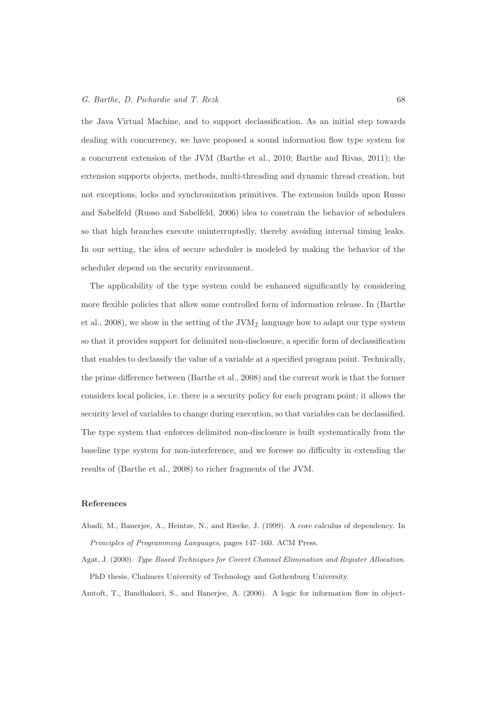#### G. Barthe, D. Pichardie and T. Rezk 68

the Java Virtual Machine, and to support declassification. As an initial step towards dealing with concurrency, we have proposed a sound information flow type system for a concurrent extension of the JVM (Barthe et al., 2010; Barthe and Rivas, 2011); the extension supports objects, methods, multi-threading and dynamic thread creation, but not exceptions, locks and synchronization primitives. The extension builds upon Russo and Sabelfeld (Russo and Sabelfeld, 2006) idea to constrain the behavior of schedulers so that high branches execute uninterruptedly, thereby avoiding internal timing leaks. In our setting, the idea of secure scheduler is modeled by making the behavior of the scheduler depend on the security environment.

The applicability of the type system could be enhanced significantly by considering more flexible policies that allow some controlled form of information release. In (Barthe et al., 2008), we show in the setting of the  $JVM<sub>\mathcal{I}</sub>$  language how to adapt our type system so that it provides support for delimited non-disclosure, a specific form of declassification that enables to declassify the value of a variable at a specified program point. Technically, the prime difference between (Barthe et al., 2008) and the current work is that the former considers local policies, i.e. there is a security policy for each program point; it allows the security level of variables to change during execution, so that variables can be declassified. The type system that enforces delimited non-disclosure is built systematically from the baseline type system for non-interference, and we foresee no difficulty in extending the results of (Barthe et al., 2008) to richer fragments of the JVM.

#### References

- Abadi, M., Banerjee, A., Heintze, N., and Riecke, J. (1999). A core calculus of dependency. In *Principles of Programming Languages*, pages 147–160. ACM Press.
- Agat, J. (2000). *Type Based Techniques for Covert Channel Elimination and Register Allocation*. PhD thesis, Chalmers University of Technology and Gothenburg University.

Amtoft, T., Bandhakavi, S., and Banerjee, A. (2006). A logic for information flow in object-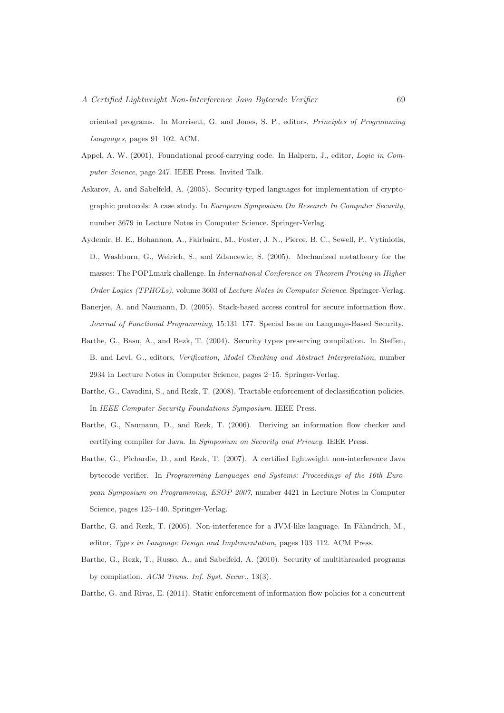oriented programs. In Morrisett, G. and Jones, S. P., editors, *Principles of Programming Languages*, pages 91–102. ACM.

- Appel, A. W. (2001). Foundational proof-carrying code. In Halpern, J., editor, *Logic in Computer Science*, page 247. IEEE Press. Invited Talk.
- Askarov, A. and Sabelfeld, A. (2005). Security-typed languages for implementation of cryptographic protocols: A case study. In *European Symposium On Research In Computer Security*, number 3679 in Lecture Notes in Computer Science. Springer-Verlag.
- Aydemir, B. E., Bohannon, A., Fairbairn, M., Foster, J. N., Pierce, B. C., Sewell, P., Vytiniotis, D., Washburn, G., Weirich, S., and Zdancewic, S. (2005). Mechanized metatheory for the masses: The POPLmark challenge. In *International Conference on Theorem Proving in Higher Order Logics (TPHOLs)*, volume 3603 of *Lecture Notes in Computer Science*. Springer-Verlag.
- Banerjee, A. and Naumann, D. (2005). Stack-based access control for secure information flow. *Journal of Functional Programming*, 15:131–177. Special Issue on Language-Based Security.
- Barthe, G., Basu, A., and Rezk, T. (2004). Security types preserving compilation. In Steffen, B. and Levi, G., editors, *Verification, Model Checking and Abstract Interpretation*, number 2934 in Lecture Notes in Computer Science, pages 2–15. Springer-Verlag.
- Barthe, G., Cavadini, S., and Rezk, T. (2008). Tractable enforcement of declassification policies. In *IEEE Computer Security Foundations Symposium*. IEEE Press.
- Barthe, G., Naumann, D., and Rezk, T. (2006). Deriving an information flow checker and certifying compiler for Java. In *Symposium on Security and Privacy*. IEEE Press.
- Barthe, G., Pichardie, D., and Rezk, T. (2007). A certified lightweight non-interference Java bytecode verifier. In *Programming Languages and Systems: Proceedings of the 16th European Symposium on Programming, ESOP 2007*, number 4421 in Lecture Notes in Computer Science, pages 125–140. Springer-Verlag.
- Barthe, G. and Rezk, T. (2005). Non-interference for a JVM-like language. In Fähndrich, M., editor, *Types in Language Design and Implementation*, pages 103–112. ACM Press.
- Barthe, G., Rezk, T., Russo, A., and Sabelfeld, A. (2010). Security of multithreaded programs by compilation. *ACM Trans. Inf. Syst. Secur.*, 13(3).
- Barthe, G. and Rivas, E. (2011). Static enforcement of information flow policies for a concurrent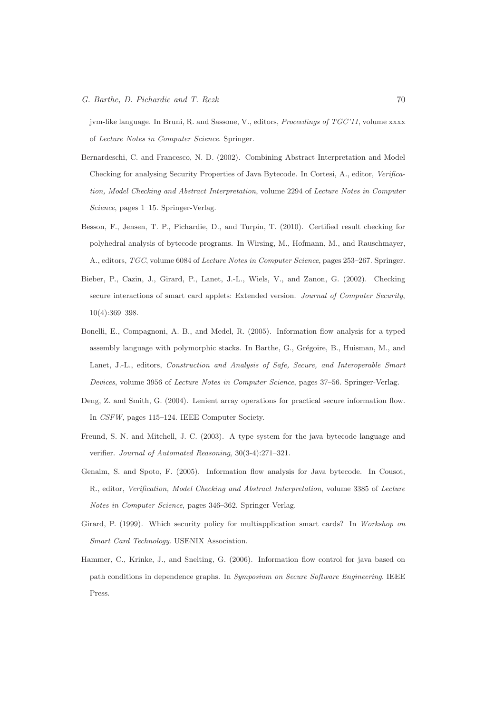jvm-like language. In Bruni, R. and Sassone, V., editors, *Proceedings of TGC'11*, volume xxxx of *Lecture Notes in Computer Science*. Springer.

- Bernardeschi, C. and Francesco, N. D. (2002). Combining Abstract Interpretation and Model Checking for analysing Security Properties of Java Bytecode. In Cortesi, A., editor, *Verification, Model Checking and Abstract Interpretation*, volume 2294 of *Lecture Notes in Computer Science*, pages 1–15. Springer-Verlag.
- Besson, F., Jensen, T. P., Pichardie, D., and Turpin, T. (2010). Certified result checking for polyhedral analysis of bytecode programs. In Wirsing, M., Hofmann, M., and Rauschmayer, A., editors, *TGC*, volume 6084 of *Lecture Notes in Computer Science*, pages 253–267. Springer.
- Bieber, P., Cazin, J., Girard, P., Lanet, J.-L., Wiels, V., and Zanon, G. (2002). Checking secure interactions of smart card applets: Extended version. *Journal of Computer Security*, 10(4):369–398.
- Bonelli, E., Compagnoni, A. B., and Medel, R. (2005). Information flow analysis for a typed assembly language with polymorphic stacks. In Barthe, G., Grégoire, B., Huisman, M., and Lanet, J.-L., editors, *Construction and Analysis of Safe, Secure, and Interoperable Smart Devices*, volume 3956 of *Lecture Notes in Computer Science*, pages 37–56. Springer-Verlag.
- Deng, Z. and Smith, G. (2004). Lenient array operations for practical secure information flow. In *CSFW*, pages 115–124. IEEE Computer Society.
- Freund, S. N. and Mitchell, J. C. (2003). A type system for the java bytecode language and verifier. *Journal of Automated Reasoning*, 30(3-4):271–321.
- Genaim, S. and Spoto, F. (2005). Information flow analysis for Java bytecode. In Cousot, R., editor, *Verification, Model Checking and Abstract Interpretation*, volume 3385 of *Lecture Notes in Computer Science*, pages 346–362. Springer-Verlag.
- Girard, P. (1999). Which security policy for multiapplication smart cards? In *Workshop on Smart Card Technology*. USENIX Association.
- Hammer, C., Krinke, J., and Snelting, G. (2006). Information flow control for java based on path conditions in dependence graphs. In *Symposium on Secure Software Engineering*. IEEE Press.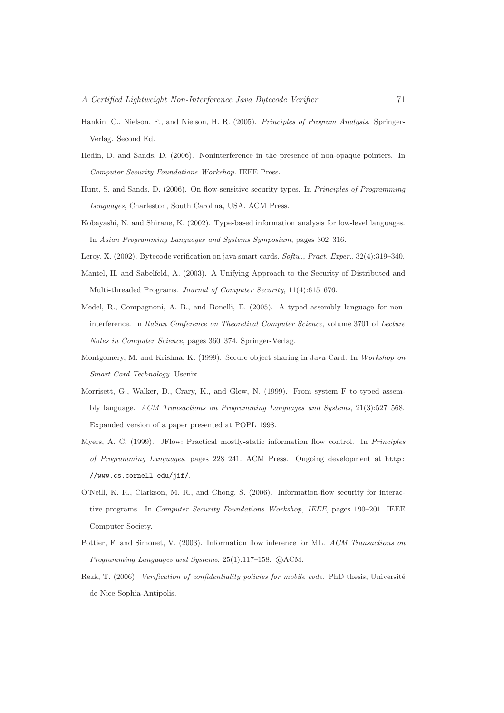- Hankin, C., Nielson, F., and Nielson, H. R. (2005). *Principles of Program Analysis*. Springer-Verlag. Second Ed.
- Hedin, D. and Sands, D. (2006). Noninterference in the presence of non-opaque pointers. In *Computer Security Foundations Workshop*. IEEE Press.
- Hunt, S. and Sands, D. (2006). On flow-sensitive security types. In *Principles of Programming Languages*, Charleston, South Carolina, USA. ACM Press.
- Kobayashi, N. and Shirane, K. (2002). Type-based information analysis for low-level languages. In *Asian Programming Languages and Systems Symposium*, pages 302–316.
- Leroy, X. (2002). Bytecode verification on java smart cards. *Softw., Pract. Exper.*, 32(4):319–340.
- Mantel, H. and Sabelfeld, A. (2003). A Unifying Approach to the Security of Distributed and Multi-threaded Programs. *Journal of Computer Security*, 11(4):615–676.
- Medel, R., Compagnoni, A. B., and Bonelli, E. (2005). A typed assembly language for noninterference. In *Italian Conference on Theoretical Computer Science*, volume 3701 of *Lecture Notes in Computer Science*, pages 360–374. Springer-Verlag.
- Montgomery, M. and Krishna, K. (1999). Secure object sharing in Java Card. In *Workshop on Smart Card Technology*. Usenix.
- Morrisett, G., Walker, D., Crary, K., and Glew, N. (1999). From system F to typed assembly language. *ACM Transactions on Programming Languages and Systems*, 21(3):527–568. Expanded version of a paper presented at POPL 1998.
- Myers, A. C. (1999). JFlow: Practical mostly-static information flow control. In *Principles of Programming Languages*, pages 228–241. ACM Press. Ongoing development at http: //www.cs.cornell.edu/jif/.
- O'Neill, K. R., Clarkson, M. R., and Chong, S. (2006). Information-flow security for interactive programs. In *Computer Security Foundations Workshop, IEEE*, pages 190–201. IEEE Computer Society.
- Pottier, F. and Simonet, V. (2003). Information flow inference for ML. *ACM Transactions on* Programming Languages and Systems, 25(1):117-158. CACM.
- Rezk, T. (2006). *Verification of confidentiality policies for mobile code*. PhD thesis, Université de Nice Sophia-Antipolis.